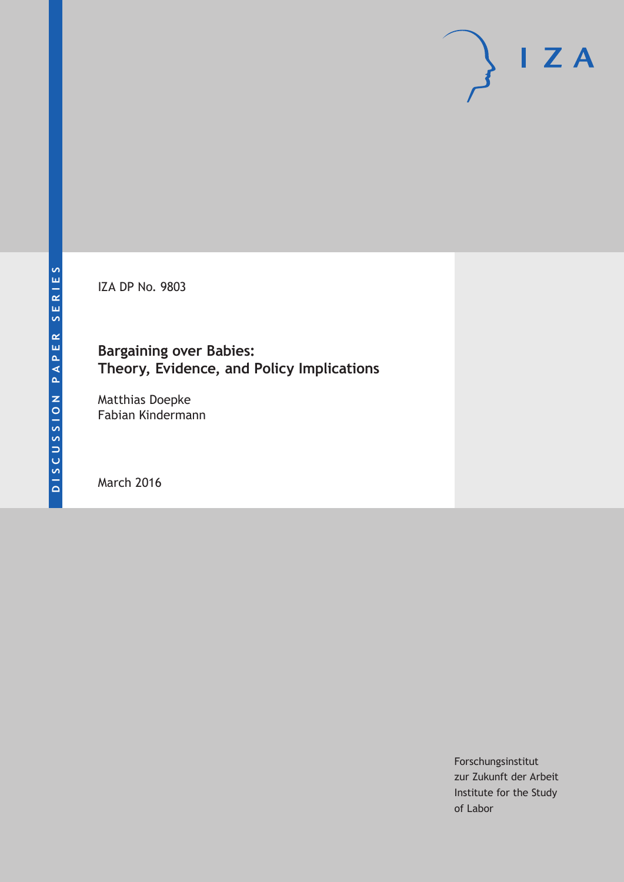IZA DP No. 9803

## **Bargaining over Babies: Theory, Evidence, and Policy Implications**

Matthias Doepke Fabian Kindermann

March 2016

Forschungsinstitut zur Zukunft der Arbeit Institute for the Study of Labor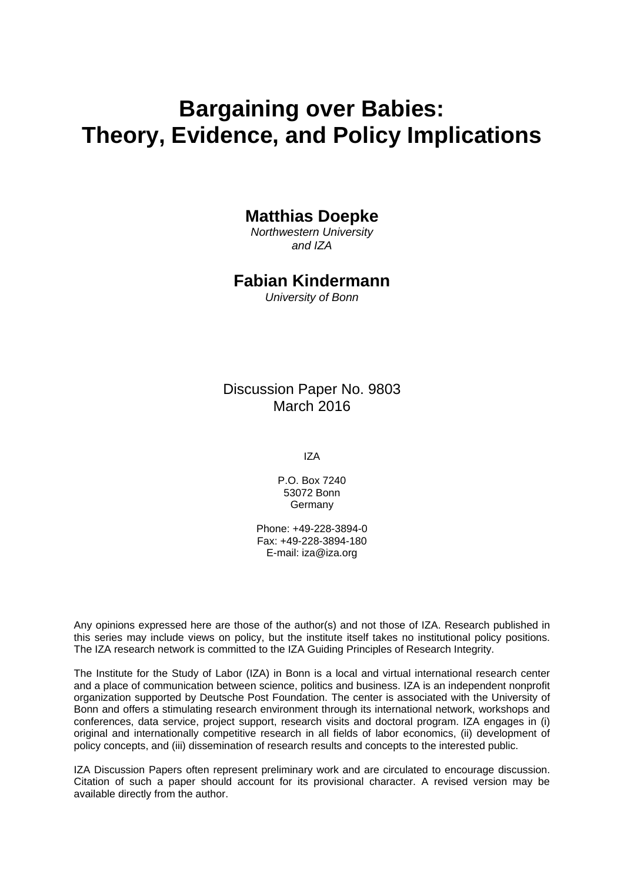# **Bargaining over Babies: Theory, Evidence, and Policy Implications**

## **Matthias Doepke**

*Northwestern University and IZA* 

## **Fabian Kindermann**

*University of Bonn* 

Discussion Paper No. 9803 March 2016

IZA

P.O. Box 7240 53072 Bonn Germany

Phone: +49-228-3894-0 Fax: +49-228-3894-180 E-mail: iza@iza.org

Any opinions expressed here are those of the author(s) and not those of IZA. Research published in this series may include views on policy, but the institute itself takes no institutional policy positions. The IZA research network is committed to the IZA Guiding Principles of Research Integrity.

The Institute for the Study of Labor (IZA) in Bonn is a local and virtual international research center and a place of communication between science, politics and business. IZA is an independent nonprofit organization supported by Deutsche Post Foundation. The center is associated with the University of Bonn and offers a stimulating research environment through its international network, workshops and conferences, data service, project support, research visits and doctoral program. IZA engages in (i) original and internationally competitive research in all fields of labor economics, (ii) development of policy concepts, and (iii) dissemination of research results and concepts to the interested public.

IZA Discussion Papers often represent preliminary work and are circulated to encourage discussion. Citation of such a paper should account for its provisional character. A revised version may be available directly from the author.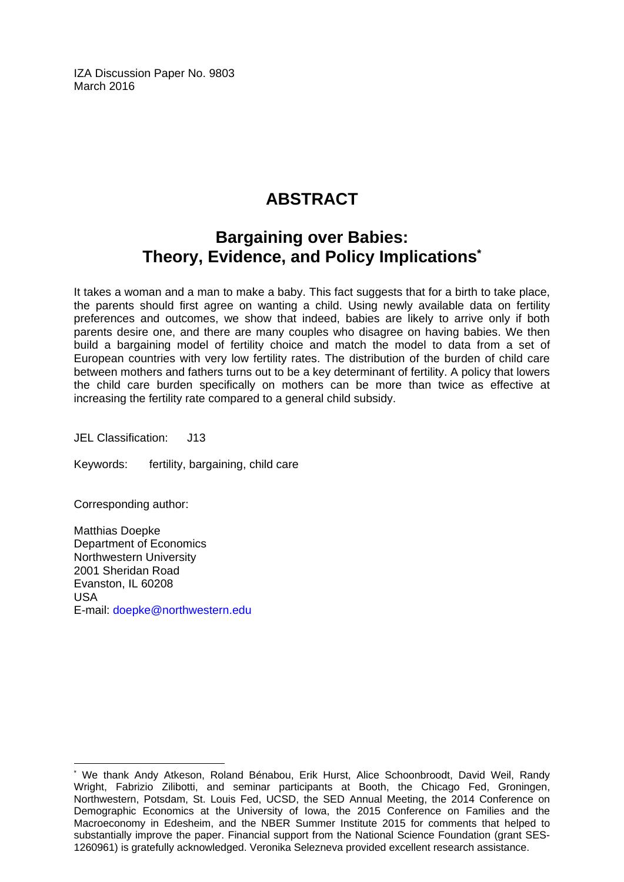IZA Discussion Paper No. 9803 March 2016

## **ABSTRACT**

## **Bargaining over Babies: Theory, Evidence, and Policy Implications\***

It takes a woman and a man to make a baby. This fact suggests that for a birth to take place, the parents should first agree on wanting a child. Using newly available data on fertility preferences and outcomes, we show that indeed, babies are likely to arrive only if both parents desire one, and there are many couples who disagree on having babies. We then build a bargaining model of fertility choice and match the model to data from a set of European countries with very low fertility rates. The distribution of the burden of child care between mothers and fathers turns out to be a key determinant of fertility. A policy that lowers the child care burden specifically on mothers can be more than twice as effective at increasing the fertility rate compared to a general child subsidy.

JEL Classification: J13

Keywords: fertility, bargaining, child care

Corresponding author:

 $\overline{a}$ 

Matthias Doepke Department of Economics Northwestern University 2001 Sheridan Road Evanston, IL 60208 USA E-mail: doepke@northwestern.edu

<sup>\*</sup> We thank Andy Atkeson, Roland Bénabou, Erik Hurst, Alice Schoonbroodt, David Weil, Randy Wright, Fabrizio Zilibotti, and seminar participants at Booth, the Chicago Fed, Groningen, Northwestern, Potsdam, St. Louis Fed, UCSD, the SED Annual Meeting, the 2014 Conference on Demographic Economics at the University of Iowa, the 2015 Conference on Families and the Macroeconomy in Edesheim, and the NBER Summer Institute 2015 for comments that helped to substantially improve the paper. Financial support from the National Science Foundation (grant SES-1260961) is gratefully acknowledged. Veronika Selezneva provided excellent research assistance.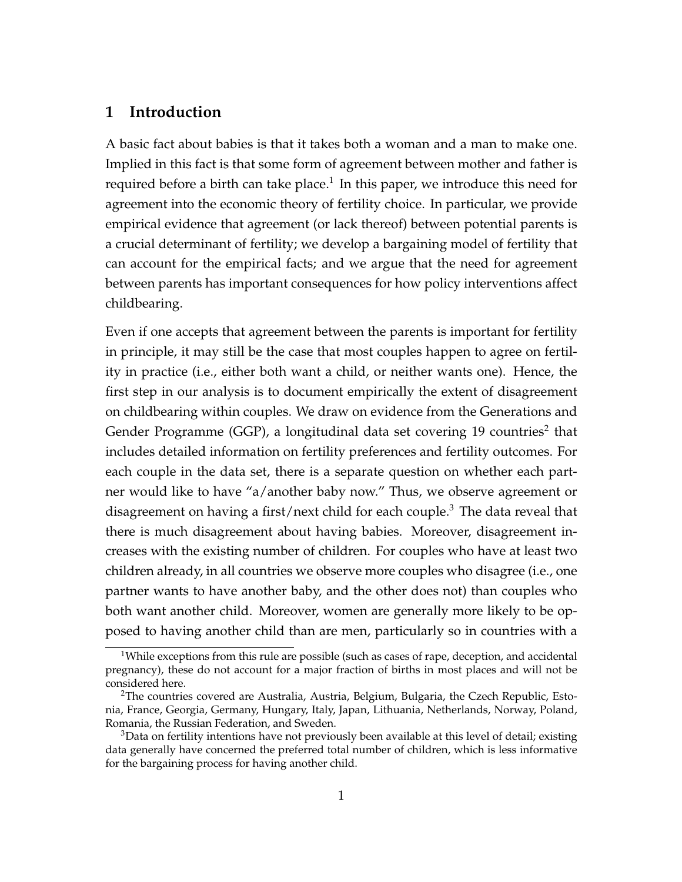### **1 Introduction**

A basic fact about babies is that it takes both a woman and a man to make one. Implied in this fact is that some form of agreement between mother and father is required before a birth can take place.<sup>1</sup> In this paper, we introduce this need for agreement into the economic theory of fertility choice. In particular, we provide empirical evidence that agreement (or lack thereof) between potential parents is a crucial determinant of fertility; we develop a bargaining model of fertility that can account for the empirical facts; and we argue that the need for agreement between parents has important consequences for how policy interventions affect childbearing.

Even if one accepts that agreement between the parents is important for fertility in principle, it may still be the case that most couples happen to agree on fertility in practice (i.e., either both want a child, or neither wants one). Hence, the first step in our analysis is to document empirically the extent of disagreement on childbearing within couples. We draw on evidence from the Generations and Gender Programme (GGP), a longitudinal data set covering 19 countries<sup>2</sup> that includes detailed information on fertility preferences and fertility outcomes. For each couple in the data set, there is a separate question on whether each partner would like to have "a/another baby now." Thus, we observe agreement or disagreement on having a first/next child for each couple.<sup>3</sup> The data reveal that there is much disagreement about having babies. Moreover, disagreement increases with the existing number of children. For couples who have at least two children already, in all countries we observe more couples who disagree (i.e., one partner wants to have another baby, and the other does not) than couples who both want another child. Moreover, women are generally more likely to be opposed to having another child than are men, particularly so in countries with a

<sup>&</sup>lt;sup>1</sup>While exceptions from this rule are possible (such as cases of rape, deception, and accidental pregnancy), these do not account for a major fraction of births in most places and will not be considered here.

<sup>&</sup>lt;sup>2</sup>The countries covered are Australia, Austria, Belgium, Bulgaria, the Czech Republic, Estonia, France, Georgia, Germany, Hungary, Italy, Japan, Lithuania, Netherlands, Norway, Poland, Romania, the Russian Federation, and Sweden.

 $3$ Data on fertility intentions have not previously been available at this level of detail; existing data generally have concerned the preferred total number of children, which is less informative for the bargaining process for having another child.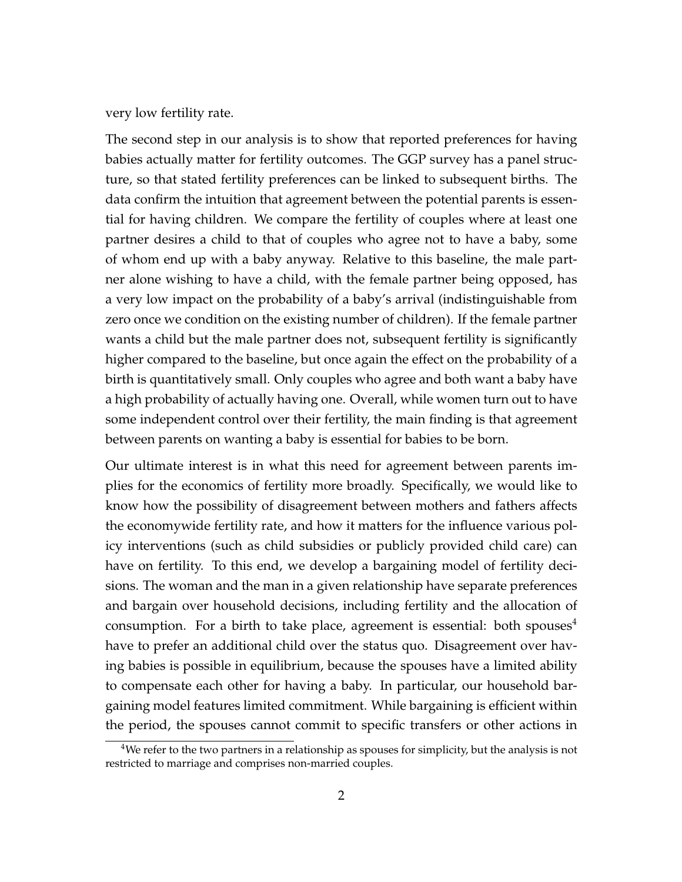very low fertility rate.

The second step in our analysis is to show that reported preferences for having babies actually matter for fertility outcomes. The GGP survey has a panel structure, so that stated fertility preferences can be linked to subsequent births. The data confirm the intuition that agreement between the potential parents is essential for having children. We compare the fertility of couples where at least one partner desires a child to that of couples who agree not to have a baby, some of whom end up with a baby anyway. Relative to this baseline, the male partner alone wishing to have a child, with the female partner being opposed, has a very low impact on the probability of a baby's arrival (indistinguishable from zero once we condition on the existing number of children). If the female partner wants a child but the male partner does not, subsequent fertility is significantly higher compared to the baseline, but once again the effect on the probability of a birth is quantitatively small. Only couples who agree and both want a baby have a high probability of actually having one. Overall, while women turn out to have some independent control over their fertility, the main finding is that agreement between parents on wanting a baby is essential for babies to be born.

Our ultimate interest is in what this need for agreement between parents implies for the economics of fertility more broadly. Specifically, we would like to know how the possibility of disagreement between mothers and fathers affects the economywide fertility rate, and how it matters for the influence various policy interventions (such as child subsidies or publicly provided child care) can have on fertility. To this end, we develop a bargaining model of fertility decisions. The woman and the man in a given relationship have separate preferences and bargain over household decisions, including fertility and the allocation of consumption. For a birth to take place, agreement is essential: both spouses<sup>4</sup> have to prefer an additional child over the status quo. Disagreement over having babies is possible in equilibrium, because the spouses have a limited ability to compensate each other for having a baby. In particular, our household bargaining model features limited commitment. While bargaining is efficient within the period, the spouses cannot commit to specific transfers or other actions in

<sup>4</sup>We refer to the two partners in a relationship as spouses for simplicity, but the analysis is not restricted to marriage and comprises non-married couples.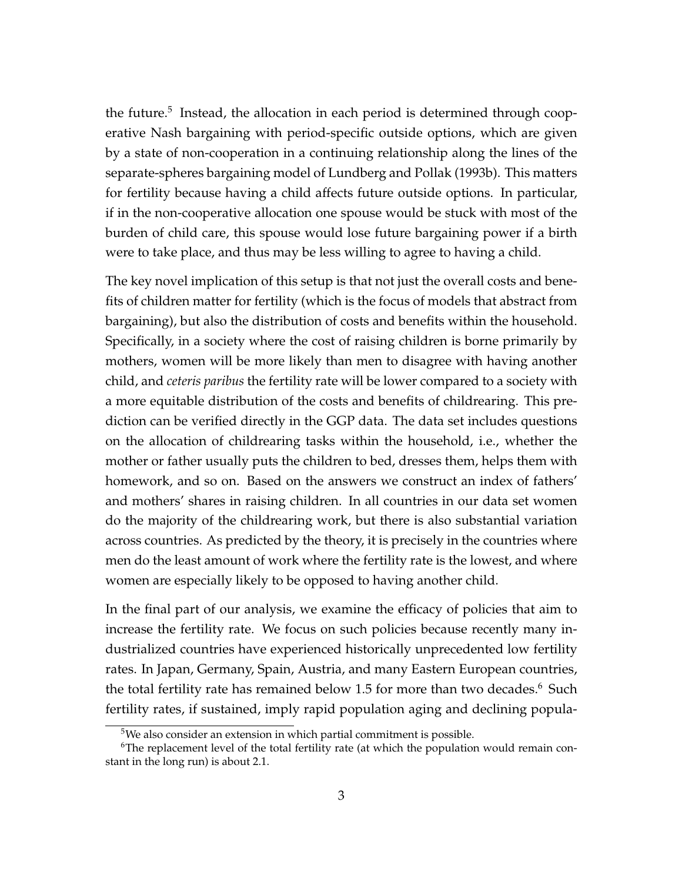the future.<sup>5</sup> Instead, the allocation in each period is determined through cooperative Nash bargaining with period-specific outside options, which are given by a state of non-cooperation in a continuing relationship along the lines of the separate-spheres bargaining model of Lundberg and Pollak (1993b). This matters for fertility because having a child affects future outside options. In particular, if in the non-cooperative allocation one spouse would be stuck with most of the burden of child care, this spouse would lose future bargaining power if a birth were to take place, and thus may be less willing to agree to having a child.

The key novel implication of this setup is that not just the overall costs and benefits of children matter for fertility (which is the focus of models that abstract from bargaining), but also the distribution of costs and benefits within the household. Specifically, in a society where the cost of raising children is borne primarily by mothers, women will be more likely than men to disagree with having another child, and *ceteris paribus* the fertility rate will be lower compared to a society with a more equitable distribution of the costs and benefits of childrearing. This prediction can be verified directly in the GGP data. The data set includes questions on the allocation of childrearing tasks within the household, i.e., whether the mother or father usually puts the children to bed, dresses them, helps them with homework, and so on. Based on the answers we construct an index of fathers' and mothers' shares in raising children. In all countries in our data set women do the majority of the childrearing work, but there is also substantial variation across countries. As predicted by the theory, it is precisely in the countries where men do the least amount of work where the fertility rate is the lowest, and where women are especially likely to be opposed to having another child.

In the final part of our analysis, we examine the efficacy of policies that aim to increase the fertility rate. We focus on such policies because recently many industrialized countries have experienced historically unprecedented low fertility rates. In Japan, Germany, Spain, Austria, and many Eastern European countries, the total fertility rate has remained below 1.5 for more than two decades.<sup>6</sup> Such fertility rates, if sustained, imply rapid population aging and declining popula-

<sup>5</sup>We also consider an extension in which partial commitment is possible.

 $6$ The replacement level of the total fertility rate (at which the population would remain constant in the long run) is about 2.1.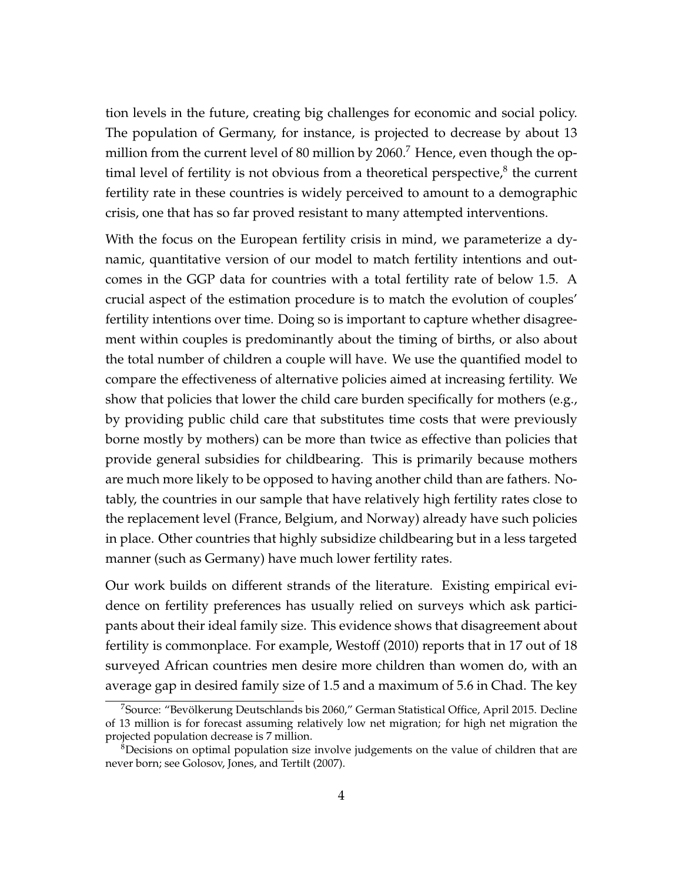tion levels in the future, creating big challenges for economic and social policy. The population of Germany, for instance, is projected to decrease by about 13 million from the current level of 80 million by 2060.<sup>7</sup> Hence, even though the optimal level of fertility is not obvious from a theoretical perspective, $^8$  the current fertility rate in these countries is widely perceived to amount to a demographic crisis, one that has so far proved resistant to many attempted interventions.

With the focus on the European fertility crisis in mind, we parameterize a dynamic, quantitative version of our model to match fertility intentions and outcomes in the GGP data for countries with a total fertility rate of below 1.5. A crucial aspect of the estimation procedure is to match the evolution of couples' fertility intentions over time. Doing so is important to capture whether disagreement within couples is predominantly about the timing of births, or also about the total number of children a couple will have. We use the quantified model to compare the effectiveness of alternative policies aimed at increasing fertility. We show that policies that lower the child care burden specifically for mothers (e.g., by providing public child care that substitutes time costs that were previously borne mostly by mothers) can be more than twice as effective than policies that provide general subsidies for childbearing. This is primarily because mothers are much more likely to be opposed to having another child than are fathers. Notably, the countries in our sample that have relatively high fertility rates close to the replacement level (France, Belgium, and Norway) already have such policies in place. Other countries that highly subsidize childbearing but in a less targeted manner (such as Germany) have much lower fertility rates.

Our work builds on different strands of the literature. Existing empirical evidence on fertility preferences has usually relied on surveys which ask participants about their ideal family size. This evidence shows that disagreement about fertility is commonplace. For example, Westoff (2010) reports that in 17 out of 18 surveyed African countries men desire more children than women do, with an average gap in desired family size of 1.5 and a maximum of 5.6 in Chad. The key

 $7$ Source: "Bevölkerung Deutschlands bis 2060," German Statistical Office, April 2015. Decline of 13 million is for forecast assuming relatively low net migration; for high net migration the projected population decrease is 7 million.

<sup>&</sup>lt;sup>8</sup>Decisions on optimal population size involve judgements on the value of children that are never born; see Golosov, Jones, and Tertilt (2007).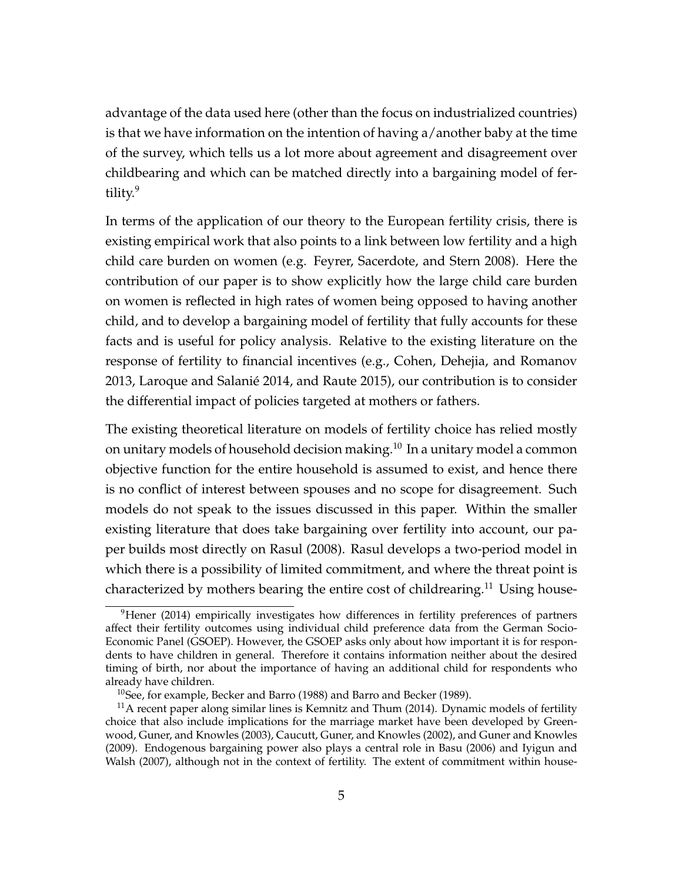advantage of the data used here (other than the focus on industrialized countries) is that we have information on the intention of having a/another baby at the time of the survey, which tells us a lot more about agreement and disagreement over childbearing and which can be matched directly into a bargaining model of fertility.<sup>9</sup>

In terms of the application of our theory to the European fertility crisis, there is existing empirical work that also points to a link between low fertility and a high child care burden on women (e.g. Feyrer, Sacerdote, and Stern 2008). Here the contribution of our paper is to show explicitly how the large child care burden on women is reflected in high rates of women being opposed to having another child, and to develop a bargaining model of fertility that fully accounts for these facts and is useful for policy analysis. Relative to the existing literature on the response of fertility to financial incentives (e.g., Cohen, Dehejia, and Romanov 2013, Laroque and Salanie 2014, and Raute 2015), our contribution is to consider ´ the differential impact of policies targeted at mothers or fathers.

The existing theoretical literature on models of fertility choice has relied mostly on unitary models of household decision making.<sup>10</sup> In a unitary model a common objective function for the entire household is assumed to exist, and hence there is no conflict of interest between spouses and no scope for disagreement. Such models do not speak to the issues discussed in this paper. Within the smaller existing literature that does take bargaining over fertility into account, our paper builds most directly on Rasul (2008). Rasul develops a two-period model in which there is a possibility of limited commitment, and where the threat point is characterized by mothers bearing the entire cost of childrearing.<sup>11</sup> Using house-

<sup>&</sup>lt;sup>9</sup>Hener (2014) empirically investigates how differences in fertility preferences of partners affect their fertility outcomes using individual child preference data from the German Socio-Economic Panel (GSOEP). However, the GSOEP asks only about how important it is for respondents to have children in general. Therefore it contains information neither about the desired timing of birth, nor about the importance of having an additional child for respondents who already have children.

<sup>10</sup>See, for example, Becker and Barro (1988) and Barro and Becker (1989).

 $11$ A recent paper along similar lines is Kemnitz and Thum (2014). Dynamic models of fertility choice that also include implications for the marriage market have been developed by Greenwood, Guner, and Knowles (2003), Caucutt, Guner, and Knowles (2002), and Guner and Knowles (2009). Endogenous bargaining power also plays a central role in Basu (2006) and Iyigun and Walsh (2007), although not in the context of fertility. The extent of commitment within house-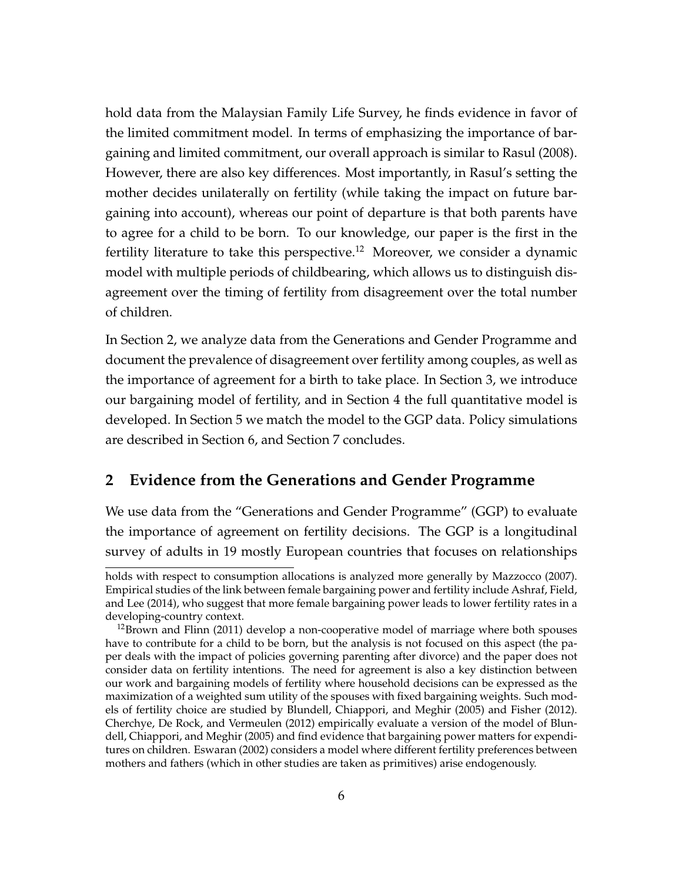hold data from the Malaysian Family Life Survey, he finds evidence in favor of the limited commitment model. In terms of emphasizing the importance of bargaining and limited commitment, our overall approach is similar to Rasul (2008). However, there are also key differences. Most importantly, in Rasul's setting the mother decides unilaterally on fertility (while taking the impact on future bargaining into account), whereas our point of departure is that both parents have to agree for a child to be born. To our knowledge, our paper is the first in the fertility literature to take this perspective.<sup>12</sup> Moreover, we consider a dynamic model with multiple periods of childbearing, which allows us to distinguish disagreement over the timing of fertility from disagreement over the total number of children.

In Section 2, we analyze data from the Generations and Gender Programme and document the prevalence of disagreement over fertility among couples, as well as the importance of agreement for a birth to take place. In Section 3, we introduce our bargaining model of fertility, and in Section 4 the full quantitative model is developed. In Section 5 we match the model to the GGP data. Policy simulations are described in Section 6, and Section 7 concludes.

### **2 Evidence from the Generations and Gender Programme**

We use data from the "Generations and Gender Programme" (GGP) to evaluate the importance of agreement on fertility decisions. The GGP is a longitudinal survey of adults in 19 mostly European countries that focuses on relationships

holds with respect to consumption allocations is analyzed more generally by Mazzocco (2007). Empirical studies of the link between female bargaining power and fertility include Ashraf, Field, and Lee (2014), who suggest that more female bargaining power leads to lower fertility rates in a developing-country context.

 $12$ Brown and Flinn (2011) develop a non-cooperative model of marriage where both spouses have to contribute for a child to be born, but the analysis is not focused on this aspect (the paper deals with the impact of policies governing parenting after divorce) and the paper does not consider data on fertility intentions. The need for agreement is also a key distinction between our work and bargaining models of fertility where household decisions can be expressed as the maximization of a weighted sum utility of the spouses with fixed bargaining weights. Such models of fertility choice are studied by Blundell, Chiappori, and Meghir (2005) and Fisher (2012). Cherchye, De Rock, and Vermeulen (2012) empirically evaluate a version of the model of Blundell, Chiappori, and Meghir (2005) and find evidence that bargaining power matters for expenditures on children. Eswaran (2002) considers a model where different fertility preferences between mothers and fathers (which in other studies are taken as primitives) arise endogenously.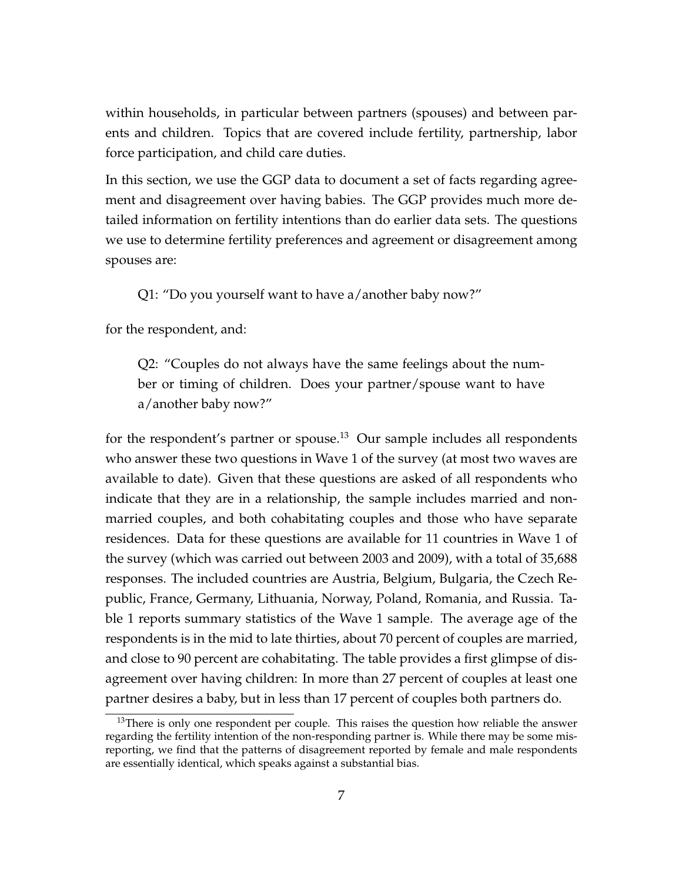within households, in particular between partners (spouses) and between parents and children. Topics that are covered include fertility, partnership, labor force participation, and child care duties.

In this section, we use the GGP data to document a set of facts regarding agreement and disagreement over having babies. The GGP provides much more detailed information on fertility intentions than do earlier data sets. The questions we use to determine fertility preferences and agreement or disagreement among spouses are:

Q1: "Do you yourself want to have a/another baby now?"

for the respondent, and:

Q2: "Couples do not always have the same feelings about the number or timing of children. Does your partner/spouse want to have a/another baby now?"

for the respondent's partner or spouse.<sup>13</sup> Our sample includes all respondents who answer these two questions in Wave 1 of the survey (at most two waves are available to date). Given that these questions are asked of all respondents who indicate that they are in a relationship, the sample includes married and nonmarried couples, and both cohabitating couples and those who have separate residences. Data for these questions are available for 11 countries in Wave 1 of the survey (which was carried out between 2003 and 2009), with a total of 35,688 responses. The included countries are Austria, Belgium, Bulgaria, the Czech Republic, France, Germany, Lithuania, Norway, Poland, Romania, and Russia. Table 1 reports summary statistics of the Wave 1 sample. The average age of the respondents is in the mid to late thirties, about 70 percent of couples are married, and close to 90 percent are cohabitating. The table provides a first glimpse of disagreement over having children: In more than 27 percent of couples at least one partner desires a baby, but in less than 17 percent of couples both partners do.

<sup>&</sup>lt;sup>13</sup>There is only one respondent per couple. This raises the question how reliable the answer regarding the fertility intention of the non-responding partner is. While there may be some misreporting, we find that the patterns of disagreement reported by female and male respondents are essentially identical, which speaks against a substantial bias.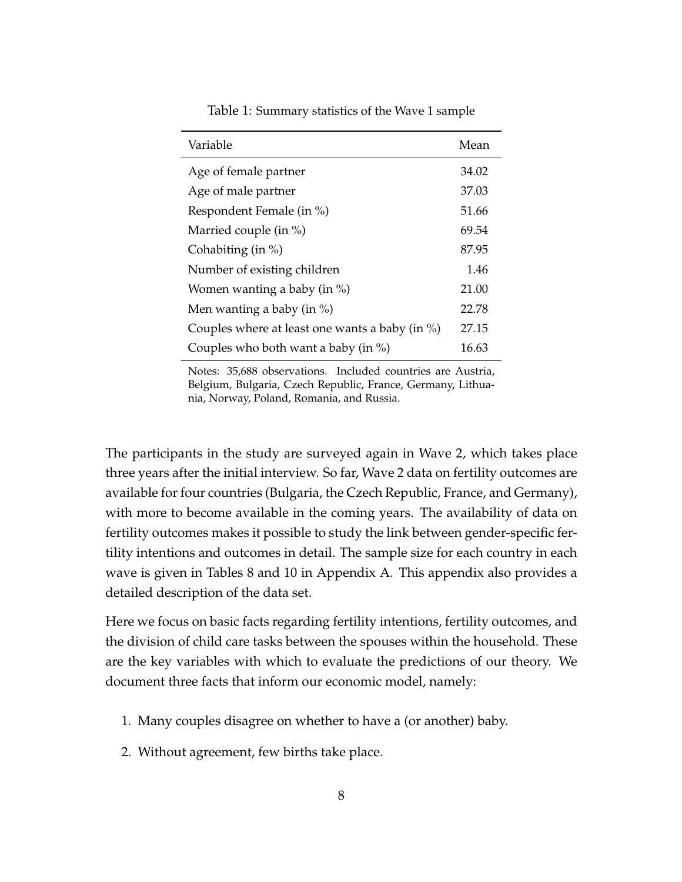| Variable                                           | Mean  |
|----------------------------------------------------|-------|
| Age of female partner                              | 34.02 |
| Age of male partner                                | 37.03 |
| Respondent Female (in %)                           | 51.66 |
| Married couple (in $\%$ )                          | 69.54 |
| Cohabiting (in $\%$ )                              | 87.95 |
| Number of existing children                        | 1.46  |
| Women wanting a baby (in $\%$ )                    | 21.00 |
| Men wanting a baby (in $\%$ )                      | 22.78 |
| Couples where at least one wants a baby (in $\%$ ) | 27.15 |
| Couples who both want a baby (in $\%$ )            | 16.63 |

Table 1: Summary statistics of the Wave 1 sample

Notes: 35,688 observations. Included countries are Austria, Belgium, Bulgaria, Czech Republic, France, Germany, Lithuania, Norway, Poland, Romania, and Russia.

The participants in the study are surveyed again in Wave 2, which takes place three years after the initial interview. So far, Wave 2 data on fertility outcomes are available for four countries (Bulgaria, the Czech Republic, France, and Germany), with more to become available in the coming years. The availability of data on fertility outcomes makes it possible to study the link between gender-specific fertility intentions and outcomes in detail. The sample size for each country in each wave is given in Tables 8 and 10 in Appendix A. This appendix also provides a detailed description of the data set.

Here we focus on basic facts regarding fertility intentions, fertility outcomes, and the division of child care tasks between the spouses within the household. These are the key variables with which to evaluate the predictions of our theory. We document three facts that inform our economic model, namely:

- 1. Many couples disagree on whether to have a (or another) baby.
- 2. Without agreement, few births take place.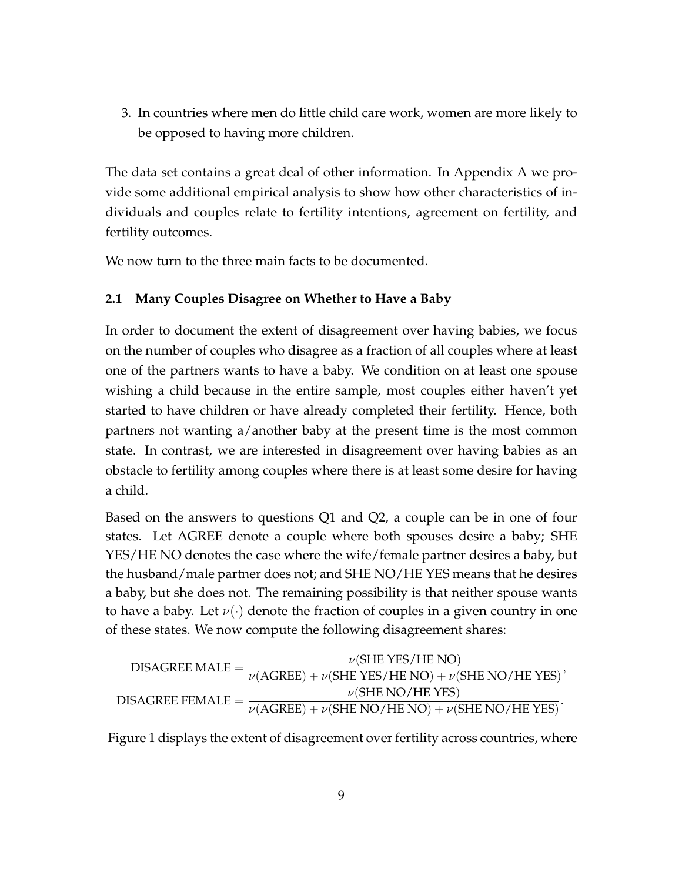3. In countries where men do little child care work, women are more likely to be opposed to having more children.

The data set contains a great deal of other information. In Appendix A we provide some additional empirical analysis to show how other characteristics of individuals and couples relate to fertility intentions, agreement on fertility, and fertility outcomes.

We now turn to the three main facts to be documented.

#### **2.1 Many Couples Disagree on Whether to Have a Baby**

In order to document the extent of disagreement over having babies, we focus on the number of couples who disagree as a fraction of all couples where at least one of the partners wants to have a baby. We condition on at least one spouse wishing a child because in the entire sample, most couples either haven't yet started to have children or have already completed their fertility. Hence, both partners not wanting a/another baby at the present time is the most common state. In contrast, we are interested in disagreement over having babies as an obstacle to fertility among couples where there is at least some desire for having a child.

Based on the answers to questions Q1 and Q2, a couple can be in one of four states. Let AGREE denote a couple where both spouses desire a baby; SHE YES/HE NO denotes the case where the wife/female partner desires a baby, but the husband/male partner does not; and SHE NO/HE YES means that he desires a baby, but she does not. The remaining possibility is that neither spouse wants to have a baby. Let *ν*(*·*) denote the fraction of couples in a given country in one of these states. We now compute the following disagreement shares:

DISAGREE MALE = 
$$
\frac{\nu(\text{SHE Yes/HE NO})}{\nu(\text{AGREE}) + \nu(\text{SHE Yes/HE NO}) + \nu(\text{SHE NO/HE Yes})},
$$
DISAGREE FEMALE = 
$$
\frac{\nu(\text{SHE NO/HE Yes})}{\nu(\text{AGREE}) + \nu(\text{SHE NO/HE NO}) + \nu(\text{SHE NO/HE Yes})}.
$$

Figure 1 displays the extent of disagreement over fertility across countries, where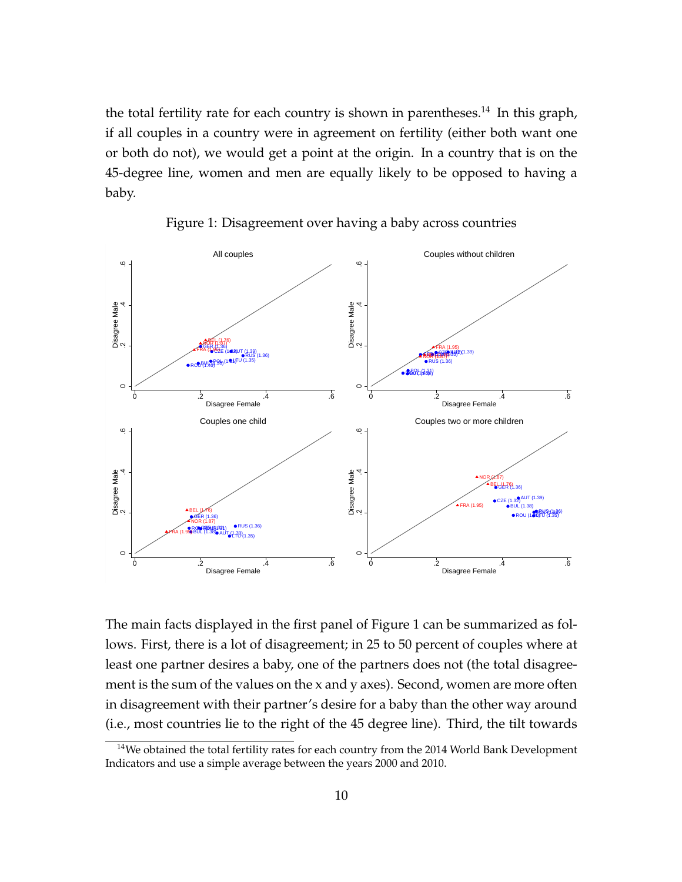the total fertility rate for each country is shown in parentheses.<sup>14</sup> In this graph, if all couples in a country were in agreement on fertility (either both want one or both do not), we would get a point at the origin. In a country that is on the 45-degree line, women and men are equally likely to be opposed to having a baby.



Figure 1: Disagreement over having a baby across countries

The main facts displayed in the first panel of Figure 1 can be summarized as follows. First, there is a lot of disagreement; in 25 to 50 percent of couples where at least one partner desires a baby, one of the partners does not (the total disagreement is the sum of the values on the x and y axes). Second, women are more often in disagreement with their partner's desire for a baby than the other way around (i.e., most countries lie to the right of the 45 degree line). Third, the tilt towards

<sup>&</sup>lt;sup>14</sup>We obtained the total fertility rates for each country from the 2014 World Bank Development Indicators and use a simple average between the years 2000 and 2010.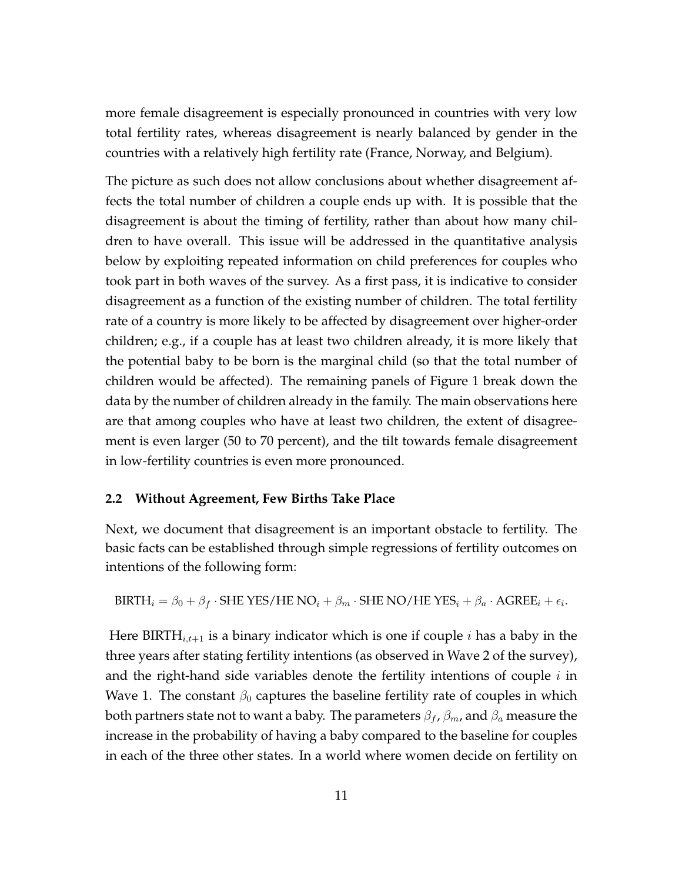more female disagreement is especially pronounced in countries with very low total fertility rates, whereas disagreement is nearly balanced by gender in the countries with a relatively high fertility rate (France, Norway, and Belgium).

The picture as such does not allow conclusions about whether disagreement affects the total number of children a couple ends up with. It is possible that the disagreement is about the timing of fertility, rather than about how many children to have overall. This issue will be addressed in the quantitative analysis below by exploiting repeated information on child preferences for couples who took part in both waves of the survey. As a first pass, it is indicative to consider disagreement as a function of the existing number of children. The total fertility rate of a country is more likely to be affected by disagreement over higher-order children; e.g., if a couple has at least two children already, it is more likely that the potential baby to be born is the marginal child (so that the total number of children would be affected). The remaining panels of Figure 1 break down the data by the number of children already in the family. The main observations here are that among couples who have at least two children, the extent of disagreement is even larger (50 to 70 percent), and the tilt towards female disagreement in low-fertility countries is even more pronounced.

#### **2.2 Without Agreement, Few Births Take Place**

Next, we document that disagreement is an important obstacle to fertility. The basic facts can be established through simple regressions of fertility outcomes on intentions of the following form:

BIRTH<sub>i</sub> = 
$$
\beta_0 + \beta_f
$$
·SHE Yes/HE NO<sub>i</sub> +  $\beta_m$ ·SHE NO/HE Yes<sub>i</sub> +  $\beta_a$ ·AGREE<sub>i</sub> +  $\epsilon_i$ .

Here BIRTH $_{i,t+1}$  is a binary indicator which is one if couple  $i$  has a baby in the three years after stating fertility intentions (as observed in Wave 2 of the survey), and the right-hand side variables denote the fertility intentions of couple *i* in Wave 1. The constant  $\beta_0$  captures the baseline fertility rate of couples in which both partners state not to want a baby. The parameters *β<sup>f</sup>* , *βm*, and *β<sup>a</sup>* measure the increase in the probability of having a baby compared to the baseline for couples in each of the three other states. In a world where women decide on fertility on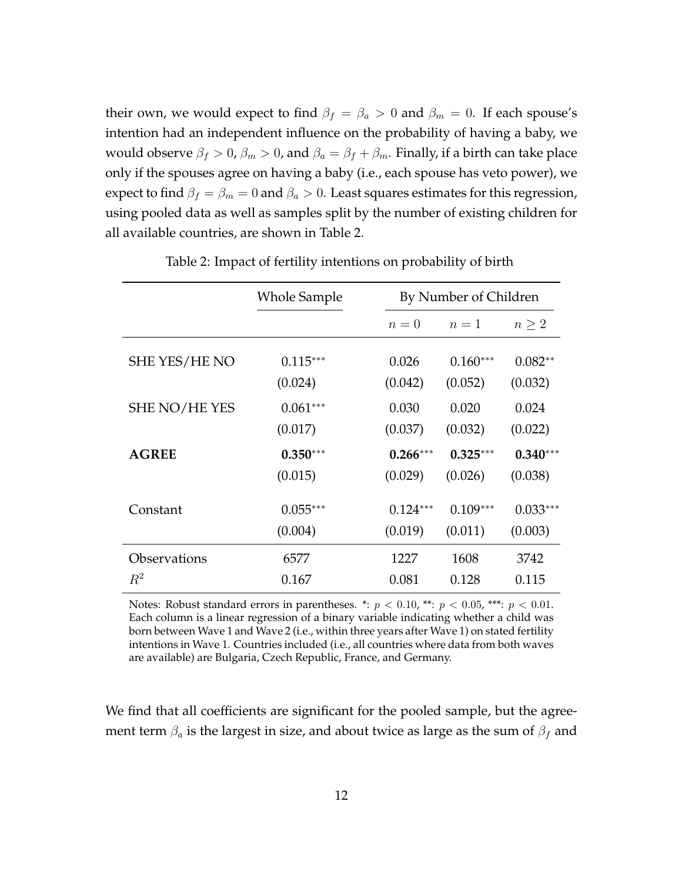their own, we would expect to find  $\beta_f = \beta_a > 0$  and  $\beta_m = 0$ . If each spouse's intention had an independent influence on the probability of having a baby, we would observe  $β$ <sup>*f*</sup>  $> 0$ ,  $β$ <sup>*m*</sup>  $> 0$ , and  $β$ <sup>*a*</sup> =  $β$ <sub>*f*</sub> +  $β$ <sup>*m*</sup>. Finally, if a birth can take place only if the spouses agree on having a baby (i.e., each spouse has veto power), we expect to find  $\beta_f = \beta_m = 0$  and  $\beta_a > 0$ . Least squares estimates for this regression, using pooled data as well as samples split by the number of existing children for all available countries, are shown in Table 2.

|               | <b>Whole Sample</b>   | By Number of Children |                       |                       |
|---------------|-----------------------|-----------------------|-----------------------|-----------------------|
|               |                       | $n=0$                 | $n=1$                 | $n \geq 2$            |
| SHE YES/HE NO | $0.115***$            | 0.026                 | $0.160***$            | $0.082**$             |
| SHE NO/HE YES | (0.024)<br>$0.061***$ | (0.042)<br>0.030      | (0.052)<br>0.020      | (0.032)<br>0.024      |
| <b>AGREE</b>  | (0.017)<br>$0.350***$ | (0.037)<br>$0.266***$ | (0.032)<br>$0.325***$ | (0.022)<br>$0.340***$ |
|               | (0.015)               | (0.029)               | (0.026)               | (0.038)               |
| Constant      | $0.055***$            | $0.124***$            | $0.109***$            | $0.033***$            |
|               | (0.004)               | (0.019)               | (0.011)               | (0.003)               |
| Observations  | 6577                  | 1227                  | 1608                  | 3742                  |
| $R^2$         | 0.167                 | 0.081                 | 0.128                 | 0.115                 |

Table 2: Impact of fertility intentions on probability of birth

Notes: Robust standard errors in parentheses. \*:  $p < 0.10$ , \*\*:  $p < 0.05$ , \*\*\*:  $p < 0.01$ . Each column is a linear regression of a binary variable indicating whether a child was born between Wave 1 and Wave 2 (i.e., within three years after Wave 1) on stated fertility intentions in Wave 1. Countries included (i.e., all countries where data from both waves are available) are Bulgaria, Czech Republic, France, and Germany.

We find that all coefficients are significant for the pooled sample, but the agreement term *β<sup>a</sup>* is the largest in size, and about twice as large as the sum of *β<sup>f</sup>* and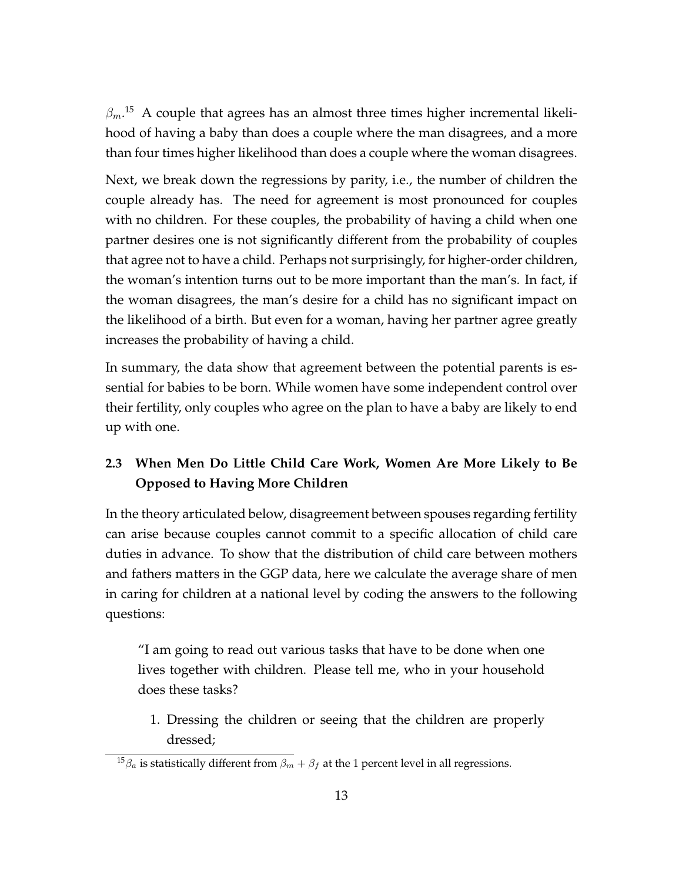$\beta_m$ .<sup>15</sup> A couple that agrees has an almost three times higher incremental likelihood of having a baby than does a couple where the man disagrees, and a more than four times higher likelihood than does a couple where the woman disagrees.

Next, we break down the regressions by parity, i.e., the number of children the couple already has. The need for agreement is most pronounced for couples with no children. For these couples, the probability of having a child when one partner desires one is not significantly different from the probability of couples that agree not to have a child. Perhaps not surprisingly, for higher-order children, the woman's intention turns out to be more important than the man's. In fact, if the woman disagrees, the man's desire for a child has no significant impact on the likelihood of a birth. But even for a woman, having her partner agree greatly increases the probability of having a child.

In summary, the data show that agreement between the potential parents is essential for babies to be born. While women have some independent control over their fertility, only couples who agree on the plan to have a baby are likely to end up with one.

## **2.3 When Men Do Little Child Care Work, Women Are More Likely to Be Opposed to Having More Children**

In the theory articulated below, disagreement between spouses regarding fertility can arise because couples cannot commit to a specific allocation of child care duties in advance. To show that the distribution of child care between mothers and fathers matters in the GGP data, here we calculate the average share of men in caring for children at a national level by coding the answers to the following questions:

"I am going to read out various tasks that have to be done when one lives together with children. Please tell me, who in your household does these tasks?

1. Dressing the children or seeing that the children are properly dressed;

<sup>&</sup>lt;sup>15</sup> $\beta_a$  is statistically different from  $\beta_m + \beta_f$  at the 1 percent level in all regressions.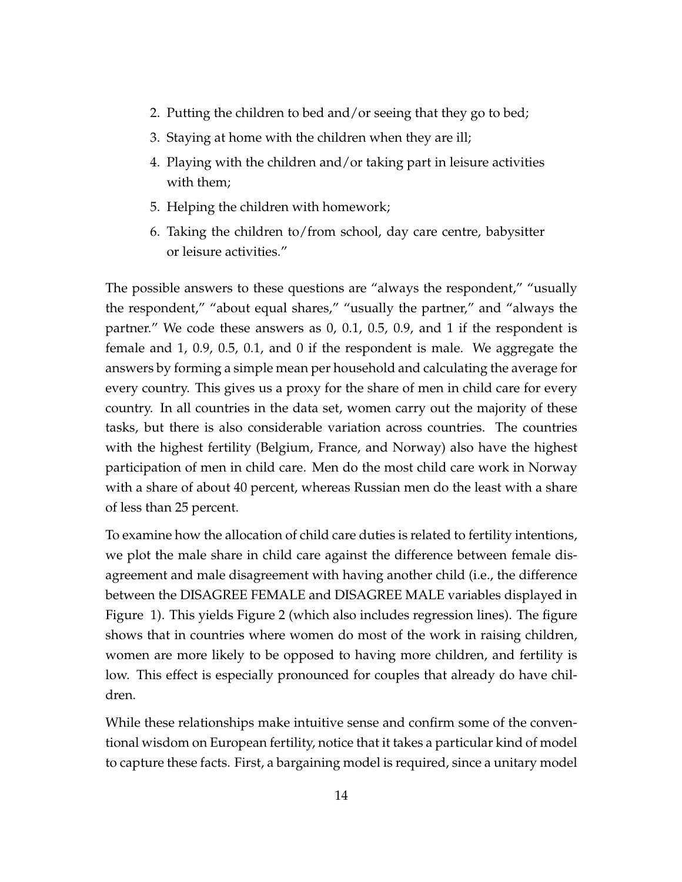- 2. Putting the children to bed and/or seeing that they go to bed;
- 3. Staying at home with the children when they are ill;
- 4. Playing with the children and/or taking part in leisure activities with them;
- 5. Helping the children with homework;
- 6. Taking the children to/from school, day care centre, babysitter or leisure activities."

The possible answers to these questions are "always the respondent," "usually the respondent," "about equal shares," "usually the partner," and "always the partner." We code these answers as 0, 0.1, 0.5, 0.9, and 1 if the respondent is female and 1, 0.9, 0.5, 0.1, and 0 if the respondent is male. We aggregate the answers by forming a simple mean per household and calculating the average for every country. This gives us a proxy for the share of men in child care for every country. In all countries in the data set, women carry out the majority of these tasks, but there is also considerable variation across countries. The countries with the highest fertility (Belgium, France, and Norway) also have the highest participation of men in child care. Men do the most child care work in Norway with a share of about 40 percent, whereas Russian men do the least with a share of less than 25 percent.

To examine how the allocation of child care duties is related to fertility intentions, we plot the male share in child care against the difference between female disagreement and male disagreement with having another child (i.e., the difference between the DISAGREE FEMALE and DISAGREE MALE variables displayed in Figure 1). This yields Figure 2 (which also includes regression lines). The figure shows that in countries where women do most of the work in raising children, women are more likely to be opposed to having more children, and fertility is low. This effect is especially pronounced for couples that already do have children.

While these relationships make intuitive sense and confirm some of the conventional wisdom on European fertility, notice that it takes a particular kind of model to capture these facts. First, a bargaining model is required, since a unitary model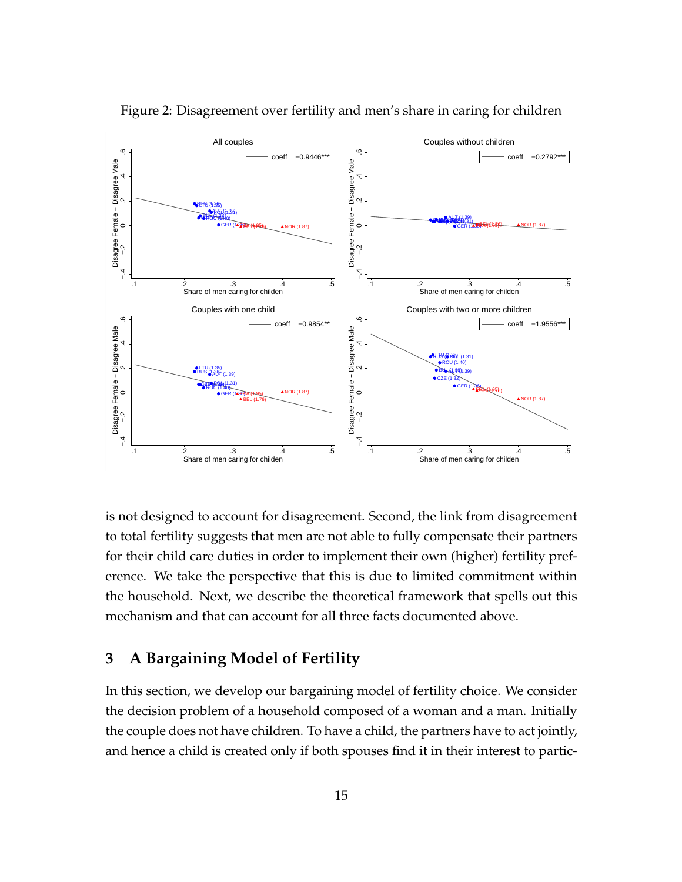

Figure 2: Disagreement over fertility and men's share in caring for children

is not designed to account for disagreement. Second, the link from disagreement to total fertility suggests that men are not able to fully compensate their partners for their child care duties in order to implement their own (higher) fertility preference. We take the perspective that this is due to limited commitment within the household. Next, we describe the theoretical framework that spells out this mechanism and that can account for all three facts documented above.

### **3 A Bargaining Model of Fertility**

In this section, we develop our bargaining model of fertility choice. We consider the decision problem of a household composed of a woman and a man. Initially the couple does not have children. To have a child, the partners have to act jointly, and hence a child is created only if both spouses find it in their interest to partic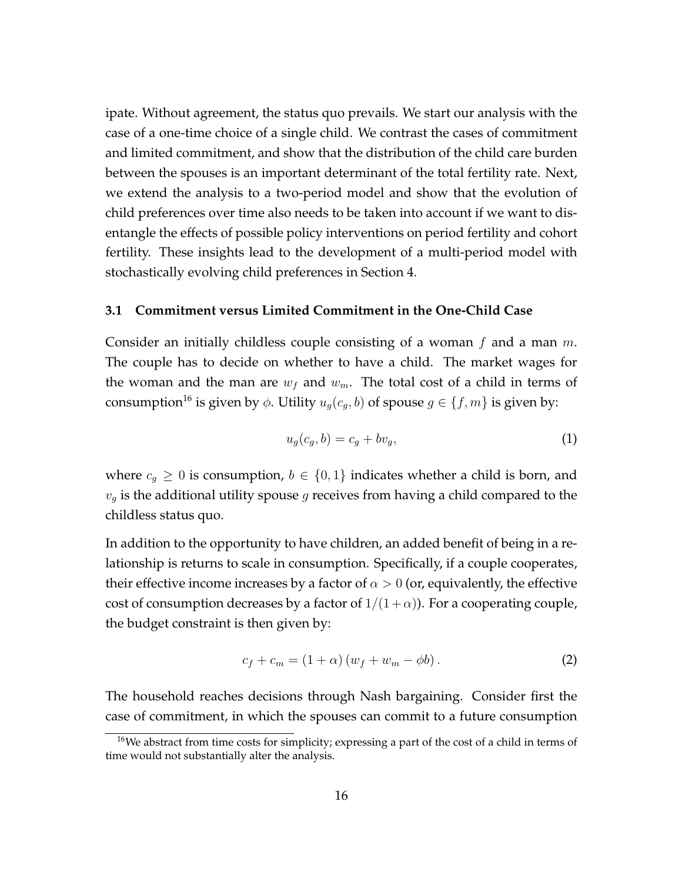ipate. Without agreement, the status quo prevails. We start our analysis with the case of a one-time choice of a single child. We contrast the cases of commitment and limited commitment, and show that the distribution of the child care burden between the spouses is an important determinant of the total fertility rate. Next, we extend the analysis to a two-period model and show that the evolution of child preferences over time also needs to be taken into account if we want to disentangle the effects of possible policy interventions on period fertility and cohort fertility. These insights lead to the development of a multi-period model with stochastically evolving child preferences in Section 4.

#### **3.1 Commitment versus Limited Commitment in the One-Child Case**

Consider an initially childless couple consisting of a woman *f* and a man *m*. The couple has to decide on whether to have a child. The market wages for the woman and the man are  $w_f$  and  $w_m$ . The total cost of a child in terms of consumption<sup>16</sup> is given by  $\phi$ . Utility  $u_g(c_g, b)$  of spouse  $g \in \{f, m\}$  is given by:

$$
u_g(c_g, b) = c_g + bv_g,\tag{1}
$$

where  $c_g \geq 0$  is consumption,  $b \in \{0,1\}$  indicates whether a child is born, and *v<sup>g</sup>* is the additional utility spouse *g* receives from having a child compared to the childless status quo.

In addition to the opportunity to have children, an added benefit of being in a relationship is returns to scale in consumption. Specifically, if a couple cooperates, their effective income increases by a factor of  $\alpha > 0$  (or, equivalently, the effective cost of consumption decreases by a factor of  $1/(1+\alpha)$ ). For a cooperating couple, the budget constraint is then given by:

$$
c_f + c_m = (1 + \alpha) (w_f + w_m - \phi b).
$$
 (2)

The household reaches decisions through Nash bargaining. Consider first the case of commitment, in which the spouses can commit to a future consumption

<sup>&</sup>lt;sup>16</sup>We abstract from time costs for simplicity; expressing a part of the cost of a child in terms of time would not substantially alter the analysis.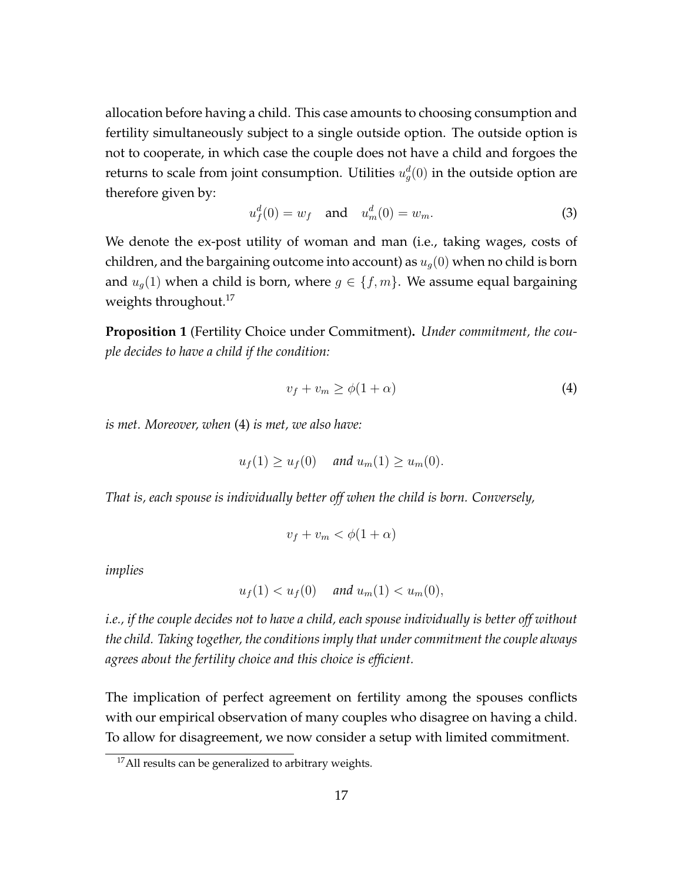allocation before having a child. This case amounts to choosing consumption and fertility simultaneously subject to a single outside option. The outside option is not to cooperate, in which case the couple does not have a child and forgoes the returns to scale from joint consumption. Utilities  $u_g^d(0)$  in the outside option are therefore given by:

$$
u_f^d(0) = w_f \text{ and } u_m^d(0) = w_m. \tag{3}
$$

We denote the ex-post utility of woman and man (i.e., taking wages, costs of children, and the bargaining outcome into account) as *ug*(0) when no child is born and  $u_q(1)$  when a child is born, where  $g \in \{f, m\}$ . We assume equal bargaining weights throughout.<sup>17</sup>

**Proposition 1** (Fertility Choice under Commitment)**.** *Under commitment, the couple decides to have a child if the condition:*

$$
v_f + v_m \ge \phi(1 + \alpha) \tag{4}
$$

*is met. Moreover, when* (4) *is met, we also have:*

$$
u_f(1) \ge u_f(0) \quad \text{and } u_m(1) \ge u_m(0).
$$

*That is, each spouse is individually better off when the child is born. Conversely,*

$$
v_f + v_m < \phi(1 + \alpha)
$$

*implies*

$$
u_f(1) < u_f(0) \quad \text{and } u_m(1) < u_m(0),
$$

*i.e., if the couple decides not to have a child, each spouse individually is better off without the child. Taking together, the conditions imply that under commitment the couple always agrees about the fertility choice and this choice is efficient.*

The implication of perfect agreement on fertility among the spouses conflicts with our empirical observation of many couples who disagree on having a child. To allow for disagreement, we now consider a setup with limited commitment.

<sup>&</sup>lt;sup>17</sup>All results can be generalized to arbitrary weights.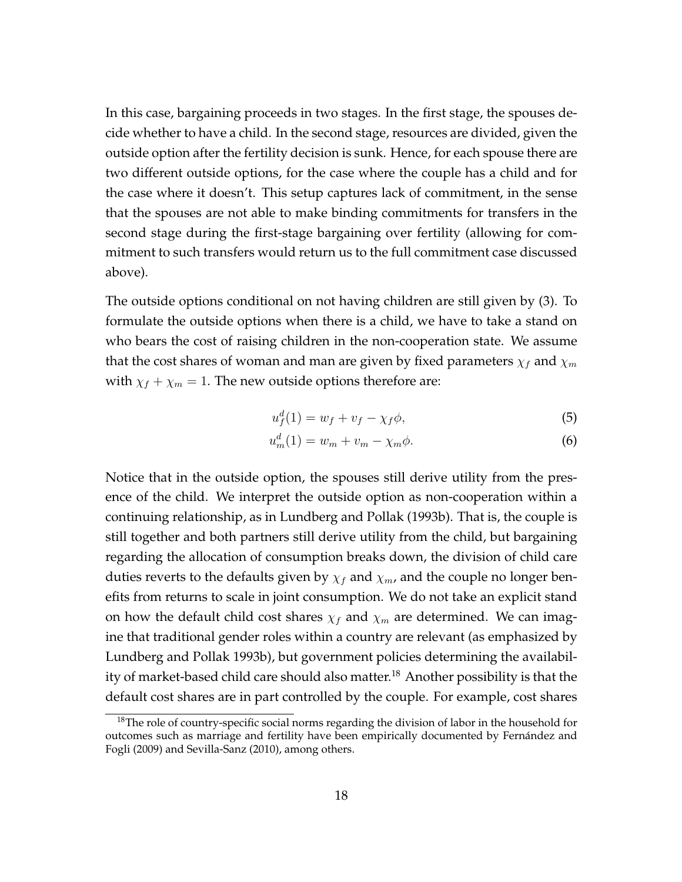In this case, bargaining proceeds in two stages. In the first stage, the spouses decide whether to have a child. In the second stage, resources are divided, given the outside option after the fertility decision is sunk. Hence, for each spouse there are two different outside options, for the case where the couple has a child and for the case where it doesn't. This setup captures lack of commitment, in the sense that the spouses are not able to make binding commitments for transfers in the second stage during the first-stage bargaining over fertility (allowing for commitment to such transfers would return us to the full commitment case discussed above).

The outside options conditional on not having children are still given by (3). To formulate the outside options when there is a child, we have to take a stand on who bears the cost of raising children in the non-cooperation state. We assume that the cost shares of woman and man are given by fixed parameters  $\chi_f$  and  $\chi_m$ with  $\chi_f + \chi_m = 1$ . The new outside options therefore are:

$$
u_f^d(1) = w_f + v_f - \chi_f \phi,\tag{5}
$$

$$
u_m^d(1) = w_m + v_m - \chi_m \phi.
$$
 (6)

Notice that in the outside option, the spouses still derive utility from the presence of the child. We interpret the outside option as non-cooperation within a continuing relationship, as in Lundberg and Pollak (1993b). That is, the couple is still together and both partners still derive utility from the child, but bargaining regarding the allocation of consumption breaks down, the division of child care duties reverts to the defaults given by  $\chi_f$  and  $\chi_m$ , and the couple no longer benefits from returns to scale in joint consumption. We do not take an explicit stand on how the default child cost shares  $\chi_f$  and  $\chi_m$  are determined. We can imagine that traditional gender roles within a country are relevant (as emphasized by Lundberg and Pollak 1993b), but government policies determining the availability of market-based child care should also matter.<sup>18</sup> Another possibility is that the default cost shares are in part controlled by the couple. For example, cost shares

<sup>&</sup>lt;sup>18</sup>The role of country-specific social norms regarding the division of labor in the household for outcomes such as marriage and fertility have been empirically documented by Fernández and Fogli (2009) and Sevilla-Sanz (2010), among others.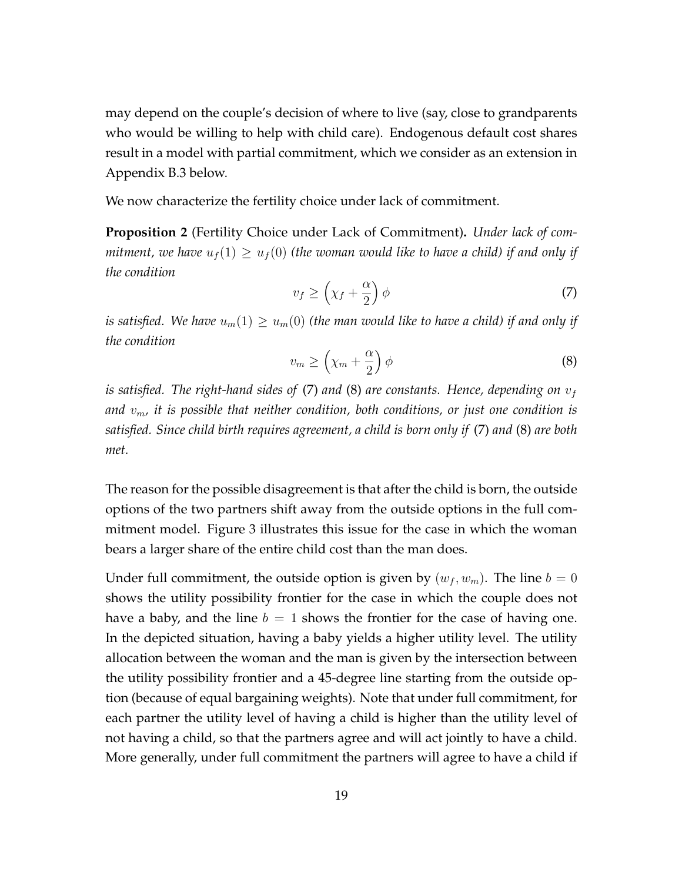may depend on the couple's decision of where to live (say, close to grandparents who would be willing to help with child care). Endogenous default cost shares result in a model with partial commitment, which we consider as an extension in Appendix B.3 below.

We now characterize the fertility choice under lack of commitment.

**Proposition 2** (Fertility Choice under Lack of Commitment)**.** *Under lack of commitment, we have*  $u_f(1) \geq u_f(0)$  (the woman would like to have a child) if and only if *the condition*

$$
v_f \ge \left(\chi_f + \frac{\alpha}{2}\right)\phi\tag{7}
$$

*is satisfied. We have*  $u_m(1) \geq u_m(0)$  (the man would like to have a child) if and only if *the condition*

$$
v_m \ge \left(\chi_m + \frac{\alpha}{2}\right)\phi\tag{8}
$$

*is satisfied. The right-hand sides of* (7) *and* (8) *are constants. Hence, depending on v<sup>f</sup> and vm, it is possible that neither condition, both conditions, or just one condition is satisfied. Since child birth requires agreement, a child is born only if* (7) *and* (8) *are both met.*

The reason for the possible disagreement is that after the child is born, the outside options of the two partners shift away from the outside options in the full commitment model. Figure 3 illustrates this issue for the case in which the woman bears a larger share of the entire child cost than the man does.

Under full commitment, the outside option is given by  $(w_f, w_m)$ . The line  $b = 0$ shows the utility possibility frontier for the case in which the couple does not have a baby, and the line  $b = 1$  shows the frontier for the case of having one. In the depicted situation, having a baby yields a higher utility level. The utility allocation between the woman and the man is given by the intersection between the utility possibility frontier and a 45-degree line starting from the outside option (because of equal bargaining weights). Note that under full commitment, for each partner the utility level of having a child is higher than the utility level of not having a child, so that the partners agree and will act jointly to have a child. More generally, under full commitment the partners will agree to have a child if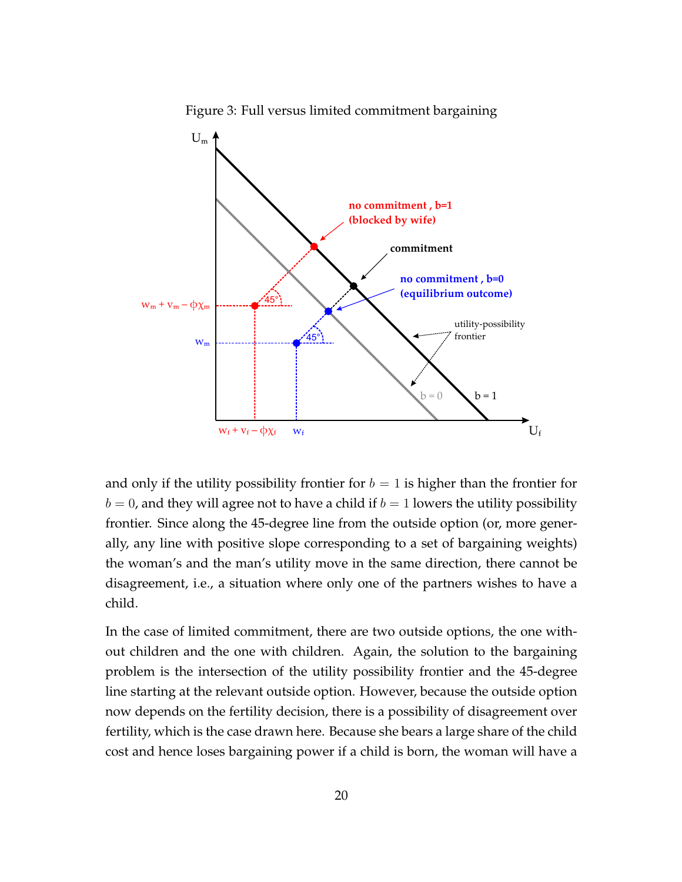

Figure 3: Full versus limited commitment bargaining

and only if the utility possibility frontier for  $b = 1$  is higher than the frontier for  $b = 0$ , and they will agree not to have a child if  $b = 1$  lowers the utility possibility frontier. Since along the 45-degree line from the outside option (or, more generally, any line with positive slope corresponding to a set of bargaining weights) the woman's and the man's utility move in the same direction, there cannot be disagreement, i.e., a situation where only one of the partners wishes to have a child.

In the case of limited commitment, there are two outside options, the one without children and the one with children. Again, the solution to the bargaining problem is the intersection of the utility possibility frontier and the 45-degree line starting at the relevant outside option. However, because the outside option now depends on the fertility decision, there is a possibility of disagreement over fertility, which is the case drawn here. Because she bears a large share of the child cost and hence loses bargaining power if a child is born, the woman will have a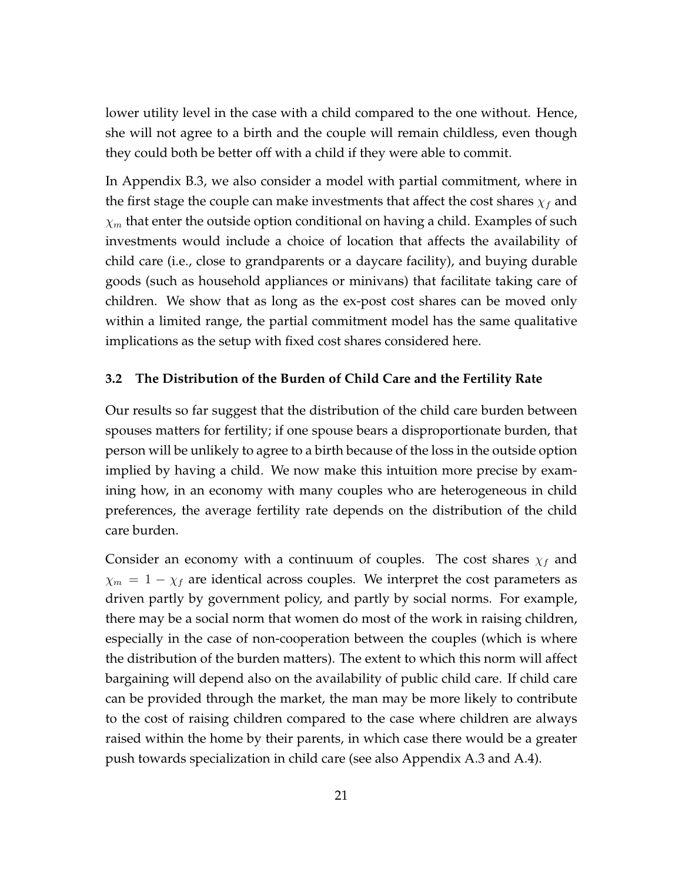lower utility level in the case with a child compared to the one without. Hence, she will not agree to a birth and the couple will remain childless, even though they could both be better off with a child if they were able to commit.

In Appendix B.3, we also consider a model with partial commitment, where in the first stage the couple can make investments that affect the cost shares  $\chi_f$  and *χ<sup>m</sup>* that enter the outside option conditional on having a child. Examples of such investments would include a choice of location that affects the availability of child care (i.e., close to grandparents or a daycare facility), and buying durable goods (such as household appliances or minivans) that facilitate taking care of children. We show that as long as the ex-post cost shares can be moved only within a limited range, the partial commitment model has the same qualitative implications as the setup with fixed cost shares considered here.

#### **3.2 The Distribution of the Burden of Child Care and the Fertility Rate**

Our results so far suggest that the distribution of the child care burden between spouses matters for fertility; if one spouse bears a disproportionate burden, that person will be unlikely to agree to a birth because of the loss in the outside option implied by having a child. We now make this intuition more precise by examining how, in an economy with many couples who are heterogeneous in child preferences, the average fertility rate depends on the distribution of the child care burden.

Consider an economy with a continuum of couples. The cost shares *χ<sup>f</sup>* and  $\chi_m = 1 - \chi_f$  are identical across couples. We interpret the cost parameters as driven partly by government policy, and partly by social norms. For example, there may be a social norm that women do most of the work in raising children, especially in the case of non-cooperation between the couples (which is where the distribution of the burden matters). The extent to which this norm will affect bargaining will depend also on the availability of public child care. If child care can be provided through the market, the man may be more likely to contribute to the cost of raising children compared to the case where children are always raised within the home by their parents, in which case there would be a greater push towards specialization in child care (see also Appendix A.3 and A.4).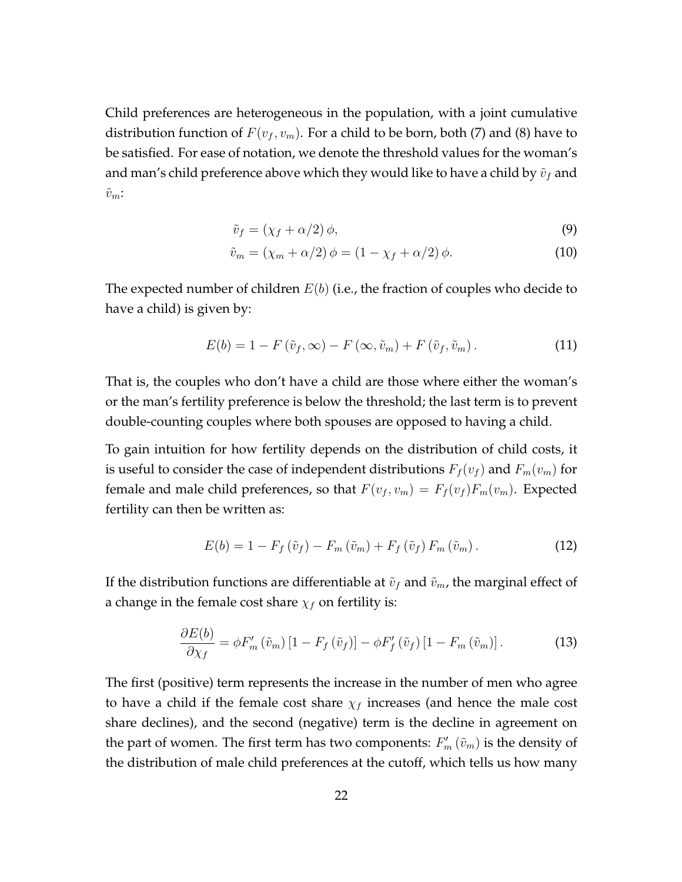Child preferences are heterogeneous in the population, with a joint cumulative distribution function of  $F(v_f, v_m)$ . For a child to be born, both (7) and (8) have to be satisfied. For ease of notation, we denote the threshold values for the woman's and man's child preference above which they would like to have a child by  $\tilde{v}_f$  and  $\tilde{v}_m$ :

$$
\tilde{v}_f = (\chi_f + \alpha/2)\,\phi,\tag{9}
$$

$$
\tilde{v}_m = (\chi_m + \alpha/2)\phi = (1 - \chi_f + \alpha/2)\phi.
$$
\n(10)

The expected number of children *E*(*b*) (i.e., the fraction of couples who decide to have a child) is given by:

$$
E(b) = 1 - F(\tilde{v}_f, \infty) - F(\infty, \tilde{v}_m) + F(\tilde{v}_f, \tilde{v}_m).
$$
\n(11)

That is, the couples who don't have a child are those where either the woman's or the man's fertility preference is below the threshold; the last term is to prevent double-counting couples where both spouses are opposed to having a child.

To gain intuition for how fertility depends on the distribution of child costs, it is useful to consider the case of independent distributions  $F_f(v_f)$  and  $F_m(v_m)$  for female and male child preferences, so that  $F(v_f, v_m) = F_f(v_f) F_m(v_m)$ . Expected fertility can then be written as:

$$
E(b) = 1 - F_f\left(\tilde{v}_f\right) - F_m\left(\tilde{v}_m\right) + F_f\left(\tilde{v}_f\right)F_m\left(\tilde{v}_m\right). \tag{12}
$$

If the distribution functions are differentiable at  $\tilde{v}_f$  and  $\tilde{v}_m$ , the marginal effect of a change in the female cost share  $\chi_f$  on fertility is:

$$
\frac{\partial E(b)}{\partial \chi_f} = \phi F'_m \left( \tilde{v}_m \right) \left[ 1 - F_f \left( \tilde{v}_f \right) \right] - \phi F'_f \left( \tilde{v}_f \right) \left[ 1 - F_m \left( \tilde{v}_m \right) \right]. \tag{13}
$$

The first (positive) term represents the increase in the number of men who agree to have a child if the female cost share  $\chi_f$  increases (and hence the male cost share declines), and the second (negative) term is the decline in agreement on the part of women. The first term has two components:  $F'_{m} \left(\tilde{v}_{m}\right)$  is the density of the distribution of male child preferences at the cutoff, which tells us how many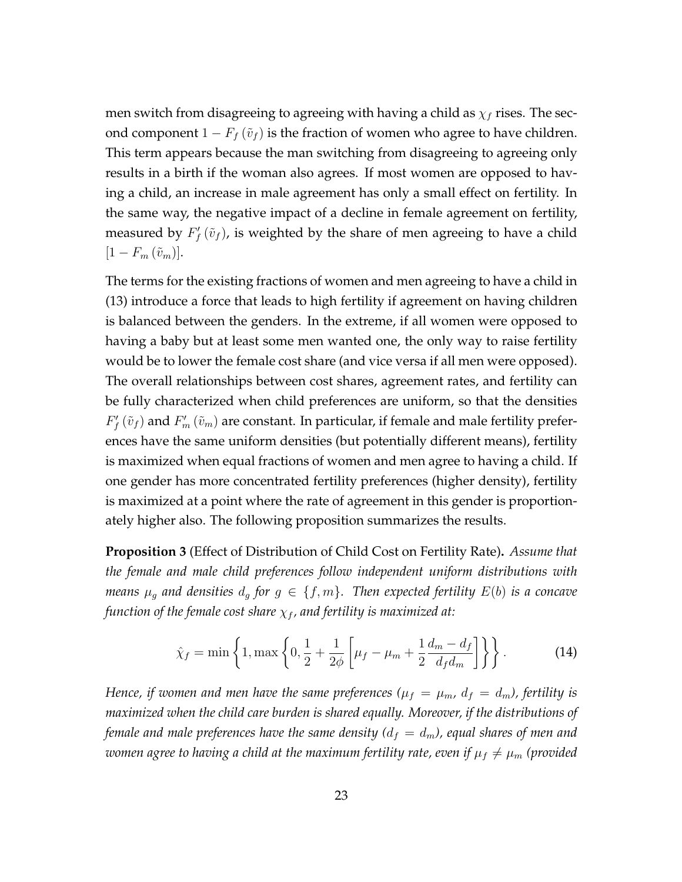men switch from disagreeing to agreeing with having a child as  $\chi_f$  rises. The second component  $1 - F_f(\tilde{v}_f)$  is the fraction of women who agree to have children. This term appears because the man switching from disagreeing to agreeing only results in a birth if the woman also agrees. If most women are opposed to having a child, an increase in male agreement has only a small effect on fertility. In the same way, the negative impact of a decline in female agreement on fertility, measured by  $F_f'(\tilde{v}_f)$ , is weighted by the share of men agreeing to have a child  $[1 - F_m(\tilde{v}_m)].$ 

The terms for the existing fractions of women and men agreeing to have a child in (13) introduce a force that leads to high fertility if agreement on having children is balanced between the genders. In the extreme, if all women were opposed to having a baby but at least some men wanted one, the only way to raise fertility would be to lower the female cost share (and vice versa if all men were opposed). The overall relationships between cost shares, agreement rates, and fertility can be fully characterized when child preferences are uniform, so that the densities  $F'_{f}(\tilde{v}_{f})$  and  $F'_{m}(\tilde{v}_{m})$  are constant. In particular, if female and male fertility preferences have the same uniform densities (but potentially different means), fertility is maximized when equal fractions of women and men agree to having a child. If one gender has more concentrated fertility preferences (higher density), fertility is maximized at a point where the rate of agreement in this gender is proportionately higher also. The following proposition summarizes the results.

**Proposition 3** (Effect of Distribution of Child Cost on Fertility Rate)**.** *Assume that the female and male child preferences follow independent uniform distributions with means*  $\mu_g$  *and densities*  $d_g$  *for*  $g \in \{f, m\}$ *. Then expected fertility*  $E(b)$  *is a concave function of the female cost share χ<sup>f</sup> , and fertility is maximized at:*

$$
\hat{\chi}_f = \min\left\{1, \max\left\{0, \frac{1}{2} + \frac{1}{2\phi} \left[ \mu_f - \mu_m + \frac{1}{2} \frac{d_m - d_f}{d_f d_m} \right] \right\} \right\}.
$$
 (14)

*Hence, if women and men have the same preferences (* $\mu_f = \mu_m$ *,*  $d_f = d_m$ *), fertility is maximized when the child care burden is shared equally. Moreover, if the distributions of female and male preferences have the same density (* $d_f = d_m$ *), equal shares of men and women agree to having a child at the maximum fertility rate, even if*  $\mu_f \neq \mu_m$  (provided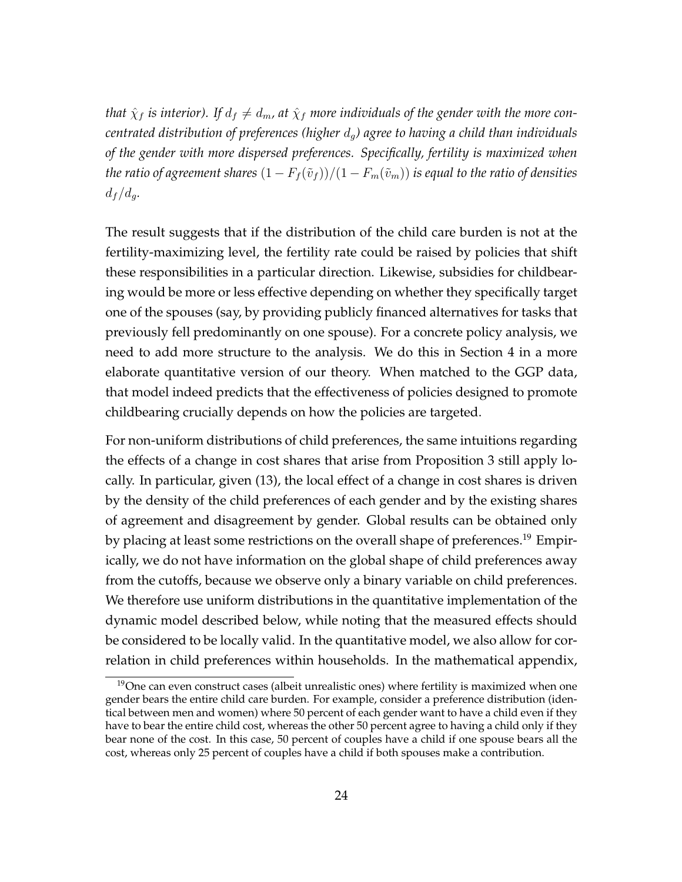*that*  $\hat{\chi}_f$  *is interior*). If  $d_f \neq d_m$ , at  $\hat{\chi}_f$  *more individuals of the gender with the more concentrated distribution of preferences (higher dg) agree to having a child than individuals of the gender with more dispersed preferences. Specifically, fertility is maximized when the ratio of agreement shares*  $(1 - F_f(\tilde{v}_f))/(1 - F_m(\tilde{v}_m))$  *is equal to the ratio of densities*  $d_f/d_q$ .

The result suggests that if the distribution of the child care burden is not at the fertility-maximizing level, the fertility rate could be raised by policies that shift these responsibilities in a particular direction. Likewise, subsidies for childbearing would be more or less effective depending on whether they specifically target one of the spouses (say, by providing publicly financed alternatives for tasks that previously fell predominantly on one spouse). For a concrete policy analysis, we need to add more structure to the analysis. We do this in Section 4 in a more elaborate quantitative version of our theory. When matched to the GGP data, that model indeed predicts that the effectiveness of policies designed to promote childbearing crucially depends on how the policies are targeted.

For non-uniform distributions of child preferences, the same intuitions regarding the effects of a change in cost shares that arise from Proposition 3 still apply locally. In particular, given (13), the local effect of a change in cost shares is driven by the density of the child preferences of each gender and by the existing shares of agreement and disagreement by gender. Global results can be obtained only by placing at least some restrictions on the overall shape of preferences.<sup>19</sup> Empirically, we do not have information on the global shape of child preferences away from the cutoffs, because we observe only a binary variable on child preferences. We therefore use uniform distributions in the quantitative implementation of the dynamic model described below, while noting that the measured effects should be considered to be locally valid. In the quantitative model, we also allow for correlation in child preferences within households. In the mathematical appendix,

 $19$ One can even construct cases (albeit unrealistic ones) where fertility is maximized when one gender bears the entire child care burden. For example, consider a preference distribution (identical between men and women) where 50 percent of each gender want to have a child even if they have to bear the entire child cost, whereas the other 50 percent agree to having a child only if they bear none of the cost. In this case, 50 percent of couples have a child if one spouse bears all the cost, whereas only 25 percent of couples have a child if both spouses make a contribution.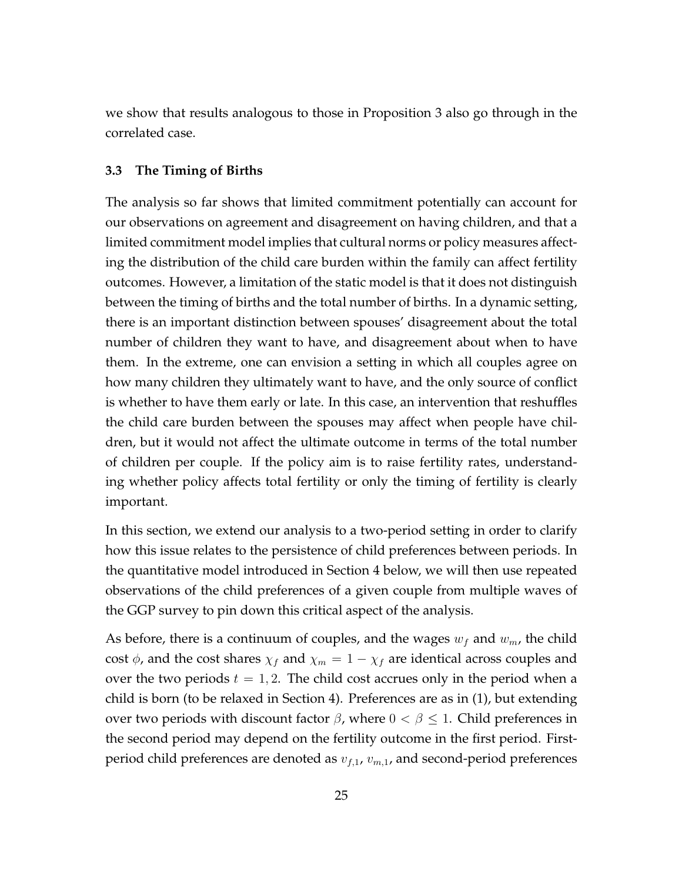we show that results analogous to those in Proposition 3 also go through in the correlated case.

#### **3.3 The Timing of Births**

The analysis so far shows that limited commitment potentially can account for our observations on agreement and disagreement on having children, and that a limited commitment model implies that cultural norms or policy measures affecting the distribution of the child care burden within the family can affect fertility outcomes. However, a limitation of the static model is that it does not distinguish between the timing of births and the total number of births. In a dynamic setting, there is an important distinction between spouses' disagreement about the total number of children they want to have, and disagreement about when to have them. In the extreme, one can envision a setting in which all couples agree on how many children they ultimately want to have, and the only source of conflict is whether to have them early or late. In this case, an intervention that reshuffles the child care burden between the spouses may affect when people have children, but it would not affect the ultimate outcome in terms of the total number of children per couple. If the policy aim is to raise fertility rates, understanding whether policy affects total fertility or only the timing of fertility is clearly important.

In this section, we extend our analysis to a two-period setting in order to clarify how this issue relates to the persistence of child preferences between periods. In the quantitative model introduced in Section 4 below, we will then use repeated observations of the child preferences of a given couple from multiple waves of the GGP survey to pin down this critical aspect of the analysis.

As before, there is a continuum of couples, and the wages  $w_f$  and  $w_m$ , the child cost  $\phi$ , and the cost shares  $\chi_f$  and  $\chi_m = 1 - \chi_f$  are identical across couples and over the two periods  $t = 1, 2$ . The child cost accrues only in the period when a child is born (to be relaxed in Section 4). Preferences are as in (1), but extending over two periods with discount factor  $\beta$ , where  $0 < \beta \leq 1$ . Child preferences in the second period may depend on the fertility outcome in the first period. Firstperiod child preferences are denoted as *vf,*1, *vm,*1, and second-period preferences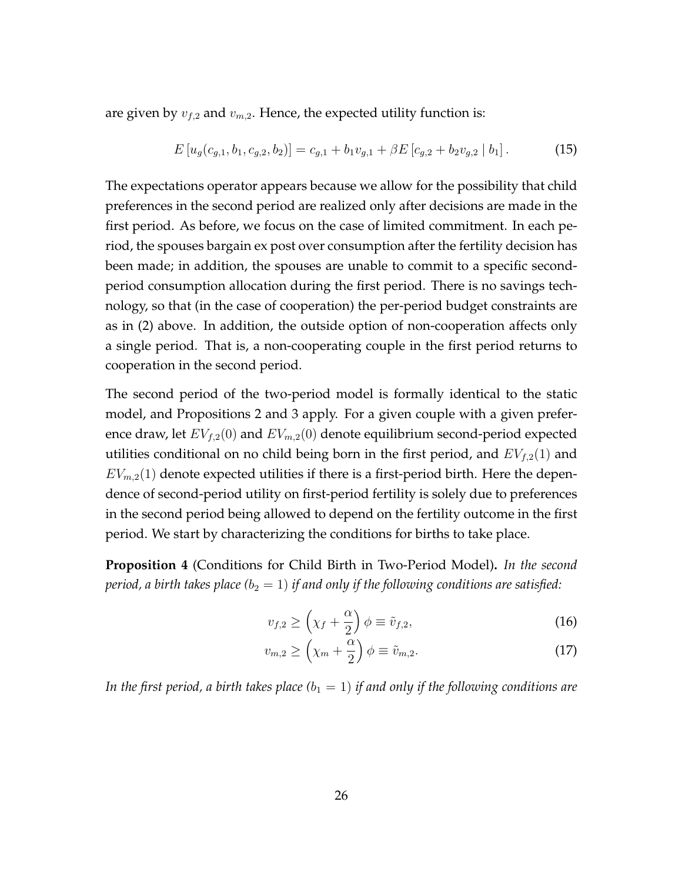are given by  $v_{f,2}$  and  $v_{m,2}$ . Hence, the expected utility function is:

$$
E[u_g(c_{g,1}, b_1, c_{g,2}, b_2)] = c_{g,1} + b_1 v_{g,1} + \beta E[c_{g,2} + b_2 v_{g,2} | b_1]. \tag{15}
$$

The expectations operator appears because we allow for the possibility that child preferences in the second period are realized only after decisions are made in the first period. As before, we focus on the case of limited commitment. In each period, the spouses bargain ex post over consumption after the fertility decision has been made; in addition, the spouses are unable to commit to a specific secondperiod consumption allocation during the first period. There is no savings technology, so that (in the case of cooperation) the per-period budget constraints are as in (2) above. In addition, the outside option of non-cooperation affects only a single period. That is, a non-cooperating couple in the first period returns to cooperation in the second period.

The second period of the two-period model is formally identical to the static model, and Propositions 2 and 3 apply. For a given couple with a given preference draw, let *EVf,*2(0) and *EVm,*2(0) denote equilibrium second-period expected utilities conditional on no child being born in the first period, and *EVf,*2(1) and  $EV_{m,2}(1)$  denote expected utilities if there is a first-period birth. Here the dependence of second-period utility on first-period fertility is solely due to preferences in the second period being allowed to depend on the fertility outcome in the first period. We start by characterizing the conditions for births to take place.

**Proposition 4** (Conditions for Child Birth in Two-Period Model)**.** *In the second period, a birth takes place*  $(b_2 = 1)$  *if and only if the following conditions are satisfied:* 

$$
v_{f,2} \ge \left(\chi_f + \frac{\alpha}{2}\right)\phi \equiv \tilde{v}_{f,2},\tag{16}
$$

$$
v_{m,2} \ge \left(\chi_m + \frac{\alpha}{2}\right)\phi \equiv \tilde{v}_{m,2}.\tag{17}
$$

*In the first period, a birth takes place*  $(b_1 = 1)$  *if and only if the following conditions are*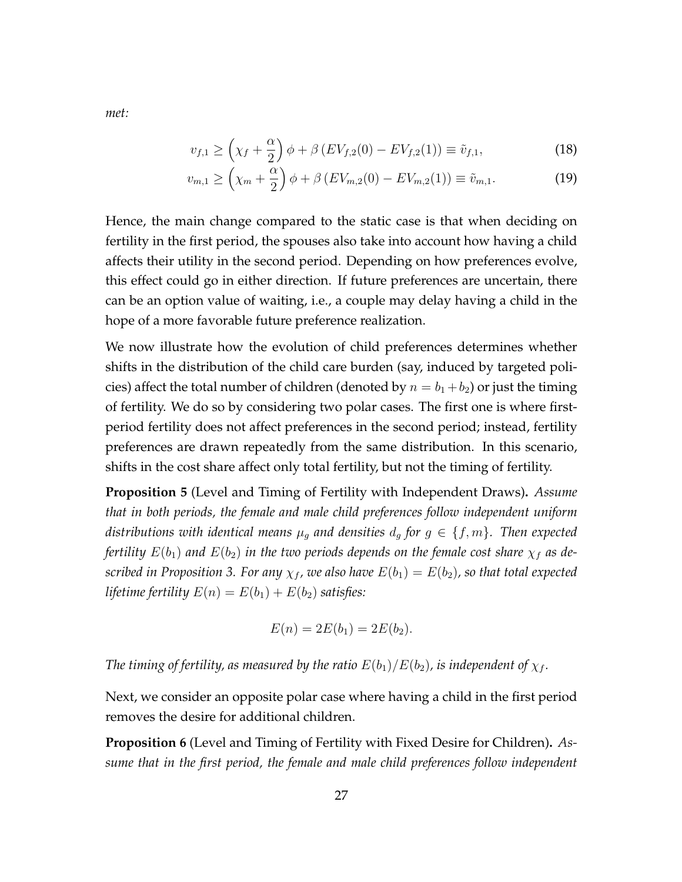$$
v_{f,1} \ge \left(\chi_f + \frac{\alpha}{2}\right)\phi + \beta\left(EV_{f,2}(0) - EV_{f,2}(1)\right) \equiv \tilde{v}_{f,1},\tag{18}
$$

$$
v_{m,1} \ge \left(\chi_m + \frac{\alpha}{2}\right)\phi + \beta\left(EV_{m,2}(0) - EV_{m,2}(1)\right) \equiv \tilde{v}_{m,1}.
$$
 (19)

Hence, the main change compared to the static case is that when deciding on fertility in the first period, the spouses also take into account how having a child affects their utility in the second period. Depending on how preferences evolve, this effect could go in either direction. If future preferences are uncertain, there can be an option value of waiting, i.e., a couple may delay having a child in the hope of a more favorable future preference realization.

We now illustrate how the evolution of child preferences determines whether shifts in the distribution of the child care burden (say, induced by targeted policies) affect the total number of children (denoted by  $n = b_1 + b_2$ ) or just the timing of fertility. We do so by considering two polar cases. The first one is where firstperiod fertility does not affect preferences in the second period; instead, fertility preferences are drawn repeatedly from the same distribution. In this scenario, shifts in the cost share affect only total fertility, but not the timing of fertility.

**Proposition 5** (Level and Timing of Fertility with Independent Draws)**.** *Assume that in both periods, the female and male child preferences follow independent uniform distributions with identical means*  $\mu_q$  *and densities*  $d_q$  *for*  $g \in \{f, m\}$ *. Then expected fertility*  $E(b_1)$  *and*  $E(b_2)$  *in the two periods depends on the female cost share*  $\chi_f$  *as described in Proposition 3. For any*  $\chi_f$ , we also have  $E(b_1) = E(b_2)$ , so that total expected *lifetime fertility*  $E(n) = E(b_1) + E(b_2)$  *satisfies:* 

$$
E(n) = 2E(b_1) = 2E(b_2).
$$

*The timing of fertility, as measured by the ratio*  $E(b_1)/E(b_2)$ *, is independent of*  $\chi_f$ *.* 

Next, we consider an opposite polar case where having a child in the first period removes the desire for additional children.

**Proposition 6** (Level and Timing of Fertility with Fixed Desire for Children)**.** *Assume that in the first period, the female and male child preferences follow independent*

*met:*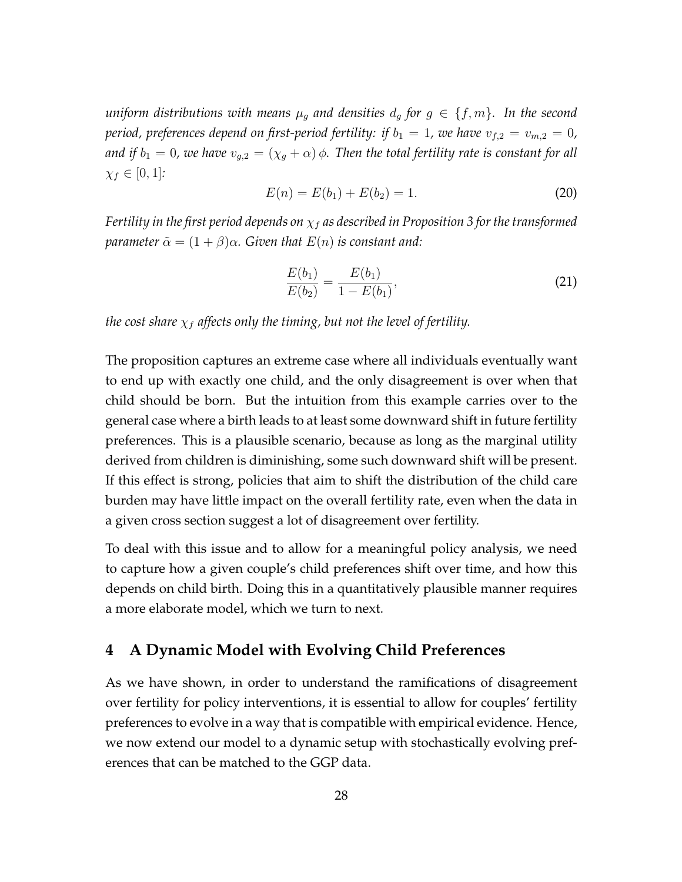*uniform distributions with means*  $\mu_g$  *and densities*  $d_g$  *for*  $g \in \{f, m\}$ *. In the second period, preferences depend on first-period fertility: if*  $b_1 = 1$ *, we have*  $v_{f,2} = v_{m,2} = 0$ *, and if*  $b_1 = 0$ , we have  $v_{g,2} = (\chi_g + \alpha) \phi$ . Then the total fertility rate is constant for all *χ<sup>f</sup> ∈* [0*,* 1]*:*

$$
E(n) = E(b_1) + E(b_2) = 1.
$$
\n(20)

*Fertility in the first period depends on χ<sup>f</sup> as described in Proposition 3 for the transformed parameter*  $\tilde{\alpha} = (1 + \beta)\alpha$ *. Given that*  $E(n)$  *is constant and:* 

$$
\frac{E(b_1)}{E(b_2)} = \frac{E(b_1)}{1 - E(b_1)},\tag{21}
$$

*the cost share*  $\chi_f$  *affects only the timing, but not the level of fertility.* 

The proposition captures an extreme case where all individuals eventually want to end up with exactly one child, and the only disagreement is over when that child should be born. But the intuition from this example carries over to the general case where a birth leads to at least some downward shift in future fertility preferences. This is a plausible scenario, because as long as the marginal utility derived from children is diminishing, some such downward shift will be present. If this effect is strong, policies that aim to shift the distribution of the child care burden may have little impact on the overall fertility rate, even when the data in a given cross section suggest a lot of disagreement over fertility.

To deal with this issue and to allow for a meaningful policy analysis, we need to capture how a given couple's child preferences shift over time, and how this depends on child birth. Doing this in a quantitatively plausible manner requires a more elaborate model, which we turn to next.

## **4 A Dynamic Model with Evolving Child Preferences**

As we have shown, in order to understand the ramifications of disagreement over fertility for policy interventions, it is essential to allow for couples' fertility preferences to evolve in a way that is compatible with empirical evidence. Hence, we now extend our model to a dynamic setup with stochastically evolving preferences that can be matched to the GGP data.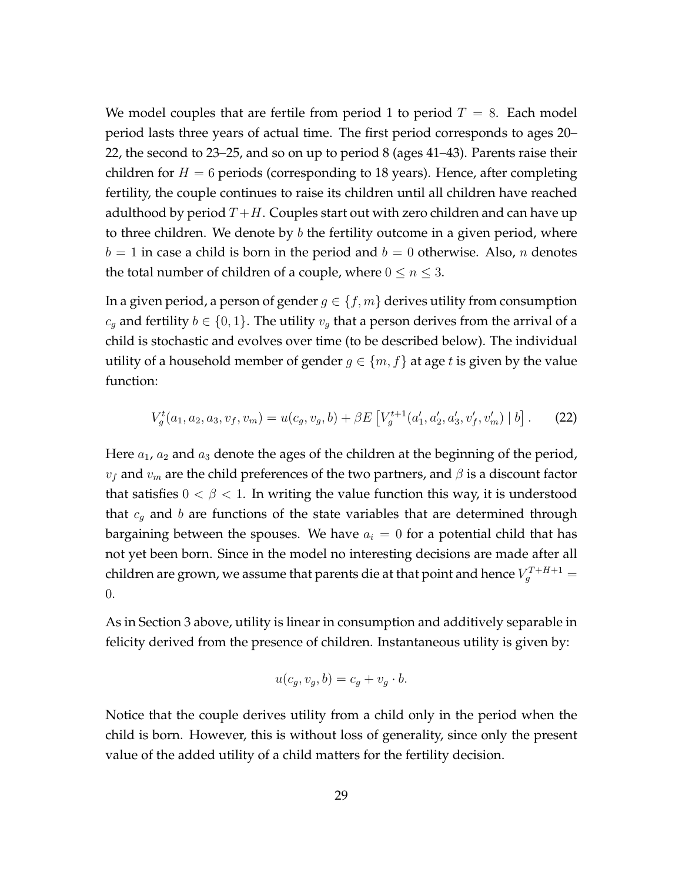We model couples that are fertile from period 1 to period  $T = 8$ . Each model period lasts three years of actual time. The first period corresponds to ages 20– 22, the second to 23–25, and so on up to period 8 (ages 41–43). Parents raise their children for  $H = 6$  periods (corresponding to 18 years). Hence, after completing fertility, the couple continues to raise its children until all children have reached adulthood by period  $T+H$ . Couples start out with zero children and can have up to three children. We denote by *b* the fertility outcome in a given period, where  $b = 1$  in case a child is born in the period and  $b = 0$  otherwise. Also, *n* denotes the total number of children of a couple, where  $0 \le n \le 3$ .

In a given period, a person of gender  $g \in \{f, m\}$  derives utility from consumption *c*<sub>*g*</sub> and fertility *b* ∈ {0, 1}. The utility *v<sub>g</sub>* that a person derives from the arrival of a child is stochastic and evolves over time (to be described below). The individual utility of a household member of gender  $g \in \{m, f\}$  at age *t* is given by the value function:

$$
V_g^t(a_1, a_2, a_3, v_f, v_m) = u(c_g, v_g, b) + \beta E \left[ V_g^{t+1}(a'_1, a'_2, a'_3, v'_f, v'_m) \mid b \right]. \tag{22}
$$

Here *a*1, *a*<sup>2</sup> and *a*<sup>3</sup> denote the ages of the children at the beginning of the period,  $v_f$  and  $v_m$  are the child preferences of the two partners, and  $\beta$  is a discount factor that satisfies  $0 < \beta < 1$ . In writing the value function this way, it is understood that *c<sup>g</sup>* and *b* are functions of the state variables that are determined through bargaining between the spouses. We have  $a_i = 0$  for a potential child that has not yet been born. Since in the model no interesting decisions are made after all children are grown, we assume that parents die at that point and hence  $V_g^{T+H+1} =$ 0.

As in Section 3 above, utility is linear in consumption and additively separable in felicity derived from the presence of children. Instantaneous utility is given by:

$$
u(c_g, v_g, b) = c_g + v_g \cdot b.
$$

Notice that the couple derives utility from a child only in the period when the child is born. However, this is without loss of generality, since only the present value of the added utility of a child matters for the fertility decision.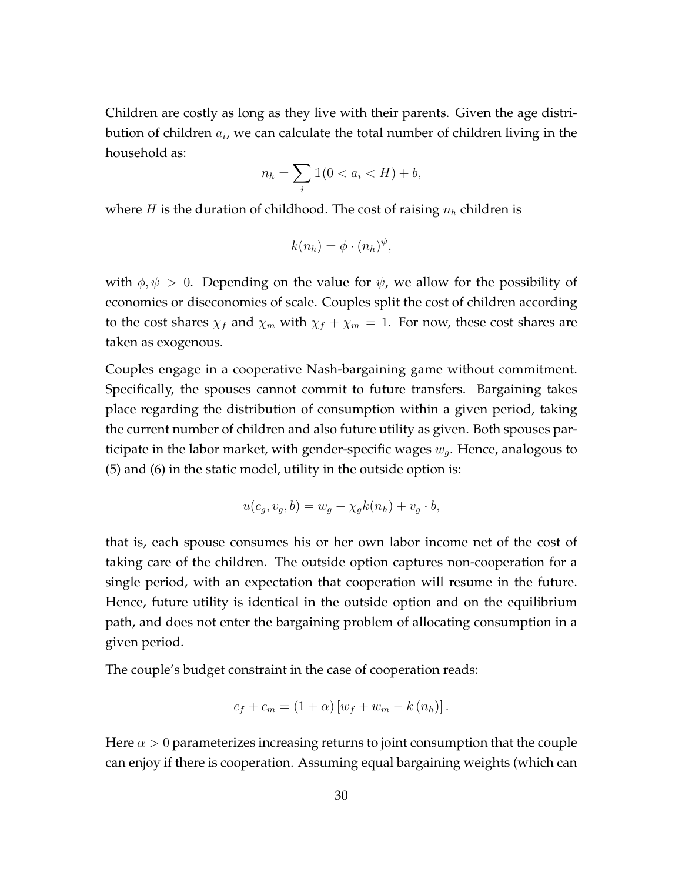Children are costly as long as they live with their parents. Given the age distribution of children  $a_i$ , we can calculate the total number of children living in the household as:

$$
n_h = \sum_i \mathbb{1}(0 < a_i < H) + b,
$$

where *H* is the duration of childhood. The cost of raising *n<sup>h</sup>* children is

$$
k(n_h) = \phi \cdot (n_h)^{\psi},
$$

with  $\phi, \psi > 0$ . Depending on the value for  $\psi$ , we allow for the possibility of economies or diseconomies of scale. Couples split the cost of children according to the cost shares  $\chi_f$  and  $\chi_m$  with  $\chi_f + \chi_m = 1$ . For now, these cost shares are taken as exogenous.

Couples engage in a cooperative Nash-bargaining game without commitment. Specifically, the spouses cannot commit to future transfers. Bargaining takes place regarding the distribution of consumption within a given period, taking the current number of children and also future utility as given. Both spouses participate in the labor market, with gender-specific wages *wg*. Hence, analogous to (5) and (6) in the static model, utility in the outside option is:

$$
u(c_g, v_g, b) = w_g - \chi_g k(n_h) + v_g \cdot b,
$$

that is, each spouse consumes his or her own labor income net of the cost of taking care of the children. The outside option captures non-cooperation for a single period, with an expectation that cooperation will resume in the future. Hence, future utility is identical in the outside option and on the equilibrium path, and does not enter the bargaining problem of allocating consumption in a given period.

The couple's budget constraint in the case of cooperation reads:

$$
c_f + c_m = (1 + \alpha) [w_f + w_m - k (n_h)].
$$

Here  $\alpha > 0$  parameterizes increasing returns to joint consumption that the couple can enjoy if there is cooperation. Assuming equal bargaining weights (which can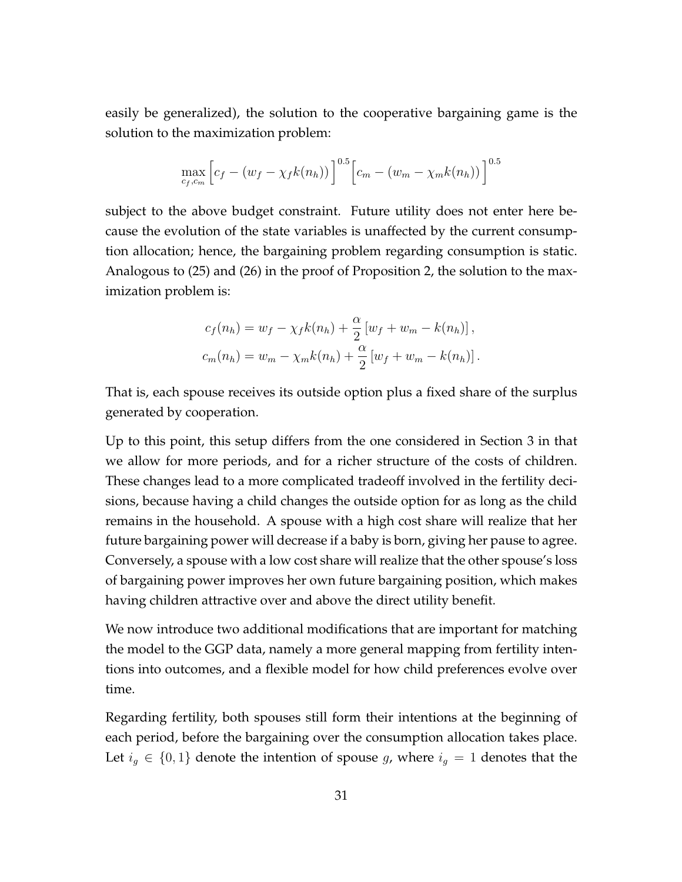easily be generalized), the solution to the cooperative bargaining game is the solution to the maximization problem:

$$
\max_{c_f, c_m} \left[ c_f - (w_f - \chi_f k(n_h)) \right]^{0.5} \left[ c_m - (w_m - \chi_m k(n_h)) \right]^{0.5}
$$

subject to the above budget constraint. Future utility does not enter here because the evolution of the state variables is unaffected by the current consumption allocation; hence, the bargaining problem regarding consumption is static. Analogous to (25) and (26) in the proof of Proposition 2, the solution to the maximization problem is:

$$
c_f(n_h) = w_f - \chi_f k(n_h) + \frac{\alpha}{2} [w_f + w_m - k(n_h)],
$$
  

$$
c_m(n_h) = w_m - \chi_m k(n_h) + \frac{\alpha}{2} [w_f + w_m - k(n_h)].
$$

That is, each spouse receives its outside option plus a fixed share of the surplus generated by cooperation.

Up to this point, this setup differs from the one considered in Section 3 in that we allow for more periods, and for a richer structure of the costs of children. These changes lead to a more complicated tradeoff involved in the fertility decisions, because having a child changes the outside option for as long as the child remains in the household. A spouse with a high cost share will realize that her future bargaining power will decrease if a baby is born, giving her pause to agree. Conversely, a spouse with a low cost share will realize that the other spouse's loss of bargaining power improves her own future bargaining position, which makes having children attractive over and above the direct utility benefit.

We now introduce two additional modifications that are important for matching the model to the GGP data, namely a more general mapping from fertility intentions into outcomes, and a flexible model for how child preferences evolve over time.

Regarding fertility, both spouses still form their intentions at the beginning of each period, before the bargaining over the consumption allocation takes place. Let  $i<sub>g</sub> \in \{0,1\}$  denote the intention of spouse *g*, where  $i<sub>g</sub> = 1$  denotes that the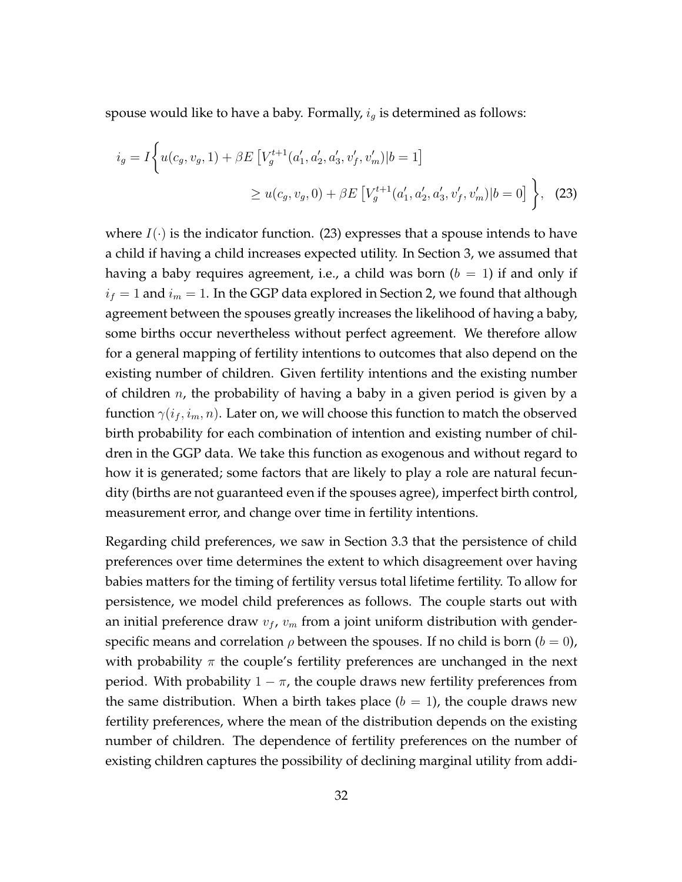spouse would like to have a baby. Formally, *i<sup>g</sup>* is determined as follows:

$$
i_g = I \Big\{ u(c_g, v_g, 1) + \beta E \left[ V_g^{t+1}(a'_1, a'_2, a'_3, v'_f, v'_m) | b = 1 \right] \newline \geq u(c_g, v_g, 0) + \beta E \left[ V_g^{t+1}(a'_1, a'_2, a'_3, v'_f, v'_m) | b = 0 \right] \Big\}, \tag{23}
$$

where  $I(\cdot)$  is the indicator function. (23) expresses that a spouse intends to have a child if having a child increases expected utility. In Section 3, we assumed that having a baby requires agreement, i.e., a child was born  $(b = 1)$  if and only if  $i_f = 1$  and  $i_m = 1$ . In the GGP data explored in Section 2, we found that although agreement between the spouses greatly increases the likelihood of having a baby, some births occur nevertheless without perfect agreement. We therefore allow for a general mapping of fertility intentions to outcomes that also depend on the existing number of children. Given fertility intentions and the existing number of children *n*, the probability of having a baby in a given period is given by a function  $\gamma(i_f, i_m, n)$ . Later on, we will choose this function to match the observed birth probability for each combination of intention and existing number of children in the GGP data. We take this function as exogenous and without regard to how it is generated; some factors that are likely to play a role are natural fecundity (births are not guaranteed even if the spouses agree), imperfect birth control, measurement error, and change over time in fertility intentions.

Regarding child preferences, we saw in Section 3.3 that the persistence of child preferences over time determines the extent to which disagreement over having babies matters for the timing of fertility versus total lifetime fertility. To allow for persistence, we model child preferences as follows. The couple starts out with an initial preference draw  $v_f$ ,  $v_m$  from a joint uniform distribution with genderspecific means and correlation  $\rho$  between the spouses. If no child is born ( $b = 0$ ), with probability *π* the couple's fertility preferences are unchanged in the next period. With probability  $1 - \pi$ , the couple draws new fertility preferences from the same distribution. When a birth takes place  $(b = 1)$ , the couple draws new fertility preferences, where the mean of the distribution depends on the existing number of children. The dependence of fertility preferences on the number of existing children captures the possibility of declining marginal utility from addi-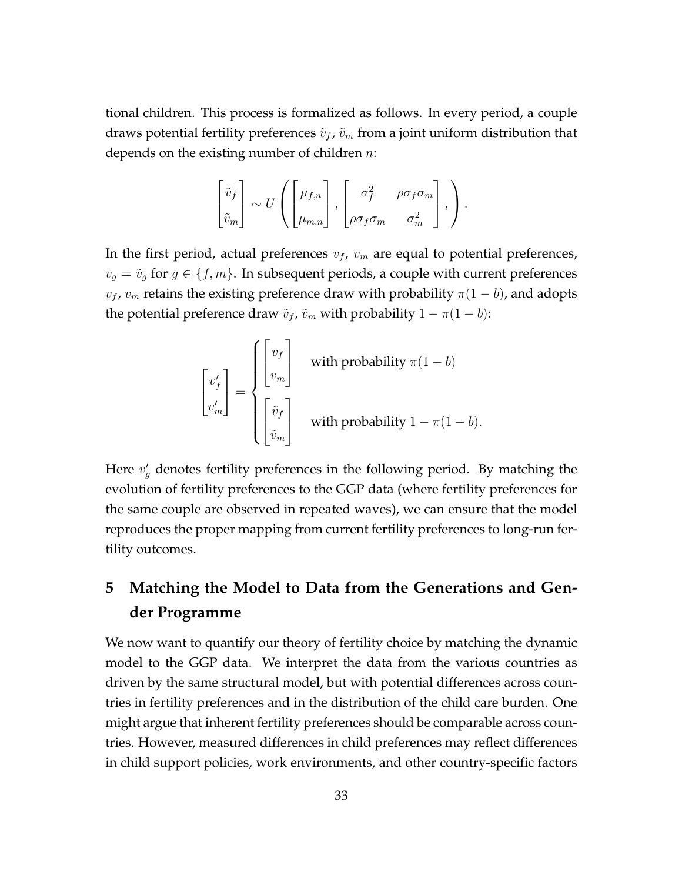tional children. This process is formalized as follows. In every period, a couple draws potential fertility preferences  $\tilde{v}_f$ ,  $\tilde{v}_m$  from a joint uniform distribution that depends on the existing number of children *n*:

$$
\begin{bmatrix} \tilde{v}_f \\ \tilde{v}_m \end{bmatrix} \sim U \left( \begin{bmatrix} \mu_{f,n} \\ \mu_{m,n} \end{bmatrix}, \begin{bmatrix} \sigma_f^2 & \rho \sigma_f \sigma_m \\ \rho \sigma_f \sigma_m & \sigma_m^2 \end{bmatrix}, \right).
$$

In the first period, actual preferences  $v_f$ ,  $v_m$  are equal to potential preferences,  $v_q = \tilde{v}_q$  for  $g \in \{f, m\}$ . In subsequent periods, a couple with current preferences  $v_f$ ,  $v_m$  retains the existing preference draw with probability  $\pi(1-b)$ , and adopts the potential preference draw  $\tilde{v}_f$ ,  $\tilde{v}_m$  with probability  $1 - \pi(1 - b)$ :

$$
\begin{bmatrix} v'_f \\ v'_m \end{bmatrix} = \begin{cases} \begin{bmatrix} v_f \\ v_m \end{bmatrix} & \text{with probability } \pi(1-b) \\ \begin{bmatrix} \tilde{v}_f \\ \tilde{v}_m \end{bmatrix} & \text{with probability } 1 - \pi(1-b). \end{cases}
$$

Here  $v'_{g}$  denotes fertility preferences in the following period. By matching the evolution of fertility preferences to the GGP data (where fertility preferences for the same couple are observed in repeated waves), we can ensure that the model reproduces the proper mapping from current fertility preferences to long-run fertility outcomes.

## **5 Matching the Model to Data from the Generations and Gender Programme**

We now want to quantify our theory of fertility choice by matching the dynamic model to the GGP data. We interpret the data from the various countries as driven by the same structural model, but with potential differences across countries in fertility preferences and in the distribution of the child care burden. One might argue that inherent fertility preferences should be comparable across countries. However, measured differences in child preferences may reflect differences in child support policies, work environments, and other country-specific factors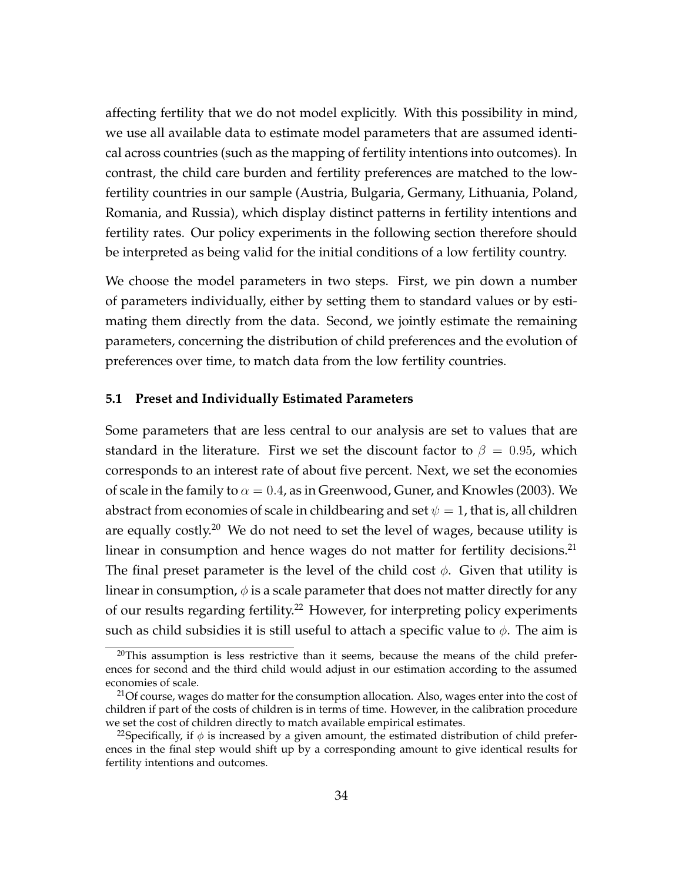affecting fertility that we do not model explicitly. With this possibility in mind, we use all available data to estimate model parameters that are assumed identical across countries (such as the mapping of fertility intentions into outcomes). In contrast, the child care burden and fertility preferences are matched to the lowfertility countries in our sample (Austria, Bulgaria, Germany, Lithuania, Poland, Romania, and Russia), which display distinct patterns in fertility intentions and fertility rates. Our policy experiments in the following section therefore should be interpreted as being valid for the initial conditions of a low fertility country.

We choose the model parameters in two steps. First, we pin down a number of parameters individually, either by setting them to standard values or by estimating them directly from the data. Second, we jointly estimate the remaining parameters, concerning the distribution of child preferences and the evolution of preferences over time, to match data from the low fertility countries.

### **5.1 Preset and Individually Estimated Parameters**

Some parameters that are less central to our analysis are set to values that are standard in the literature. First we set the discount factor to  $\beta = 0.95$ , which corresponds to an interest rate of about five percent. Next, we set the economies of scale in the family to  $\alpha = 0.4$ , as in Greenwood, Guner, and Knowles (2003). We abstract from economies of scale in childbearing and set  $\psi = 1$ , that is, all children are equally costly.<sup>20</sup> We do not need to set the level of wages, because utility is linear in consumption and hence wages do not matter for fertility decisions.<sup>21</sup> The final preset parameter is the level of the child cost *ϕ*. Given that utility is linear in consumption,  $\phi$  is a scale parameter that does not matter directly for any of our results regarding fertility.<sup>22</sup> However, for interpreting policy experiments such as child subsidies it is still useful to attach a specific value to  $\phi$ . The aim is

 $20$ This assumption is less restrictive than it seems, because the means of the child preferences for second and the third child would adjust in our estimation according to the assumed economies of scale.

<sup>&</sup>lt;sup>21</sup>Of course, wages do matter for the consumption allocation. Also, wages enter into the cost of children if part of the costs of children is in terms of time. However, in the calibration procedure we set the cost of children directly to match available empirical estimates.

<sup>&</sup>lt;sup>22</sup>Specifically, if  $\phi$  is increased by a given amount, the estimated distribution of child preferences in the final step would shift up by a corresponding amount to give identical results for fertility intentions and outcomes.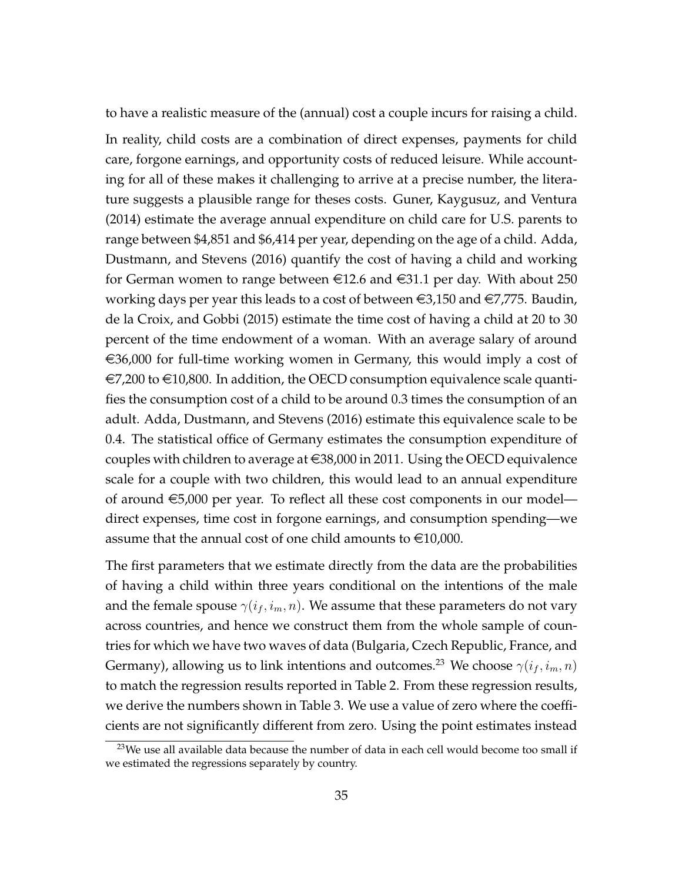to have a realistic measure of the (annual) cost a couple incurs for raising a child. In reality, child costs are a combination of direct expenses, payments for child care, forgone earnings, and opportunity costs of reduced leisure. While accounting for all of these makes it challenging to arrive at a precise number, the literature suggests a plausible range for theses costs. Guner, Kaygusuz, and Ventura (2014) estimate the average annual expenditure on child care for U.S. parents to range between \$4,851 and \$6,414 per year, depending on the age of a child. Adda, Dustmann, and Stevens (2016) quantify the cost of having a child and working for German women to range between  $\epsilon$ 12.6 and  $\epsilon$ 31.1 per day. With about 250 working days per year this leads to a cost of between  $\in 3,150$  and  $\in 7,775$ . Baudin, de la Croix, and Gobbi (2015) estimate the time cost of having a child at 20 to 30 percent of the time endowment of a woman. With an average salary of around  $\epsilon$ 36,000 for full-time working women in Germany, this would imply a cost of  $\epsilon$ 7,200 to  $\epsilon$ 10,800. In addition, the OECD consumption equivalence scale quantifies the consumption cost of a child to be around 0.3 times the consumption of an adult. Adda, Dustmann, and Stevens (2016) estimate this equivalence scale to be 0.4. The statistical office of Germany estimates the consumption expenditure of couples with children to average at  $\in$ 38,000 in 2011. Using the OECD equivalence scale for a couple with two children, this would lead to an annual expenditure of around  $\epsilon$ 5,000 per year. To reflect all these cost components in our model direct expenses, time cost in forgone earnings, and consumption spending—we assume that the annual cost of one child amounts to  $\in$ 10,000.

The first parameters that we estimate directly from the data are the probabilities of having a child within three years conditional on the intentions of the male and the female spouse  $\gamma(i_f, i_m, n)$ . We assume that these parameters do not vary across countries, and hence we construct them from the whole sample of countries for which we have two waves of data (Bulgaria, Czech Republic, France, and Germany), allowing us to link intentions and outcomes.<sup>23</sup> We choose  $\gamma(i_f, i_m, n)$ to match the regression results reported in Table 2. From these regression results, we derive the numbers shown in Table 3. We use a value of zero where the coefficients are not significantly different from zero. Using the point estimates instead

 $23$ We use all available data because the number of data in each cell would become too small if we estimated the regressions separately by country.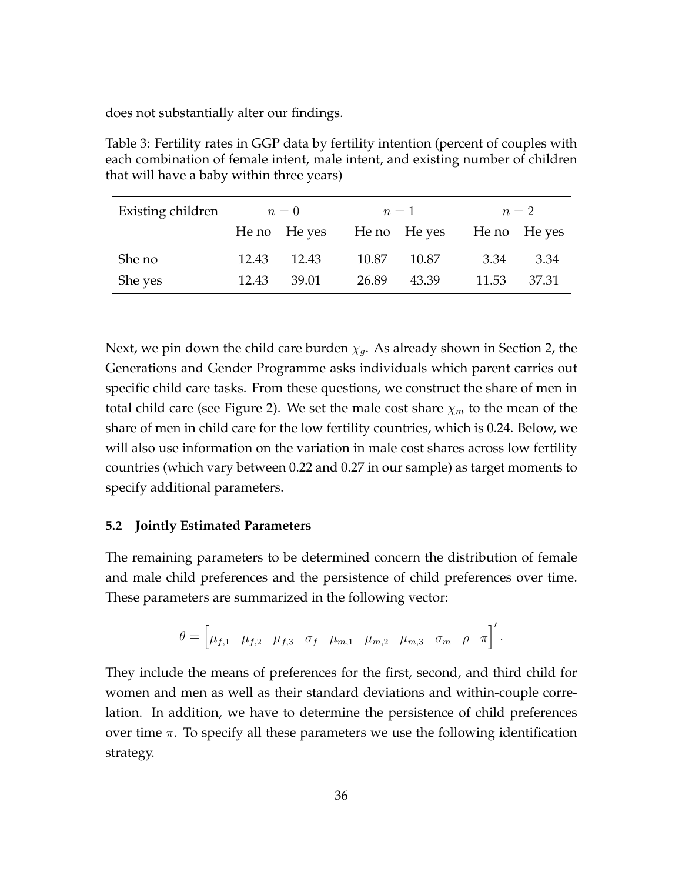does not substantially alter our findings.

Table 3: Fertility rates in GGP data by fertility intention (percent of couples with each combination of female intent, male intent, and existing number of children that will have a baby within three years)

| Existing children | $n=0$ |              |       | $n=1$ |                           | $n=2$ |  |
|-------------------|-------|--------------|-------|-------|---------------------------|-------|--|
|                   |       | He no He yes |       |       | He no He yes He no He yes |       |  |
| She no            | 12.43 | 12.43        | 10.87 | 10.87 | 3.34                      | 3.34  |  |
| She yes           | 12.43 | 39.01        | 26.89 | 43.39 | 11.53                     | 37.31 |  |

Next, we pin down the child care burden  $\chi_q$ . As already shown in Section 2, the Generations and Gender Programme asks individuals which parent carries out specific child care tasks. From these questions, we construct the share of men in total child care (see Figure 2). We set the male cost share *χ<sup>m</sup>* to the mean of the share of men in child care for the low fertility countries, which is 0.24. Below, we will also use information on the variation in male cost shares across low fertility countries (which vary between 0.22 and 0.27 in our sample) as target moments to specify additional parameters.

### **5.2 Jointly Estimated Parameters**

The remaining parameters to be determined concern the distribution of female and male child preferences and the persistence of child preferences over time. These parameters are summarized in the following vector:

$$
\theta = \begin{bmatrix} \mu_{f,1} & \mu_{f,2} & \mu_{f,3} & \sigma_f & \mu_{m,1} & \mu_{m,2} & \mu_{m,3} & \sigma_m & \rho & \pi \end{bmatrix}'.
$$

They include the means of preferences for the first, second, and third child for women and men as well as their standard deviations and within-couple correlation. In addition, we have to determine the persistence of child preferences over time *π*. To specify all these parameters we use the following identification strategy.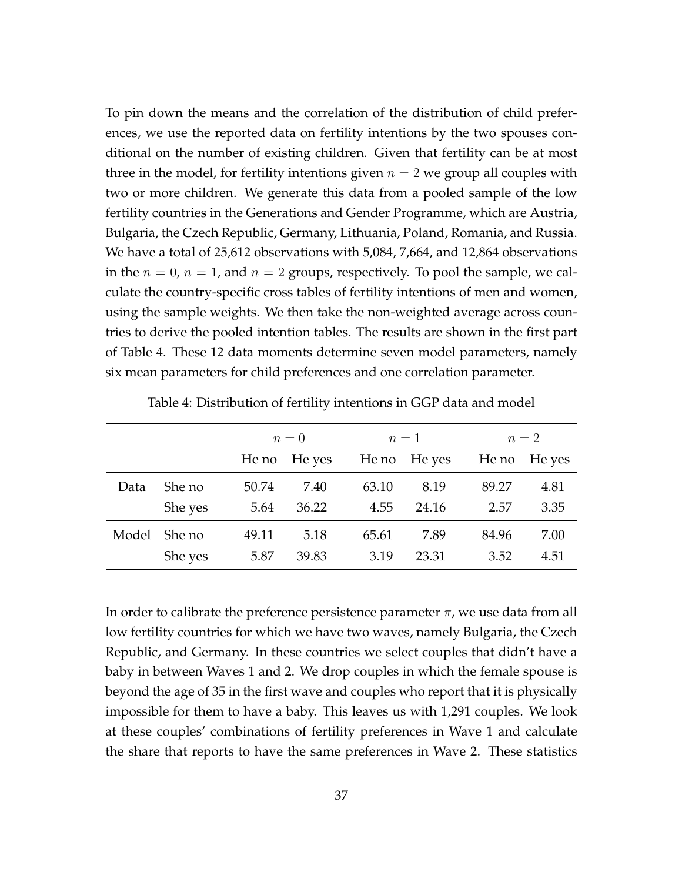To pin down the means and the correlation of the distribution of child preferences, we use the reported data on fertility intentions by the two spouses conditional on the number of existing children. Given that fertility can be at most three in the model, for fertility intentions given  $n = 2$  we group all couples with two or more children. We generate this data from a pooled sample of the low fertility countries in the Generations and Gender Programme, which are Austria, Bulgaria, the Czech Republic, Germany, Lithuania, Poland, Romania, and Russia. We have a total of 25,612 observations with 5,084, 7,664, and 12,864 observations in the  $n = 0$ ,  $n = 1$ , and  $n = 2$  groups, respectively. To pool the sample, we calculate the country-specific cross tables of fertility intentions of men and women, using the sample weights. We then take the non-weighted average across countries to derive the pooled intention tables. The results are shown in the first part of Table 4. These 12 data moments determine seven model parameters, namely six mean parameters for child preferences and one correlation parameter.

|       |         | $n=0$ |              |       | $n=1$        |       | $n=2$        |  |
|-------|---------|-------|--------------|-------|--------------|-------|--------------|--|
|       |         |       | He no He yes |       | He no He yes |       | He no He yes |  |
| Data  | She no  | 50.74 | 7.40         | 63.10 | 8.19         | 89.27 | 4.81         |  |
|       | She yes | 5.64  | 36.22        | 4.55  | 24.16        | 2.57  | 3.35         |  |
| Model | She no  | 49.11 | 5.18         | 65.61 | 7.89         | 84.96 | 7.00         |  |
|       | She yes | 5.87  | 39.83        | 3.19  | 23.31        | 3.52  | 4.51         |  |

Table 4: Distribution of fertility intentions in GGP data and model

In order to calibrate the preference persistence parameter  $\pi$ , we use data from all low fertility countries for which we have two waves, namely Bulgaria, the Czech Republic, and Germany. In these countries we select couples that didn't have a baby in between Waves 1 and 2. We drop couples in which the female spouse is beyond the age of 35 in the first wave and couples who report that it is physically impossible for them to have a baby. This leaves us with 1,291 couples. We look at these couples' combinations of fertility preferences in Wave 1 and calculate the share that reports to have the same preferences in Wave 2. These statistics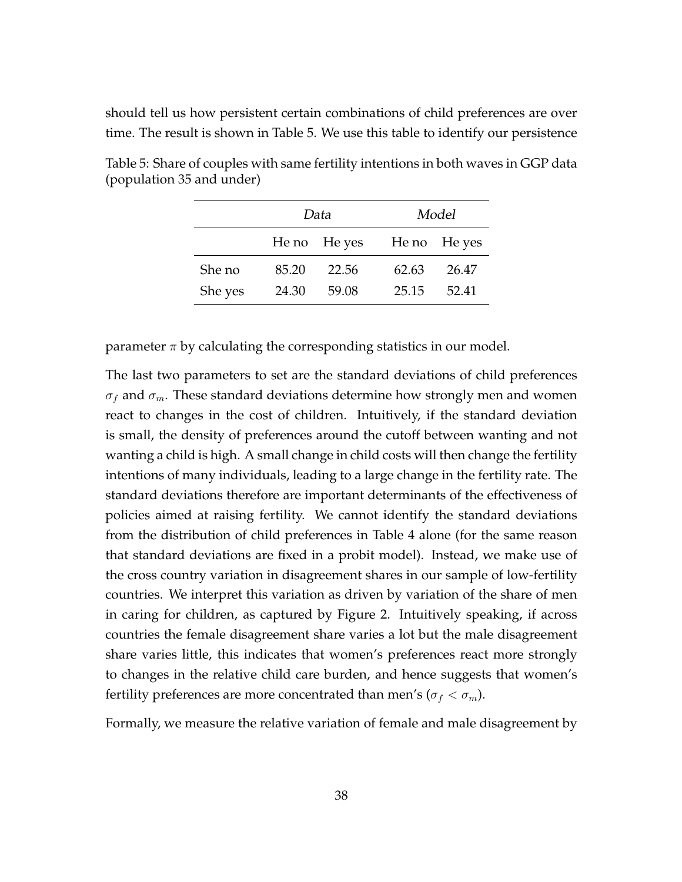should tell us how persistent certain combinations of child preferences are over time. The result is shown in Table 5. We use this table to identify our persistence

|         |       | Data         |       | Model        |
|---------|-------|--------------|-------|--------------|
|         |       | He no He yes |       | He no He yes |
| She no  | 85.20 | 22.56        | 62.63 | 26.47        |
| She yes | 24.30 | 59.08        | 25.15 | 52.41        |

Table 5: Share of couples with same fertility intentions in both waves in GGP data (population 35 and under)

parameter  $\pi$  by calculating the corresponding statistics in our model.

The last two parameters to set are the standard deviations of child preferences  $\sigma_f$  and  $\sigma_m$ . These standard deviations determine how strongly men and women react to changes in the cost of children. Intuitively, if the standard deviation is small, the density of preferences around the cutoff between wanting and not wanting a child is high. A small change in child costs will then change the fertility intentions of many individuals, leading to a large change in the fertility rate. The standard deviations therefore are important determinants of the effectiveness of policies aimed at raising fertility. We cannot identify the standard deviations from the distribution of child preferences in Table 4 alone (for the same reason that standard deviations are fixed in a probit model). Instead, we make use of the cross country variation in disagreement shares in our sample of low-fertility countries. We interpret this variation as driven by variation of the share of men in caring for children, as captured by Figure 2. Intuitively speaking, if across countries the female disagreement share varies a lot but the male disagreement share varies little, this indicates that women's preferences react more strongly to changes in the relative child care burden, and hence suggests that women's fertility preferences are more concentrated than men's ( $\sigma_f < \sigma_m$ ).

Formally, we measure the relative variation of female and male disagreement by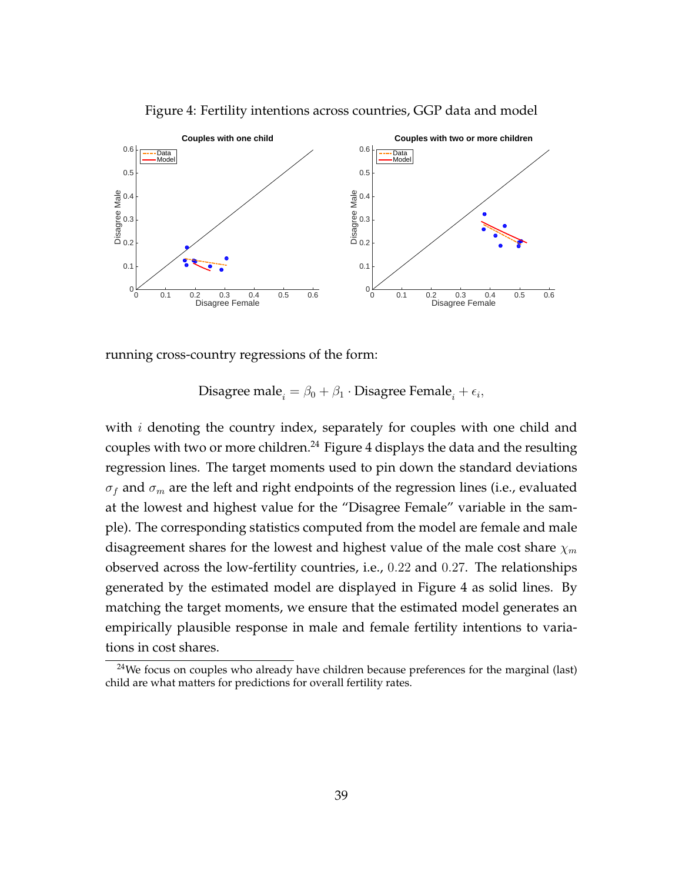

Figure 4: Fertility intentions across countries, GGP data and model

running cross-country regressions of the form:

 $\text{Disagree male}_i = \beta_0 + \beta_1 \cdot \text{Disagree Female}_i + \epsilon_i,$ 

with *i* denoting the country index, separately for couples with one child and couples with two or more children.<sup>24</sup> Figure 4 displays the data and the resulting regression lines. The target moments used to pin down the standard deviations  $\sigma_f$  and  $\sigma_m$  are the left and right endpoints of the regression lines (i.e., evaluated at the lowest and highest value for the "Disagree Female" variable in the sample). The corresponding statistics computed from the model are female and male disagreement shares for the lowest and highest value of the male cost share *χ<sup>m</sup>* observed across the low-fertility countries, i.e., 0*.*22 and 0*.*27. The relationships generated by the estimated model are displayed in Figure 4 as solid lines. By matching the target moments, we ensure that the estimated model generates an empirically plausible response in male and female fertility intentions to variations in cost shares.

<sup>&</sup>lt;sup>24</sup>We focus on couples who already have children because preferences for the marginal (last) child are what matters for predictions for overall fertility rates.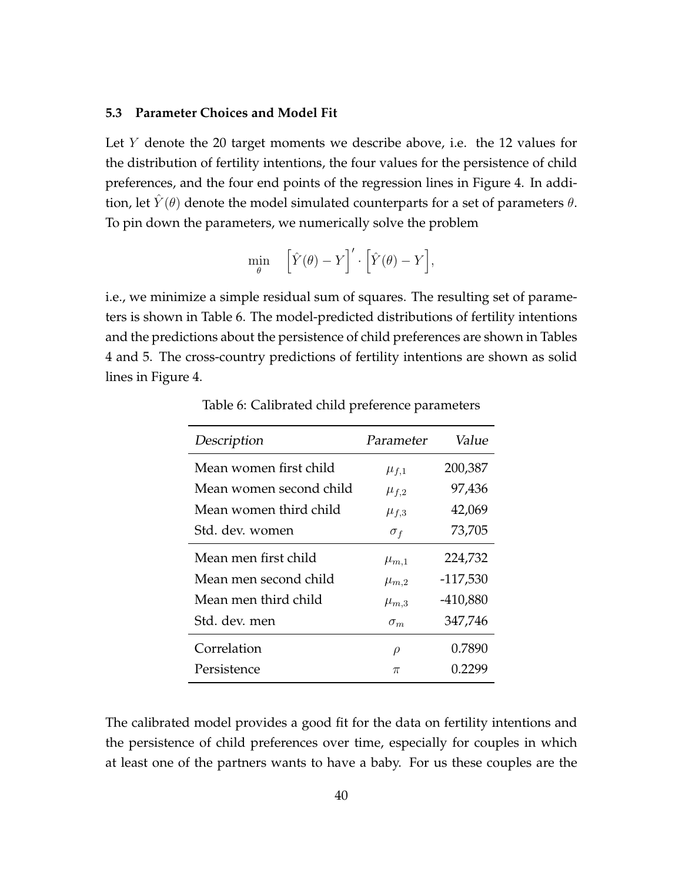### **5.3 Parameter Choices and Model Fit**

Let *Y* denote the 20 target moments we describe above, i.e. the 12 values for the distribution of fertility intentions, the four values for the persistence of child preferences, and the four end points of the regression lines in Figure 4. In addition, let *Y*<sup> $(\theta)$ </sup> denote the model simulated counterparts for a set of parameters  $\theta$ . To pin down the parameters, we numerically solve the problem

$$
\min_{\theta} \quad \left[ \hat{Y}(\theta) - Y \right]' \cdot \left[ \hat{Y}(\theta) - Y \right],
$$

i.e., we minimize a simple residual sum of squares. The resulting set of parameters is shown in Table 6. The model-predicted distributions of fertility intentions and the predictions about the persistence of child preferences are shown in Tables 4 and 5. The cross-country predictions of fertility intentions are shown as solid lines in Figure 4.

| Description             | Parameter   | Value      |
|-------------------------|-------------|------------|
| Mean women first child  | $\mu_{f,1}$ | 200,387    |
| Mean women second child | $\mu_{f,2}$ | 97,436     |
| Mean women third child  | $\mu_{f,3}$ | 42,069     |
| Std. dev. women         | $\sigma_f$  | 73,705     |
| Mean men first child    | $\mu_{m,1}$ | 224,732    |
| Mean men second child   | $\mu_{m,2}$ | $-117,530$ |
| Mean men third child    | $\mu_{m,3}$ | $-410,880$ |
| Std. dev. men           | $\sigma_m$  | 347,746    |
| Correlation             | $\rho$      | 0.7890     |
| Persistence             | $\pi$       | (1.2299    |

Table 6: Calibrated child preference parameters

The calibrated model provides a good fit for the data on fertility intentions and the persistence of child preferences over time, especially for couples in which at least one of the partners wants to have a baby. For us these couples are the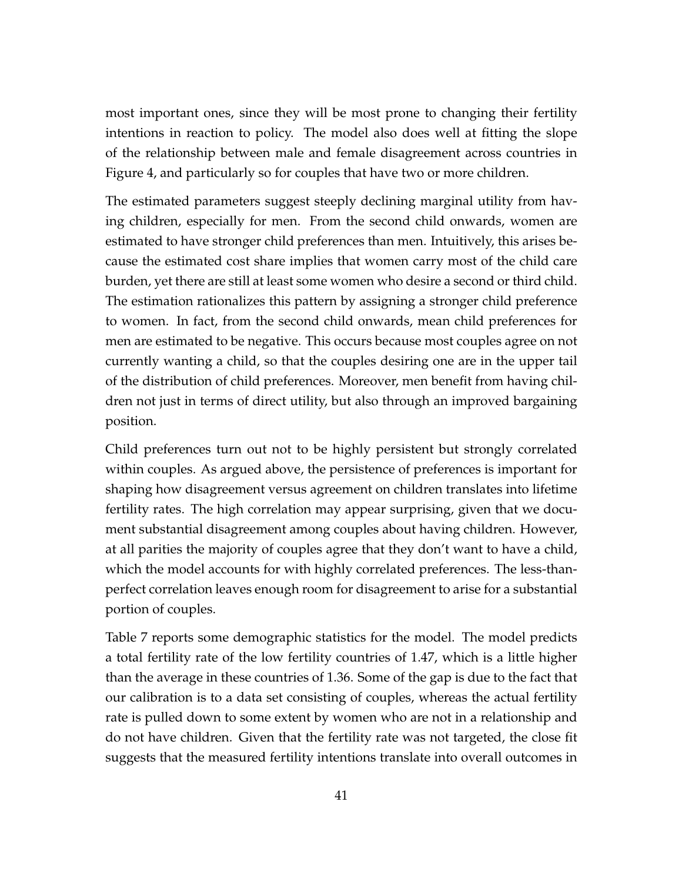most important ones, since they will be most prone to changing their fertility intentions in reaction to policy. The model also does well at fitting the slope of the relationship between male and female disagreement across countries in Figure 4, and particularly so for couples that have two or more children.

The estimated parameters suggest steeply declining marginal utility from having children, especially for men. From the second child onwards, women are estimated to have stronger child preferences than men. Intuitively, this arises because the estimated cost share implies that women carry most of the child care burden, yet there are still at least some women who desire a second or third child. The estimation rationalizes this pattern by assigning a stronger child preference to women. In fact, from the second child onwards, mean child preferences for men are estimated to be negative. This occurs because most couples agree on not currently wanting a child, so that the couples desiring one are in the upper tail of the distribution of child preferences. Moreover, men benefit from having children not just in terms of direct utility, but also through an improved bargaining position.

Child preferences turn out not to be highly persistent but strongly correlated within couples. As argued above, the persistence of preferences is important for shaping how disagreement versus agreement on children translates into lifetime fertility rates. The high correlation may appear surprising, given that we document substantial disagreement among couples about having children. However, at all parities the majority of couples agree that they don't want to have a child, which the model accounts for with highly correlated preferences. The less-thanperfect correlation leaves enough room for disagreement to arise for a substantial portion of couples.

Table 7 reports some demographic statistics for the model. The model predicts a total fertility rate of the low fertility countries of 1.47, which is a little higher than the average in these countries of 1.36. Some of the gap is due to the fact that our calibration is to a data set consisting of couples, whereas the actual fertility rate is pulled down to some extent by women who are not in a relationship and do not have children. Given that the fertility rate was not targeted, the close fit suggests that the measured fertility intentions translate into overall outcomes in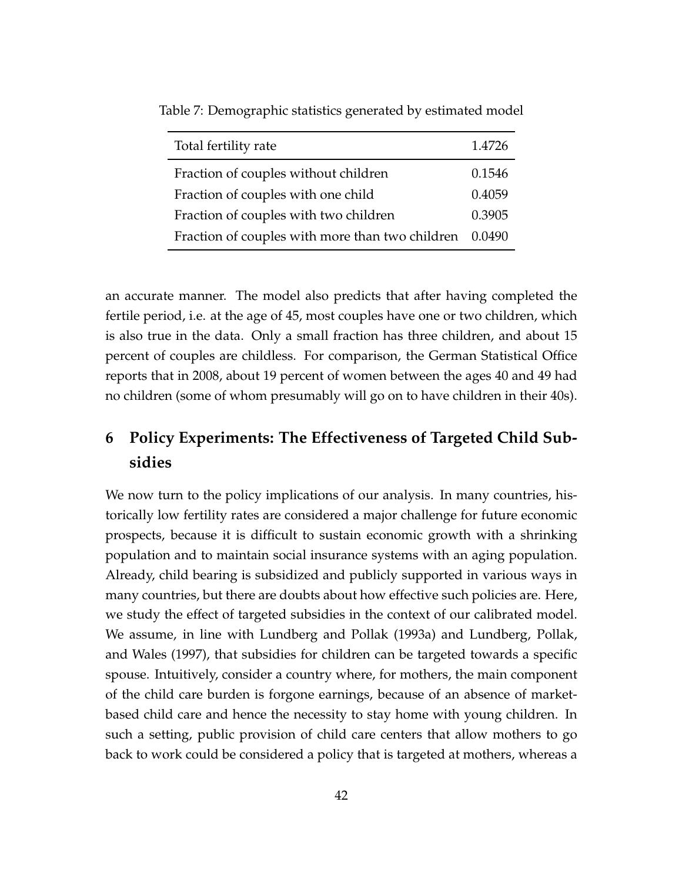| Total fertility rate                            | 1.4726 |
|-------------------------------------------------|--------|
| Fraction of couples without children            | 0.1546 |
| Fraction of couples with one child              | 0.4059 |
| Fraction of couples with two children           | 0.3905 |
| Fraction of couples with more than two children | 0.0490 |

Table 7: Demographic statistics generated by estimated model

an accurate manner. The model also predicts that after having completed the fertile period, i.e. at the age of 45, most couples have one or two children, which is also true in the data. Only a small fraction has three children, and about 15 percent of couples are childless. For comparison, the German Statistical Office reports that in 2008, about 19 percent of women between the ages 40 and 49 had no children (some of whom presumably will go on to have children in their 40s).

# **6 Policy Experiments: The Effectiveness of Targeted Child Subsidies**

We now turn to the policy implications of our analysis. In many countries, historically low fertility rates are considered a major challenge for future economic prospects, because it is difficult to sustain economic growth with a shrinking population and to maintain social insurance systems with an aging population. Already, child bearing is subsidized and publicly supported in various ways in many countries, but there are doubts about how effective such policies are. Here, we study the effect of targeted subsidies in the context of our calibrated model. We assume, in line with Lundberg and Pollak (1993a) and Lundberg, Pollak, and Wales (1997), that subsidies for children can be targeted towards a specific spouse. Intuitively, consider a country where, for mothers, the main component of the child care burden is forgone earnings, because of an absence of marketbased child care and hence the necessity to stay home with young children. In such a setting, public provision of child care centers that allow mothers to go back to work could be considered a policy that is targeted at mothers, whereas a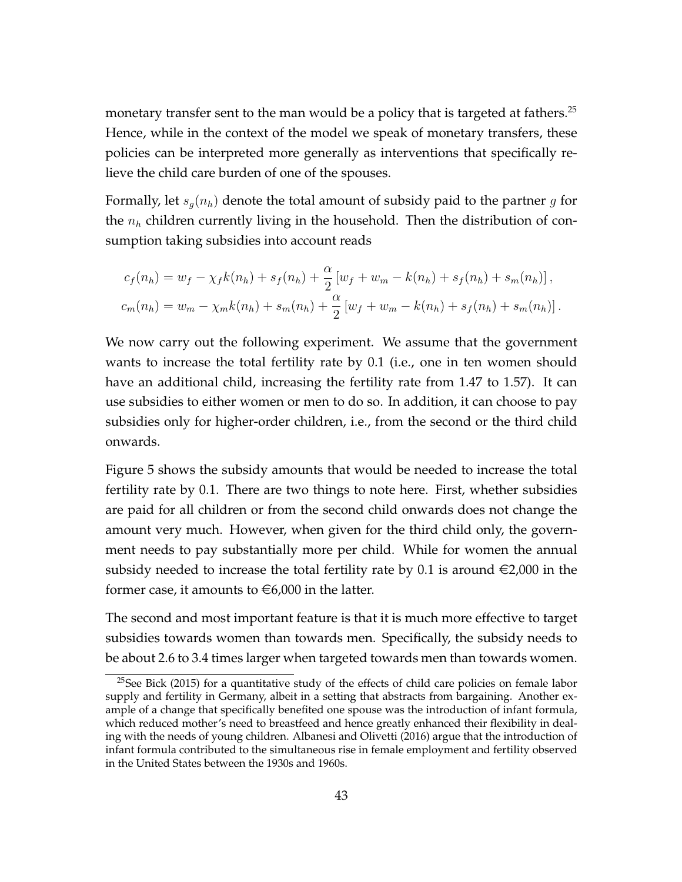monetary transfer sent to the man would be a policy that is targeted at fathers.<sup>25</sup> Hence, while in the context of the model we speak of monetary transfers, these policies can be interpreted more generally as interventions that specifically relieve the child care burden of one of the spouses.

Formally, let *sg*(*nh*) denote the total amount of subsidy paid to the partner *g* for the  $n_h$  children currently living in the household. Then the distribution of consumption taking subsidies into account reads

$$
c_f(n_h) = w_f - \chi_f k(n_h) + s_f(n_h) + \frac{\alpha}{2} [w_f + w_m - k(n_h) + s_f(n_h) + s_m(n_h)],
$$
  

$$
c_m(n_h) = w_m - \chi_m k(n_h) + s_m(n_h) + \frac{\alpha}{2} [w_f + w_m - k(n_h) + s_f(n_h) + s_m(n_h)].
$$

We now carry out the following experiment. We assume that the government wants to increase the total fertility rate by 0.1 (i.e., one in ten women should have an additional child, increasing the fertility rate from 1.47 to 1.57). It can use subsidies to either women or men to do so. In addition, it can choose to pay subsidies only for higher-order children, i.e., from the second or the third child onwards.

Figure 5 shows the subsidy amounts that would be needed to increase the total fertility rate by 0.1. There are two things to note here. First, whether subsidies are paid for all children or from the second child onwards does not change the amount very much. However, when given for the third child only, the government needs to pay substantially more per child. While for women the annual subsidy needed to increase the total fertility rate by 0.1 is around  $\epsilon$ 2,000 in the former case, it amounts to  $\in 6,000$  in the latter.

The second and most important feature is that it is much more effective to target subsidies towards women than towards men. Specifically, the subsidy needs to be about 2.6 to 3.4 times larger when targeted towards men than towards women.

 $25$ See Bick (2015) for a quantitative study of the effects of child care policies on female labor supply and fertility in Germany, albeit in a setting that abstracts from bargaining. Another example of a change that specifically benefited one spouse was the introduction of infant formula, which reduced mother's need to breastfeed and hence greatly enhanced their flexibility in dealing with the needs of young children. Albanesi and Olivetti (2016) argue that the introduction of infant formula contributed to the simultaneous rise in female employment and fertility observed in the United States between the 1930s and 1960s.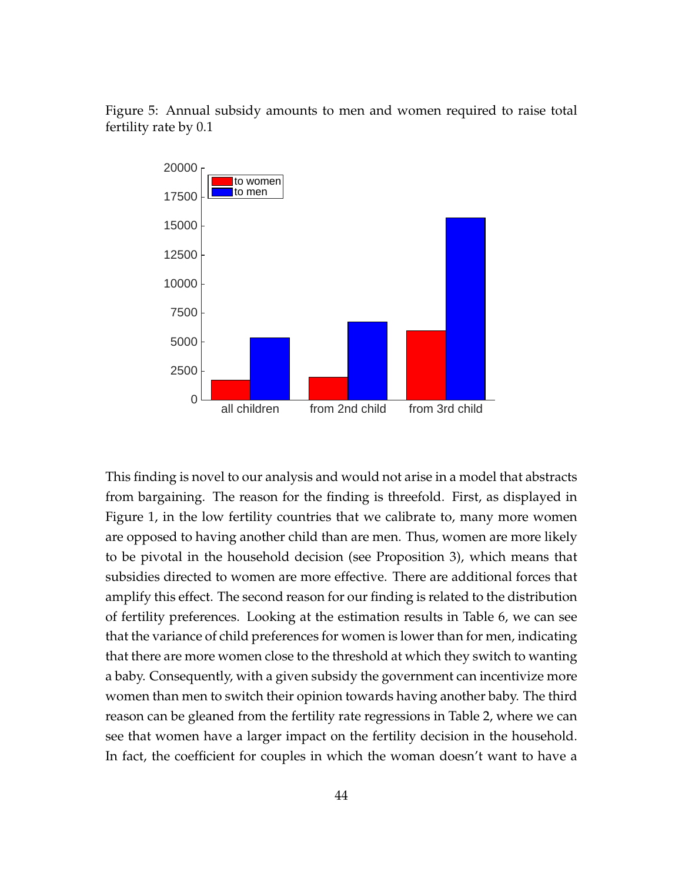Figure 5: Annual subsidy amounts to men and women required to raise total fertility rate by 0.1



This finding is novel to our analysis and would not arise in a model that abstracts from bargaining. The reason for the finding is threefold. First, as displayed in Figure 1, in the low fertility countries that we calibrate to, many more women are opposed to having another child than are men. Thus, women are more likely to be pivotal in the household decision (see Proposition 3), which means that subsidies directed to women are more effective. There are additional forces that amplify this effect. The second reason for our finding is related to the distribution of fertility preferences. Looking at the estimation results in Table 6, we can see that the variance of child preferences for women is lower than for men, indicating that there are more women close to the threshold at which they switch to wanting a baby. Consequently, with a given subsidy the government can incentivize more women than men to switch their opinion towards having another baby. The third reason can be gleaned from the fertility rate regressions in Table 2, where we can see that women have a larger impact on the fertility decision in the household. In fact, the coefficient for couples in which the woman doesn't want to have a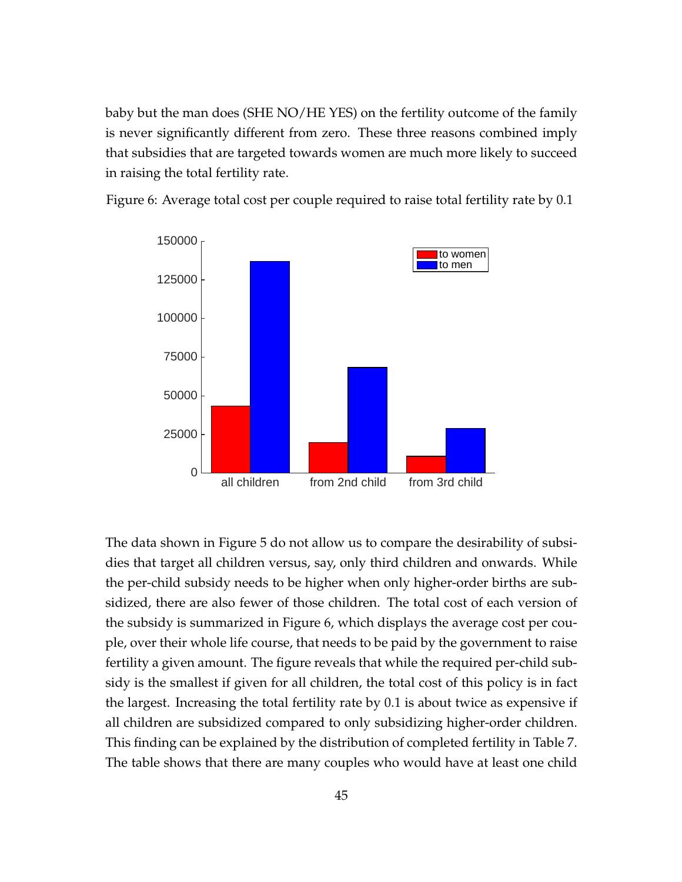baby but the man does (SHE NO/HE YES) on the fertility outcome of the family is never significantly different from zero. These three reasons combined imply that subsidies that are targeted towards women are much more likely to succeed in raising the total fertility rate.



Figure 6: Average total cost per couple required to raise total fertility rate by 0.1

The data shown in Figure 5 do not allow us to compare the desirability of subsidies that target all children versus, say, only third children and onwards. While the per-child subsidy needs to be higher when only higher-order births are subsidized, there are also fewer of those children. The total cost of each version of the subsidy is summarized in Figure 6, which displays the average cost per couple, over their whole life course, that needs to be paid by the government to raise fertility a given amount. The figure reveals that while the required per-child subsidy is the smallest if given for all children, the total cost of this policy is in fact the largest. Increasing the total fertility rate by 0.1 is about twice as expensive if all children are subsidized compared to only subsidizing higher-order children. This finding can be explained by the distribution of completed fertility in Table 7. The table shows that there are many couples who would have at least one child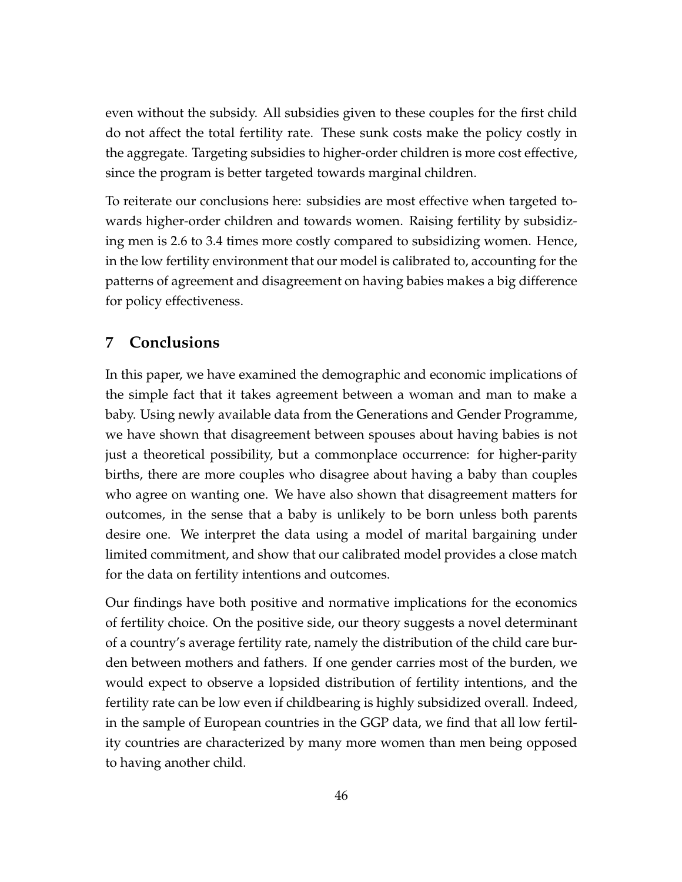even without the subsidy. All subsidies given to these couples for the first child do not affect the total fertility rate. These sunk costs make the policy costly in the aggregate. Targeting subsidies to higher-order children is more cost effective, since the program is better targeted towards marginal children.

To reiterate our conclusions here: subsidies are most effective when targeted towards higher-order children and towards women. Raising fertility by subsidizing men is 2.6 to 3.4 times more costly compared to subsidizing women. Hence, in the low fertility environment that our model is calibrated to, accounting for the patterns of agreement and disagreement on having babies makes a big difference for policy effectiveness.

# **7 Conclusions**

In this paper, we have examined the demographic and economic implications of the simple fact that it takes agreement between a woman and man to make a baby. Using newly available data from the Generations and Gender Programme, we have shown that disagreement between spouses about having babies is not just a theoretical possibility, but a commonplace occurrence: for higher-parity births, there are more couples who disagree about having a baby than couples who agree on wanting one. We have also shown that disagreement matters for outcomes, in the sense that a baby is unlikely to be born unless both parents desire one. We interpret the data using a model of marital bargaining under limited commitment, and show that our calibrated model provides a close match for the data on fertility intentions and outcomes.

Our findings have both positive and normative implications for the economics of fertility choice. On the positive side, our theory suggests a novel determinant of a country's average fertility rate, namely the distribution of the child care burden between mothers and fathers. If one gender carries most of the burden, we would expect to observe a lopsided distribution of fertility intentions, and the fertility rate can be low even if childbearing is highly subsidized overall. Indeed, in the sample of European countries in the GGP data, we find that all low fertility countries are characterized by many more women than men being opposed to having another child.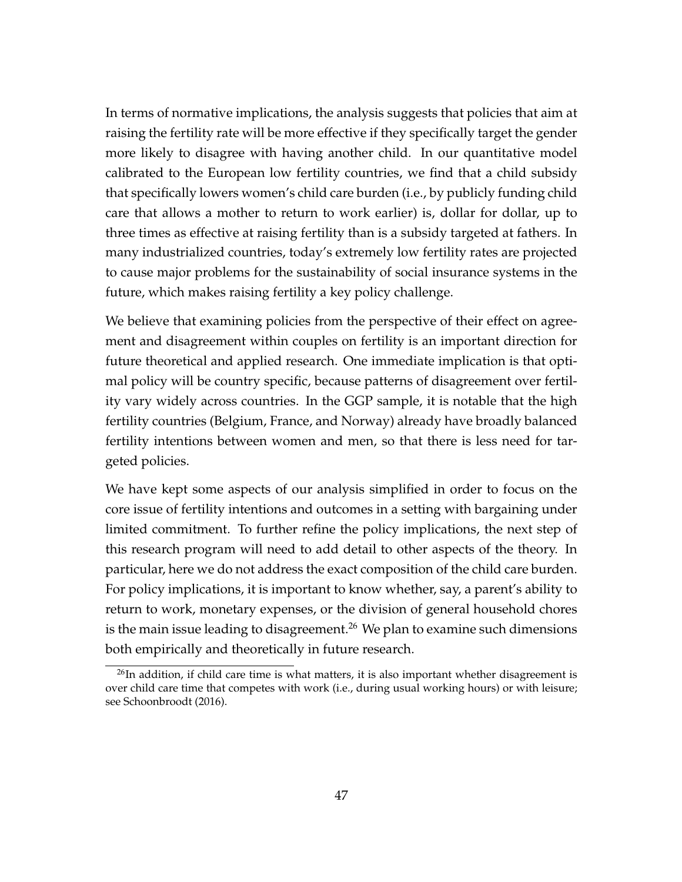In terms of normative implications, the analysis suggests that policies that aim at raising the fertility rate will be more effective if they specifically target the gender more likely to disagree with having another child. In our quantitative model calibrated to the European low fertility countries, we find that a child subsidy that specifically lowers women's child care burden (i.e., by publicly funding child care that allows a mother to return to work earlier) is, dollar for dollar, up to three times as effective at raising fertility than is a subsidy targeted at fathers. In many industrialized countries, today's extremely low fertility rates are projected to cause major problems for the sustainability of social insurance systems in the future, which makes raising fertility a key policy challenge.

We believe that examining policies from the perspective of their effect on agreement and disagreement within couples on fertility is an important direction for future theoretical and applied research. One immediate implication is that optimal policy will be country specific, because patterns of disagreement over fertility vary widely across countries. In the GGP sample, it is notable that the high fertility countries (Belgium, France, and Norway) already have broadly balanced fertility intentions between women and men, so that there is less need for targeted policies.

We have kept some aspects of our analysis simplified in order to focus on the core issue of fertility intentions and outcomes in a setting with bargaining under limited commitment. To further refine the policy implications, the next step of this research program will need to add detail to other aspects of the theory. In particular, here we do not address the exact composition of the child care burden. For policy implications, it is important to know whether, say, a parent's ability to return to work, monetary expenses, or the division of general household chores is the main issue leading to disagreement.<sup>26</sup> We plan to examine such dimensions both empirically and theoretically in future research.

 $26$ In addition, if child care time is what matters, it is also important whether disagreement is over child care time that competes with work (i.e., during usual working hours) or with leisure; see Schoonbroodt (2016).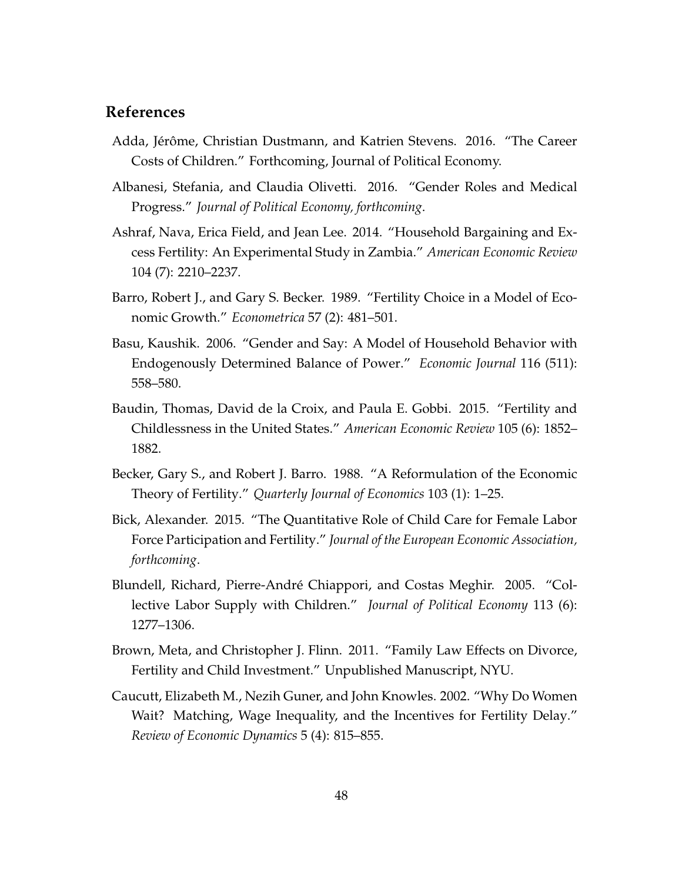## **References**

- Adda, Jérôme, Christian Dustmann, and Katrien Stevens. 2016. "The Career Costs of Children." Forthcoming, Journal of Political Economy.
- Albanesi, Stefania, and Claudia Olivetti. 2016. "Gender Roles and Medical Progress." *Journal of Political Economy, forthcoming*.
- Ashraf, Nava, Erica Field, and Jean Lee. 2014. "Household Bargaining and Excess Fertility: An Experimental Study in Zambia." *American Economic Review* 104 (7): 2210–2237.
- Barro, Robert J., and Gary S. Becker. 1989. "Fertility Choice in a Model of Economic Growth." *Econometrica* 57 (2): 481–501.
- Basu, Kaushik. 2006. "Gender and Say: A Model of Household Behavior with Endogenously Determined Balance of Power." *Economic Journal* 116 (511): 558–580.
- Baudin, Thomas, David de la Croix, and Paula E. Gobbi. 2015. "Fertility and Childlessness in the United States." *American Economic Review* 105 (6): 1852– 1882.
- Becker, Gary S., and Robert J. Barro. 1988. "A Reformulation of the Economic Theory of Fertility." *Quarterly Journal of Economics* 103 (1): 1–25.
- Bick, Alexander. 2015. "The Quantitative Role of Child Care for Female Labor Force Participation and Fertility." *Journal of the European Economic Association, forthcoming*.
- Blundell, Richard, Pierre-André Chiappori, and Costas Meghir. 2005. "Collective Labor Supply with Children." *Journal of Political Economy* 113 (6): 1277–1306.
- Brown, Meta, and Christopher J. Flinn. 2011. "Family Law Effects on Divorce, Fertility and Child Investment." Unpublished Manuscript, NYU.
- Caucutt, Elizabeth M., Nezih Guner, and John Knowles. 2002. "Why Do Women Wait? Matching, Wage Inequality, and the Incentives for Fertility Delay." *Review of Economic Dynamics* 5 (4): 815–855.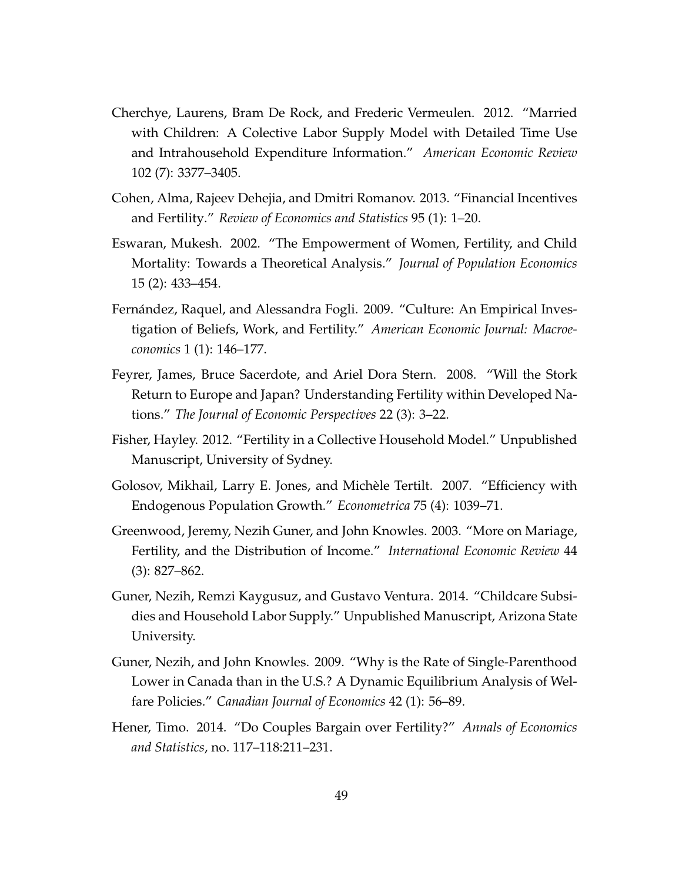- Cherchye, Laurens, Bram De Rock, and Frederic Vermeulen. 2012. "Married with Children: A Colective Labor Supply Model with Detailed Time Use and Intrahousehold Expenditure Information." *American Economic Review* 102 (7): 3377–3405.
- Cohen, Alma, Rajeev Dehejia, and Dmitri Romanov. 2013. "Financial Incentives and Fertility." *Review of Economics and Statistics* 95 (1): 1–20.
- Eswaran, Mukesh. 2002. "The Empowerment of Women, Fertility, and Child Mortality: Towards a Theoretical Analysis." *Journal of Population Economics* 15 (2): 433–454.
- Fernández, Raquel, and Alessandra Fogli. 2009. "Culture: An Empirical Investigation of Beliefs, Work, and Fertility." *American Economic Journal: Macroeconomics* 1 (1): 146–177.
- Feyrer, James, Bruce Sacerdote, and Ariel Dora Stern. 2008. "Will the Stork Return to Europe and Japan? Understanding Fertility within Developed Nations." *The Journal of Economic Perspectives* 22 (3): 3–22.
- Fisher, Hayley. 2012. "Fertility in a Collective Household Model." Unpublished Manuscript, University of Sydney.
- Golosov, Mikhail, Larry E. Jones, and Michele Tertilt. 2007. "Efficiency with ` Endogenous Population Growth." *Econometrica* 75 (4): 1039–71.
- Greenwood, Jeremy, Nezih Guner, and John Knowles. 2003. "More on Mariage, Fertility, and the Distribution of Income." *International Economic Review* 44 (3): 827–862.
- Guner, Nezih, Remzi Kaygusuz, and Gustavo Ventura. 2014. "Childcare Subsidies and Household Labor Supply." Unpublished Manuscript, Arizona State University.
- Guner, Nezih, and John Knowles. 2009. "Why is the Rate of Single-Parenthood Lower in Canada than in the U.S.? A Dynamic Equilibrium Analysis of Welfare Policies." *Canadian Journal of Economics* 42 (1): 56–89.
- Hener, Timo. 2014. "Do Couples Bargain over Fertility?" *Annals of Economics and Statistics*, no. 117–118:211–231.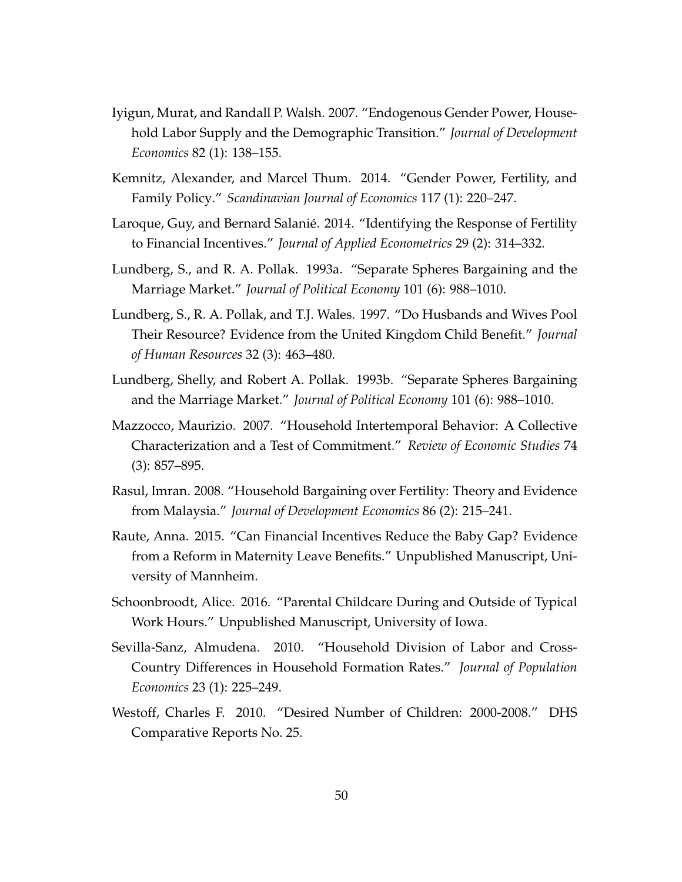- Iyigun, Murat, and Randall P. Walsh. 2007. "Endogenous Gender Power, Household Labor Supply and the Demographic Transition." *Journal of Development Economics* 82 (1): 138–155.
- Kemnitz, Alexander, and Marcel Thum. 2014. "Gender Power, Fertility, and Family Policy." *Scandinavian Journal of Economics* 117 (1): 220–247.
- Laroque, Guy, and Bernard Salanié. 2014. "Identifying the Response of Fertility to Financial Incentives." *Journal of Applied Econometrics* 29 (2): 314–332.
- Lundberg, S., and R. A. Pollak. 1993a. "Separate Spheres Bargaining and the Marriage Market." *Journal of Political Economy* 101 (6): 988–1010.
- Lundberg, S., R. A. Pollak, and T.J. Wales. 1997. "Do Husbands and Wives Pool Their Resource? Evidence from the United Kingdom Child Benefit." *Journal of Human Resources* 32 (3): 463–480.
- Lundberg, Shelly, and Robert A. Pollak. 1993b. "Separate Spheres Bargaining and the Marriage Market." *Journal of Political Economy* 101 (6): 988–1010.
- Mazzocco, Maurizio. 2007. "Household Intertemporal Behavior: A Collective Characterization and a Test of Commitment." *Review of Economic Studies* 74 (3): 857–895.
- Rasul, Imran. 2008. "Household Bargaining over Fertility: Theory and Evidence from Malaysia." *Journal of Development Economics* 86 (2): 215–241.
- Raute, Anna. 2015. "Can Financial Incentives Reduce the Baby Gap? Evidence from a Reform in Maternity Leave Benefits." Unpublished Manuscript, University of Mannheim.
- Schoonbroodt, Alice. 2016. "Parental Childcare During and Outside of Typical Work Hours." Unpublished Manuscript, University of Iowa.
- Sevilla-Sanz, Almudena. 2010. "Household Division of Labor and Cross-Country Differences in Household Formation Rates." *Journal of Population Economics* 23 (1): 225–249.
- Westoff, Charles F. 2010. "Desired Number of Children: 2000-2008." DHS Comparative Reports No. 25.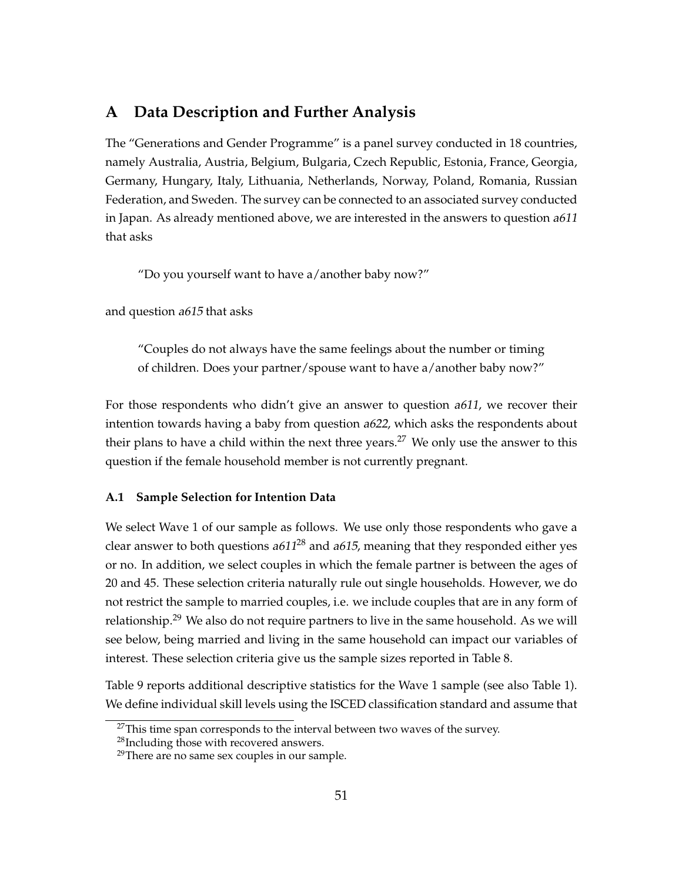# **A Data Description and Further Analysis**

The "Generations and Gender Programme" is a panel survey conducted in 18 countries, namely Australia, Austria, Belgium, Bulgaria, Czech Republic, Estonia, France, Georgia, Germany, Hungary, Italy, Lithuania, Netherlands, Norway, Poland, Romania, Russian Federation, and Sweden. The survey can be connected to an associated survey conducted in Japan. As already mentioned above, we are interested in the answers to question  $a611$ that asks

"Do you yourself want to have a/another baby now?"

and question a615 that asks

"Couples do not always have the same feelings about the number or timing of children. Does your partner/spouse want to have a/another baby now?"

For those respondents who didn't give an answer to question a611, we recover their intention towards having a baby from question a622, which asks the respondents about their plans to have a child within the next three years.<sup>27</sup> We only use the answer to this question if the female household member is not currently pregnant.

#### **A.1 Sample Selection for Intention Data**

We select Wave 1 of our sample as follows. We use only those respondents who gave a clear answer to both questions a611<sup>28</sup> and a615, meaning that they responded either yes or no. In addition, we select couples in which the female partner is between the ages of 20 and 45. These selection criteria naturally rule out single households. However, we do not restrict the sample to married couples, i.e. we include couples that are in any form of relationship.<sup>29</sup> We also do not require partners to live in the same household. As we will see below, being married and living in the same household can impact our variables of interest. These selection criteria give us the sample sizes reported in Table 8.

Table 9 reports additional descriptive statistics for the Wave 1 sample (see also Table 1). We define individual skill levels using the ISCED classification standard and assume that

<sup>&</sup>lt;sup>27</sup>This time span corresponds to the interval between two waves of the survey.

<sup>28</sup>Including those with recovered answers.

<sup>&</sup>lt;sup>29</sup>There are no same sex couples in our sample.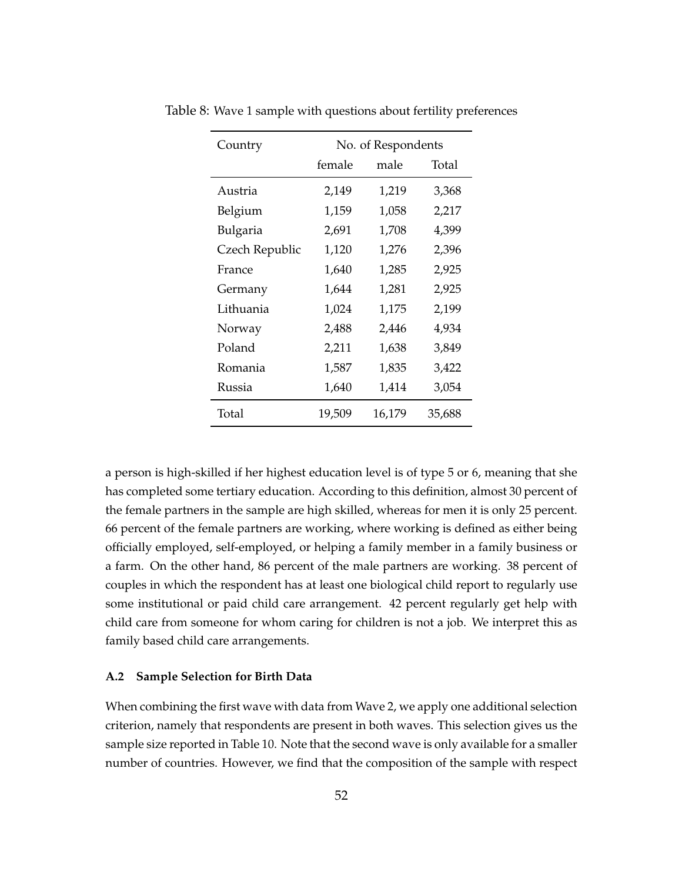| Country        | No. of Respondents |        |        |  |  |  |
|----------------|--------------------|--------|--------|--|--|--|
|                | female             | male   | Total  |  |  |  |
| Austria        | 2,149              | 1,219  | 3,368  |  |  |  |
| Belgium        | 1,159              | 1,058  | 2,217  |  |  |  |
| Bulgaria       | 2,691              | 1,708  | 4,399  |  |  |  |
| Czech Republic | 1,120              | 1,276  | 2,396  |  |  |  |
| France         | 1,640              | 1,285  | 2,925  |  |  |  |
| Germany        | 1,644              | 1,281  | 2,925  |  |  |  |
| Lithuania      | 1,024              | 1,175  | 2,199  |  |  |  |
| Norway         | 2,488              | 2,446  | 4,934  |  |  |  |
| Poland         | 2,211              | 1,638  | 3,849  |  |  |  |
| Romania        | 1,587              | 1,835  | 3,422  |  |  |  |
| Russia         | 1,640              | 1,414  | 3,054  |  |  |  |
| Total          | 19,509             | 16,179 | 35,688 |  |  |  |

Table 8: Wave 1 sample with questions about fertility preferences

a person is high-skilled if her highest education level is of type 5 or 6, meaning that she has completed some tertiary education. According to this definition, almost 30 percent of the female partners in the sample are high skilled, whereas for men it is only 25 percent. 66 percent of the female partners are working, where working is defined as either being officially employed, self-employed, or helping a family member in a family business or a farm. On the other hand, 86 percent of the male partners are working. 38 percent of couples in which the respondent has at least one biological child report to regularly use some institutional or paid child care arrangement. 42 percent regularly get help with child care from someone for whom caring for children is not a job. We interpret this as family based child care arrangements.

#### **A.2 Sample Selection for Birth Data**

When combining the first wave with data from Wave 2, we apply one additional selection criterion, namely that respondents are present in both waves. This selection gives us the sample size reported in Table 10. Note that the second wave is only available for a smaller number of countries. However, we find that the composition of the sample with respect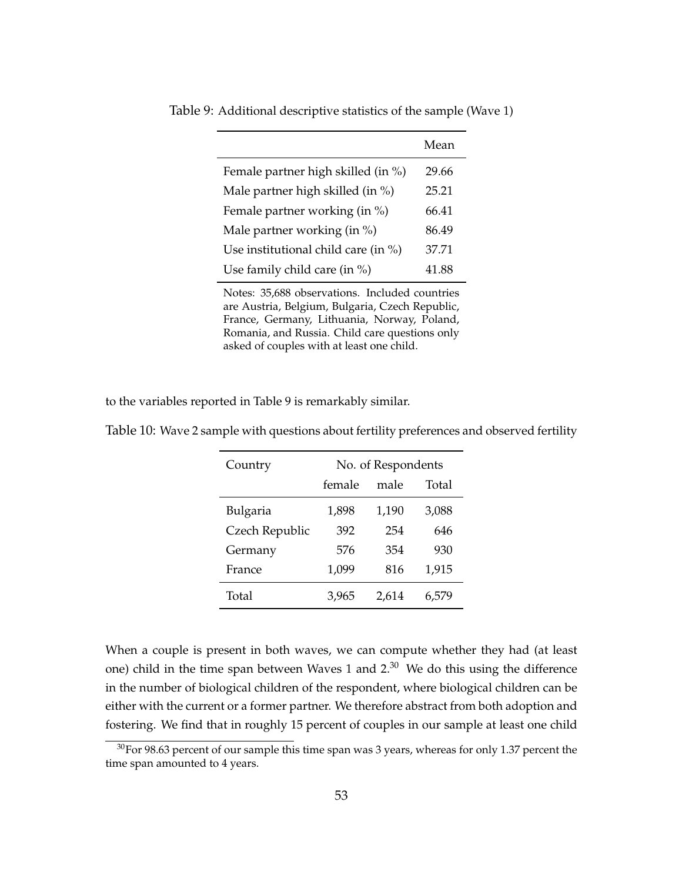|                                         | Mean  |
|-----------------------------------------|-------|
| Female partner high skilled (in %)      | 29.66 |
| Male partner high skilled (in %)        | 25.21 |
| Female partner working (in %)           | 66.41 |
| Male partner working (in %)             | 86.49 |
| Use institutional child care (in $\%$ ) | 37.71 |
| Use family child care (in %)            | 41.88 |

Table 9: Additional descriptive statistics of the sample (Wave 1)

Notes: 35,688 observations. Included countries are Austria, Belgium, Bulgaria, Czech Republic, France, Germany, Lithuania, Norway, Poland, Romania, and Russia. Child care questions only asked of couples with at least one child.

to the variables reported in Table 9 is remarkably similar.

| Country        | No. of Respondents |       |       |  |  |
|----------------|--------------------|-------|-------|--|--|
|                | female             | male  | Total |  |  |
| Bulgaria       | 1,898              | 1,190 | 3,088 |  |  |
| Czech Republic | 392                | 254   | 646   |  |  |
| Germany        | 576                | 354   | 930   |  |  |
| France         | 1,099              | 816   | 1,915 |  |  |
| Total          | 3,965              | 2,614 |       |  |  |

Table 10: Wave 2 sample with questions about fertility preferences and observed fertility

When a couple is present in both waves, we can compute whether they had (at least one) child in the time span between Waves 1 and 2.<sup>30</sup> We do this using the difference in the number of biological children of the respondent, where biological children can be either with the current or a former partner. We therefore abstract from both adoption and fostering. We find that in roughly 15 percent of couples in our sample at least one child

 $30$  For 98.63 percent of our sample this time span was 3 years, whereas for only 1.37 percent the time span amounted to 4 years.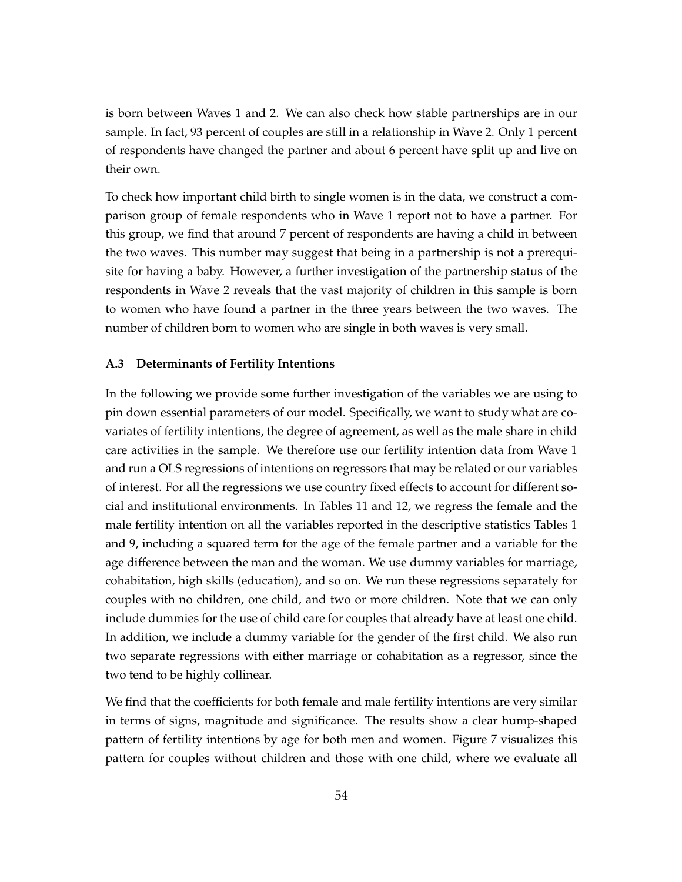is born between Waves 1 and 2. We can also check how stable partnerships are in our sample. In fact, 93 percent of couples are still in a relationship in Wave 2. Only 1 percent of respondents have changed the partner and about 6 percent have split up and live on their own.

To check how important child birth to single women is in the data, we construct a comparison group of female respondents who in Wave 1 report not to have a partner. For this group, we find that around 7 percent of respondents are having a child in between the two waves. This number may suggest that being in a partnership is not a prerequisite for having a baby. However, a further investigation of the partnership status of the respondents in Wave 2 reveals that the vast majority of children in this sample is born to women who have found a partner in the three years between the two waves. The number of children born to women who are single in both waves is very small.

#### **A.3 Determinants of Fertility Intentions**

In the following we provide some further investigation of the variables we are using to pin down essential parameters of our model. Specifically, we want to study what are covariates of fertility intentions, the degree of agreement, as well as the male share in child care activities in the sample. We therefore use our fertility intention data from Wave 1 and run a OLS regressions of intentions on regressors that may be related or our variables of interest. For all the regressions we use country fixed effects to account for different social and institutional environments. In Tables 11 and 12, we regress the female and the male fertility intention on all the variables reported in the descriptive statistics Tables 1 and 9, including a squared term for the age of the female partner and a variable for the age difference between the man and the woman. We use dummy variables for marriage, cohabitation, high skills (education), and so on. We run these regressions separately for couples with no children, one child, and two or more children. Note that we can only include dummies for the use of child care for couples that already have at least one child. In addition, we include a dummy variable for the gender of the first child. We also run two separate regressions with either marriage or cohabitation as a regressor, since the two tend to be highly collinear.

We find that the coefficients for both female and male fertility intentions are very similar in terms of signs, magnitude and significance. The results show a clear hump-shaped pattern of fertility intentions by age for both men and women. Figure 7 visualizes this pattern for couples without children and those with one child, where we evaluate all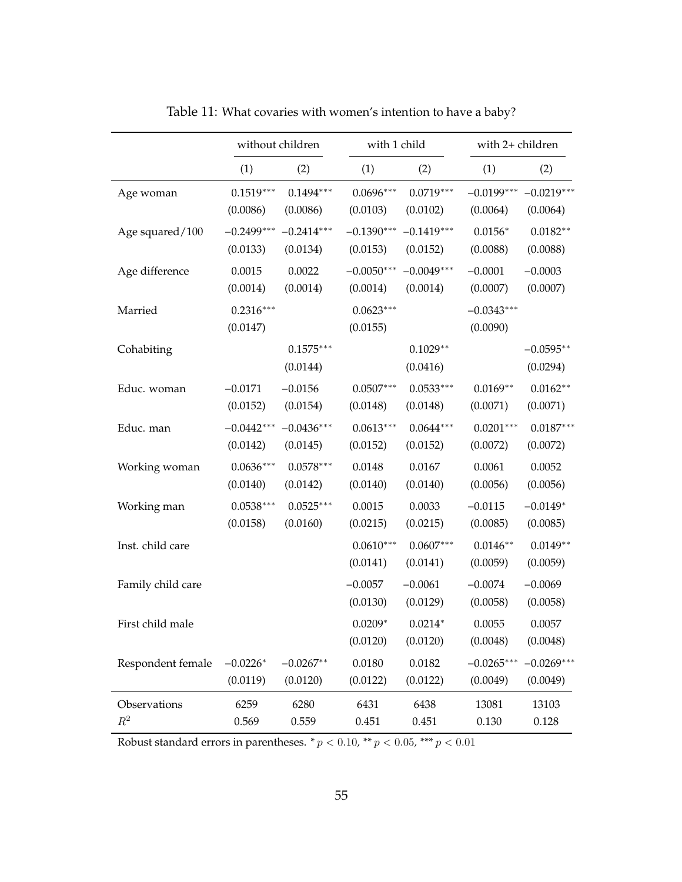|                   | without children        |                         |                         | with 1 child            |                          | with 2+ children        |  |
|-------------------|-------------------------|-------------------------|-------------------------|-------------------------|--------------------------|-------------------------|--|
|                   | (1)                     | (2)                     | (1)                     | (2)                     | (1)                      | (2)                     |  |
| Age woman         | $0.1519***$             | $0.1494***$             | $0.0696***$             | $0.0719***$             | $-0.0199***$             | $-0.0219***$            |  |
|                   | (0.0086)                | (0.0086)                | (0.0103)                | (0.0102)                | (0.0064)                 | (0.0064)                |  |
| Age squared/100   | $-0.2499***$            | $-0.2414***$            | $-0.1390***$            | $-0.1419***$            | $0.0156*$                | $0.0182**$              |  |
|                   | (0.0133)                | (0.0134)                | (0.0153)                | (0.0152)                | (0.0088)                 | (0.0088)                |  |
| Age difference    | 0.0015                  | 0.0022                  | $-0.0050***$            | $-0.0049***$            | $-0.0001$                | $-0.0003$               |  |
|                   | (0.0014)                | (0.0014)                | (0.0014)                | (0.0014)                | (0.0007)                 | (0.0007)                |  |
| Married           | $0.2316***$<br>(0.0147) |                         | $0.0623***$<br>(0.0155) |                         | $-0.0343***$<br>(0.0090) |                         |  |
| Cohabiting        |                         | $0.1575***$<br>(0.0144) |                         | $0.1029**$<br>(0.0416)  |                          | $-0.0595**$<br>(0.0294) |  |
| Educ. woman       | $-0.0171$               | $-0.0156$               | $0.0507***$             | $0.0533***$             | $0.0169**$               | $0.0162**$              |  |
|                   | (0.0152)                | (0.0154)                | (0.0148)                | (0.0148)                | (0.0071)                 | (0.0071)                |  |
| Educ. man         | $-0.0442***$            | $-0.0436***$            | $0.0613***$             | $0.0644***$             | $0.0201***$              | $0.0187***$             |  |
|                   | (0.0142)                | (0.0145)                | (0.0152)                | (0.0152)                | (0.0072)                 | (0.0072)                |  |
| Working woman     | $0.0636***$             | $0.0578***$             | 0.0148                  | 0.0167                  | 0.0061                   | 0.0052                  |  |
|                   | (0.0140)                | (0.0142)                | (0.0140)                | (0.0140)                | (0.0056)                 | (0.0056)                |  |
| Working man       | $0.0538***$             | $0.0525***$             | 0.0015                  | 0.0033                  | $-0.0115$                | $-0.0149*$              |  |
|                   | (0.0158)                | (0.0160)                | (0.0215)                | (0.0215)                | (0.0085)                 | (0.0085)                |  |
| Inst. child care  |                         |                         | $0.0610***$<br>(0.0141) | $0.0607***$<br>(0.0141) | $0.0146**$<br>(0.0059)   | $0.0149**$<br>(0.0059)  |  |
| Family child care |                         |                         | $-0.0057$<br>(0.0130)   | $-0.0061$<br>(0.0129)   | $-0.0074$<br>(0.0058)    | $-0.0069$<br>(0.0058)   |  |
| First child male  |                         |                         | $0.0209*$<br>(0.0120)   | $0.0214*$<br>(0.0120)   | 0.0055<br>(0.0048)       | 0.0057<br>(0.0048)      |  |
| Respondent female | $-0.0226*$              | $-0.0267**$             | 0.0180                  | 0.0182                  | $-0.0265***$             | $-0.0269***$            |  |
|                   | (0.0119)                | (0.0120)                | (0.0122)                | (0.0122)                | (0.0049)                 | (0.0049)                |  |
| Observations      | 6259                    | 6280                    | 6431                    | 6438                    | 13081                    | 13103                   |  |
| $R^2$             | 0.569                   | 0.559                   | 0.451                   | 0.451                   | 0.130                    | 0.128                   |  |

Table 11: What covaries with women's intention to have a baby?

Robust standard errors in parentheses.  $* p < 0.10$ ,  $** p < 0.05$ ,  $*** p < 0.01$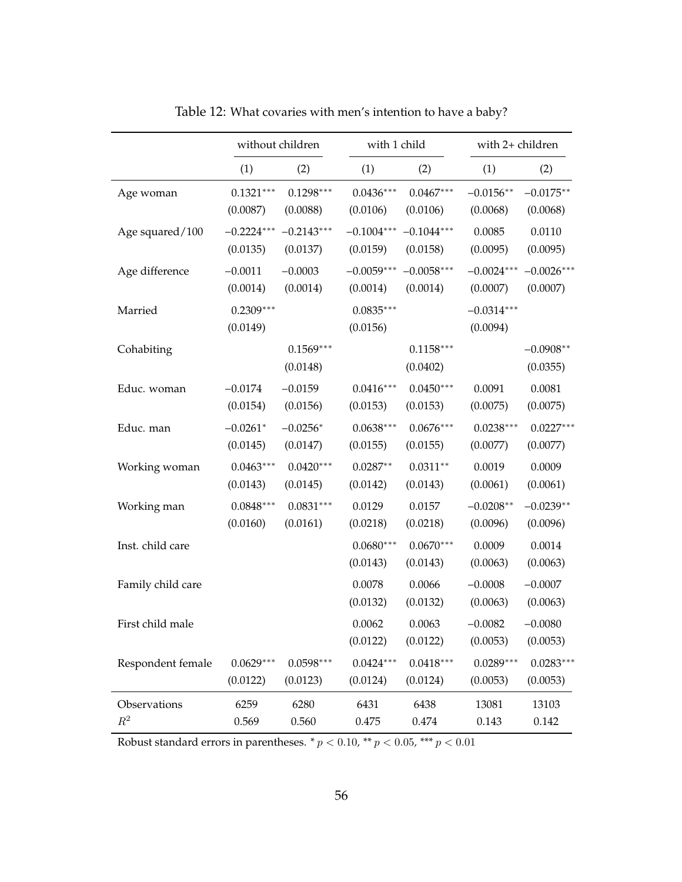|                   | without children        |                         |                         | with 1 child            |                          | with 2+ children        |  |
|-------------------|-------------------------|-------------------------|-------------------------|-------------------------|--------------------------|-------------------------|--|
|                   | (1)                     | (2)                     | (1)                     | (2)                     | (1)                      | (2)                     |  |
| Age woman         | $0.1321***$             | $0.1298***$             | $0.0436***$             | $0.0467***$             | $-0.0156**$              | $-0.0175**$             |  |
|                   | (0.0087)                | (0.0088)                | (0.0106)                | (0.0106)                | (0.0068)                 | (0.0068)                |  |
| Age squared/100   | $-0.2224***$            | $-0.2143***$            | $-0.1004***$            | $-0.1044***$            | 0.0085                   | 0.0110                  |  |
|                   | (0.0135)                | (0.0137)                | (0.0159)                | (0.0158)                | (0.0095)                 | (0.0095)                |  |
| Age difference    | $-0.0011$               | $-0.0003$               | $-0.0059***$            | $-0.0058***$            | $-0.0024***$             | $-0.0026***$            |  |
|                   | (0.0014)                | (0.0014)                | (0.0014)                | (0.0014)                | (0.0007)                 | (0.0007)                |  |
| Married           | $0.2309***$<br>(0.0149) |                         | $0.0835***$<br>(0.0156) |                         | $-0.0314***$<br>(0.0094) |                         |  |
| Cohabiting        |                         | $0.1569***$<br>(0.0148) |                         | $0.1158***$<br>(0.0402) |                          | $-0.0908**$<br>(0.0355) |  |
| Educ. woman       | $-0.0174$               | $-0.0159$               | $0.0416***$             | $0.0450***$             | 0.0091                   | 0.0081                  |  |
|                   | (0.0154)                | (0.0156)                | (0.0153)                | (0.0153)                | (0.0075)                 | (0.0075)                |  |
| Educ. man         | $-0.0261*$              | $-0.0256*$              | $0.0638***$             | $0.0676***$             | $0.0238***$              | $0.0227***$             |  |
|                   | (0.0145)                | (0.0147)                | (0.0155)                | (0.0155)                | (0.0077)                 | (0.0077)                |  |
| Working woman     | $0.0463***$             | $0.0420***$             | $0.0287**$              | $0.0311**$              | 0.0019                   | 0.0009                  |  |
|                   | (0.0143)                | (0.0145)                | (0.0142)                | (0.0143)                | (0.0061)                 | (0.0061)                |  |
| Working man       | $0.0848***$             | $0.0831***$             | 0.0129                  | 0.0157                  | $-0.0208**$              | $-0.0239**$             |  |
|                   | (0.0160)                | (0.0161)                | (0.0218)                | (0.0218)                | (0.0096)                 | (0.0096)                |  |
| Inst. child care  |                         |                         | $0.0680***$<br>(0.0143) | $0.0670***$<br>(0.0143) | 0.0009<br>(0.0063)       | 0.0014<br>(0.0063)      |  |
| Family child care |                         |                         | 0.0078<br>(0.0132)      | 0.0066<br>(0.0132)      | $-0.0008$<br>(0.0063)    | $-0.0007$<br>(0.0063)   |  |
| First child male  |                         |                         | 0.0062<br>(0.0122)      | 0.0063<br>(0.0122)      | $-0.0082$<br>(0.0053)    | $-0.0080$<br>(0.0053)   |  |
| Respondent female | $0.0629***$             | $0.0598***$             | $0.0424***$             | $0.0418***$             | $0.0289***$              | $0.0283***$             |  |
|                   | (0.0122)                | (0.0123)                | (0.0124)                | (0.0124)                | (0.0053)                 | (0.0053)                |  |
| Observations      | 6259                    | 6280                    | 6431                    | 6438                    | 13081                    | 13103                   |  |
| $\mathbb{R}^2$    | 0.569                   | 0.560                   | 0.475                   | 0.474                   | 0.143                    | 0.142                   |  |

Table 12: What covaries with men's intention to have a baby?

Robust standard errors in parentheses.  $* p < 0.10$ ,  $** p < 0.05$ ,  $*** p < 0.01$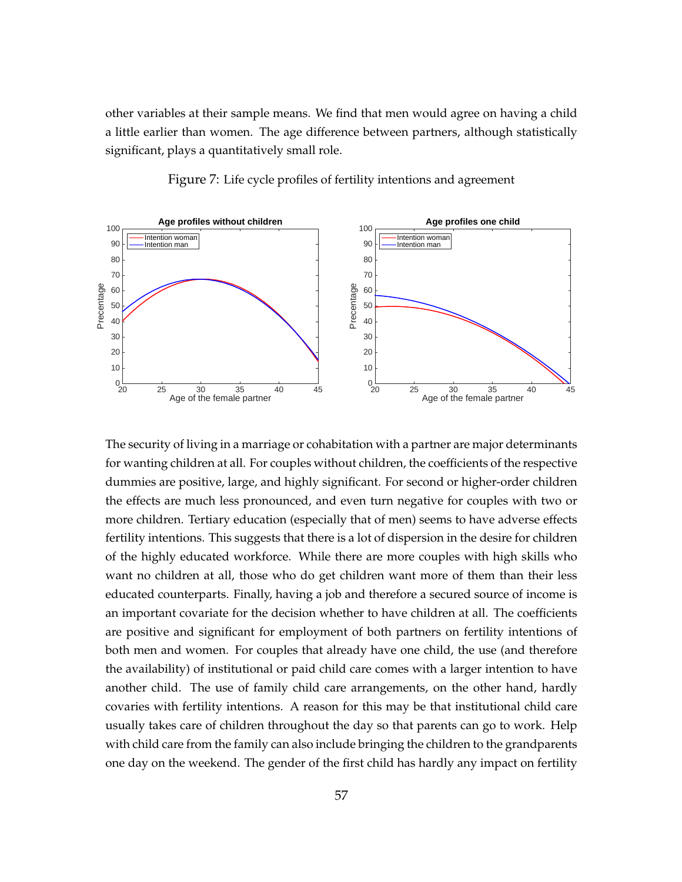other variables at their sample means. We find that men would agree on having a child a little earlier than women. The age difference between partners, although statistically significant, plays a quantitatively small role.



Figure 7: Life cycle profiles of fertility intentions and agreement

The security of living in a marriage or cohabitation with a partner are major determinants for wanting children at all. For couples without children, the coefficients of the respective dummies are positive, large, and highly significant. For second or higher-order children the effects are much less pronounced, and even turn negative for couples with two or more children. Tertiary education (especially that of men) seems to have adverse effects fertility intentions. This suggests that there is a lot of dispersion in the desire for children of the highly educated workforce. While there are more couples with high skills who want no children at all, those who do get children want more of them than their less educated counterparts. Finally, having a job and therefore a secured source of income is an important covariate for the decision whether to have children at all. The coefficients are positive and significant for employment of both partners on fertility intentions of both men and women. For couples that already have one child, the use (and therefore the availability) of institutional or paid child care comes with a larger intention to have another child. The use of family child care arrangements, on the other hand, hardly covaries with fertility intentions. A reason for this may be that institutional child care usually takes care of children throughout the day so that parents can go to work. Help with child care from the family can also include bringing the children to the grandparents one day on the weekend. The gender of the first child has hardly any impact on fertility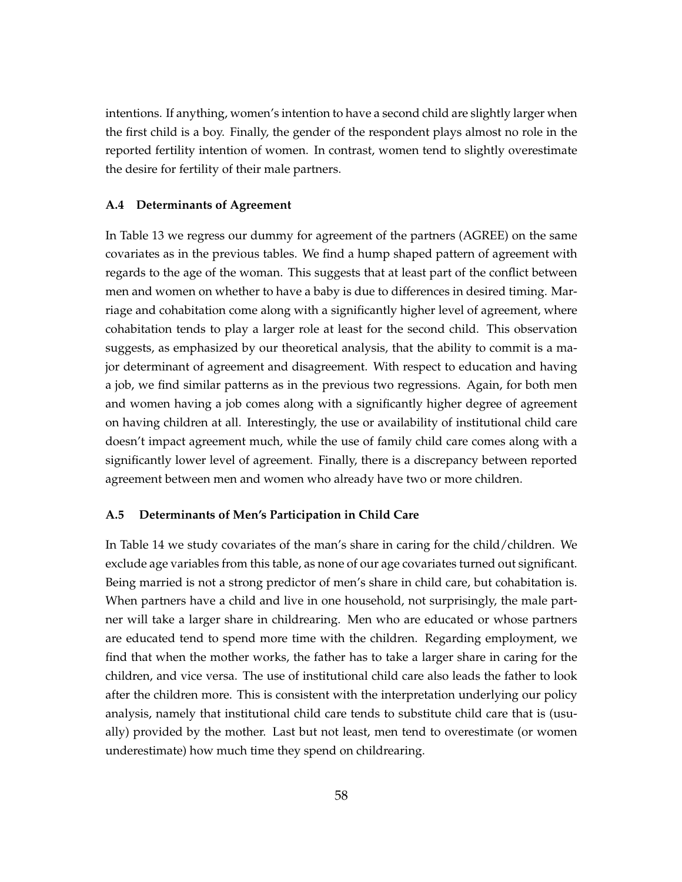intentions. If anything, women's intention to have a second child are slightly larger when the first child is a boy. Finally, the gender of the respondent plays almost no role in the reported fertility intention of women. In contrast, women tend to slightly overestimate the desire for fertility of their male partners.

#### **A.4 Determinants of Agreement**

In Table 13 we regress our dummy for agreement of the partners (AGREE) on the same covariates as in the previous tables. We find a hump shaped pattern of agreement with regards to the age of the woman. This suggests that at least part of the conflict between men and women on whether to have a baby is due to differences in desired timing. Marriage and cohabitation come along with a significantly higher level of agreement, where cohabitation tends to play a larger role at least for the second child. This observation suggests, as emphasized by our theoretical analysis, that the ability to commit is a major determinant of agreement and disagreement. With respect to education and having a job, we find similar patterns as in the previous two regressions. Again, for both men and women having a job comes along with a significantly higher degree of agreement on having children at all. Interestingly, the use or availability of institutional child care doesn't impact agreement much, while the use of family child care comes along with a significantly lower level of agreement. Finally, there is a discrepancy between reported agreement between men and women who already have two or more children.

#### **A.5 Determinants of Men's Participation in Child Care**

In Table 14 we study covariates of the man's share in caring for the child/children. We exclude age variables from this table, as none of our age covariates turned out significant. Being married is not a strong predictor of men's share in child care, but cohabitation is. When partners have a child and live in one household, not surprisingly, the male partner will take a larger share in childrearing. Men who are educated or whose partners are educated tend to spend more time with the children. Regarding employment, we find that when the mother works, the father has to take a larger share in caring for the children, and vice versa. The use of institutional child care also leads the father to look after the children more. This is consistent with the interpretation underlying our policy analysis, namely that institutional child care tends to substitute child care that is (usually) provided by the mother. Last but not least, men tend to overestimate (or women underestimate) how much time they spend on childrearing.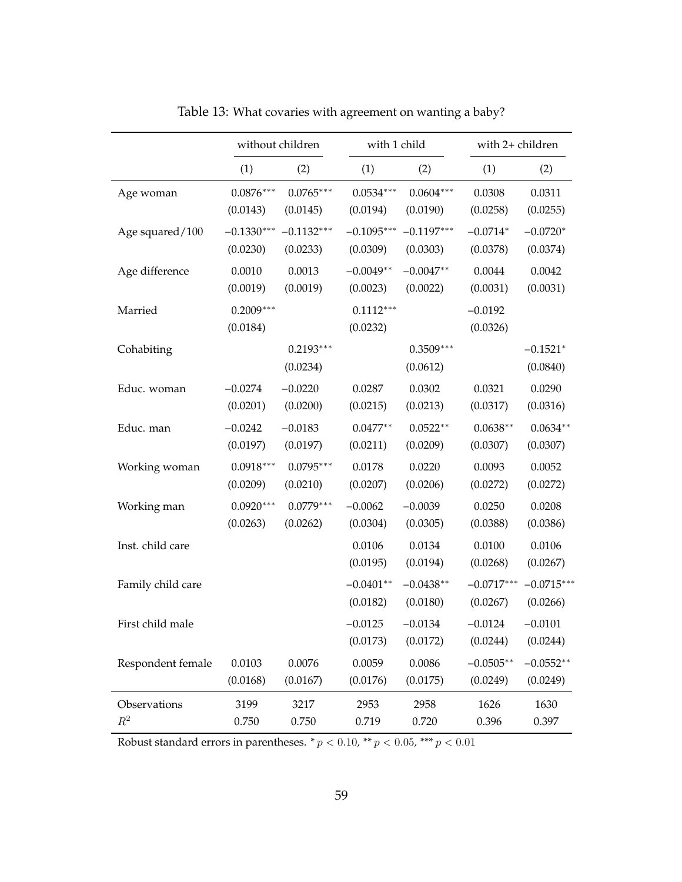|                   |                         | without children        | with 1 child            |                         | with 2+ children         |                          |
|-------------------|-------------------------|-------------------------|-------------------------|-------------------------|--------------------------|--------------------------|
|                   | (1)                     | (2)                     | (1)                     | (2)                     | (1)                      | (2)                      |
| Age woman         | $0.0876***$             | $0.0765***$             | $0.0534***$             | $0.0604***$             | 0.0308                   | 0.0311                   |
|                   | (0.0143)                | (0.0145)                | (0.0194)                | (0.0190)                | (0.0258)                 | (0.0255)                 |
| Age squared/100   | $-0.1330***$            | $-0.1132***$            | $-0.1095***$            | $-0.1197***$            | $-0.0714*$               | $-0.0720*$               |
|                   | (0.0230)                | (0.0233)                | (0.0309)                | (0.0303)                | (0.0378)                 | (0.0374)                 |
| Age difference    | 0.0010                  | 0.0013                  | $-0.0049**$             | $-0.0047**$             | 0.0044                   | 0.0042                   |
|                   | (0.0019)                | (0.0019)                | (0.0023)                | (0.0022)                | (0.0031)                 | (0.0031)                 |
| Married           | $0.2009***$<br>(0.0184) |                         | $0.1112***$<br>(0.0232) |                         | $-0.0192$<br>(0.0326)    |                          |
| Cohabiting        |                         | $0.2193***$<br>(0.0234) |                         | $0.3509***$<br>(0.0612) |                          | $-0.1521*$<br>(0.0840)   |
| Educ. woman       | $-0.0274$               | $-0.0220$               | 0.0287                  | 0.0302                  | 0.0321                   | 0.0290                   |
|                   | (0.0201)                | (0.0200)                | (0.0215)                | (0.0213)                | (0.0317)                 | (0.0316)                 |
| Educ. man         | $-0.0242$               | $-0.0183$               | $0.0477**$              | $0.0522**$              | $0.0638**$               | $0.0634**$               |
|                   | (0.0197)                | (0.0197)                | (0.0211)                | (0.0209)                | (0.0307)                 | (0.0307)                 |
| Working woman     | $0.0918***$             | $0.0795***$             | 0.0178                  | 0.0220                  | 0.0093                   | 0.0052                   |
|                   | (0.0209)                | (0.0210)                | (0.0207)                | (0.0206)                | (0.0272)                 | (0.0272)                 |
| Working man       | $0.0920***$             | $0.0779***$             | $-0.0062$               | $-0.0039$               | 0.0250                   | 0.0208                   |
|                   | (0.0263)                | (0.0262)                | (0.0304)                | (0.0305)                | (0.0388)                 | (0.0386)                 |
| Inst. child care  |                         |                         | 0.0106<br>(0.0195)      | 0.0134<br>(0.0194)      | 0.0100<br>(0.0268)       | 0.0106<br>(0.0267)       |
| Family child care |                         |                         | $-0.0401**$<br>(0.0182) | $-0.0438**$<br>(0.0180) | $-0.0717***$<br>(0.0267) | $-0.0715***$<br>(0.0266) |
| First child male  |                         |                         | $-0.0125$<br>(0.0173)   | $-0.0134$<br>(0.0172)   | $-0.0124$<br>(0.0244)    | $-0.0101$<br>(0.0244)    |
| Respondent female | 0.0103                  | 0.0076                  | 0.0059                  | 0.0086                  | $-0.0505**$              | $-0.0552**$              |
|                   | (0.0168)                | (0.0167)                | (0.0176)                | (0.0175)                | (0.0249)                 | (0.0249)                 |
| Observations      | 3199                    | 3217                    | 2953                    | 2958                    | 1626                     | 1630                     |
| $\mathbb{R}^2$    | 0.750                   | 0.750                   | 0.719                   | 0.720                   | 0.396                    | 0.397                    |

Table 13: What covaries with agreement on wanting a baby?

Robust standard errors in parentheses.  $* p < 0.10$ ,  $** p < 0.05$ ,  $*** p < 0.01$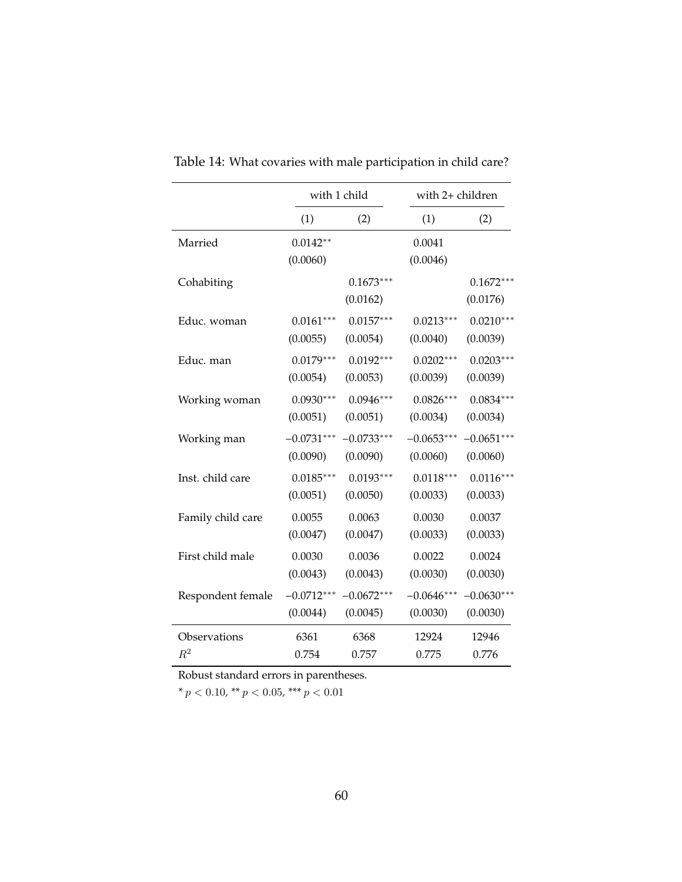|                   |                        | with 1 child            | with 2+ children   |                         |
|-------------------|------------------------|-------------------------|--------------------|-------------------------|
|                   | (1)                    | (2)                     | (1)                | (2)                     |
| Married           | $0.0142**$<br>(0.0060) |                         | 0.0041<br>(0.0046) |                         |
| Cohabiting        |                        | $0.1673***$<br>(0.0162) |                    | $0.1672***$<br>(0.0176) |
| Educ. woman       | $0.0161***$            | $0.0157***$             | $0.0213***$        | $0.0210***$             |
|                   | (0.0055)               | (0.0054)                | (0.0040)           | (0.0039)                |
| Educ. man         | $0.0179***$            | $0.0192***$             | $0.0202***$        | $0.0203***$             |
|                   | (0.0054)               | (0.0053)                | (0.0039)           | (0.0039)                |
| Working woman     | $0.0930***$            | $0.0946***$             | $0.0826***$        | $0.0834***$             |
|                   | (0.0051)               | (0.0051)                | (0.0034)           | (0.0034)                |
| Working man       | $-0.0731***$           | $-0.0733***$            | $-0.0653***$       | $-0.0651***$            |
|                   | (0.0090)               | (0.0090)                | (0.0060)           | (0.0060)                |
| Inst. child care  | $0.0185***$            | $0.0193***$             | $0.0118***$        | $0.0116***$             |
|                   | (0.0051)               | (0.0050)                | (0.0033)           | (0.0033)                |
| Family child care | 0.0055                 | 0.0063                  | 0.0030             | 0.0037                  |
|                   | (0.0047)               | (0.0047)                | (0.0033)           | (0.0033)                |
| First child male  | 0.0030                 | 0.0036                  | 0.0022             | 0.0024                  |
|                   | (0.0043)               | (0.0043)                | (0.0030)           | (0.0030)                |
| Respondent female | $-0.0712***$           | $-0.0672***$            | $-0.0646***$       | $-0.0630***$            |
|                   | (0.0044)               | (0.0045)                | (0.0030)           | (0.0030)                |
| Observations      | 6361                   | 6368                    | 12924              | 12946                   |
| $R^2$             | 0.754                  | 0.757                   | 0.775              | 0.776                   |

Table 14: What covaries with male participation in child care?

Robust standard errors in parentheses.

*\* p <* 0*.*10*, \*\* p <* 0*.*05*, \*\*\* p <* 0*.*01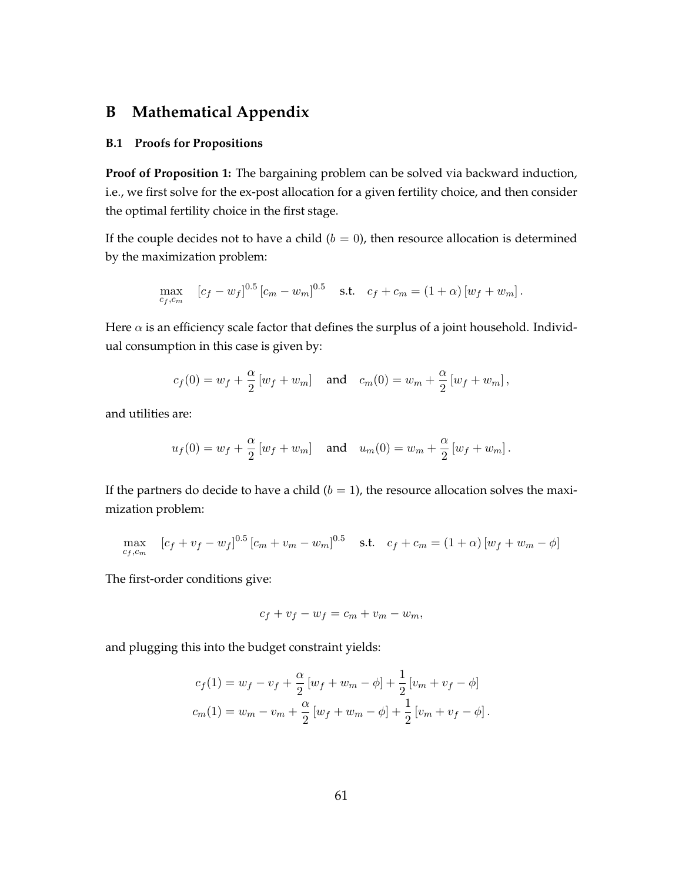# **B Mathematical Appendix**

#### **B.1 Proofs for Propositions**

**Proof of Proposition 1:** The bargaining problem can be solved via backward induction, i.e., we first solve for the ex-post allocation for a given fertility choice, and then consider the optimal fertility choice in the first stage.

If the couple decides not to have a child  $(b = 0)$ , then resource allocation is determined by the maximization problem:

$$
\max_{c_f, c_m} \quad [c_f - w_f]^{0.5} \left[ c_m - w_m \right]^{0.5} \quad \text{s.t.} \quad c_f + c_m = (1 + \alpha) \left[ w_f + w_m \right].
$$

Here  $\alpha$  is an efficiency scale factor that defines the surplus of a joint household. Individual consumption in this case is given by:

$$
c_f(0) = w_f + \frac{\alpha}{2} [w_f + w_m]
$$
 and  $c_m(0) = w_m + \frac{\alpha}{2} [w_f + w_m]$ ,

and utilities are:

$$
u_f(0) = w_f + \frac{\alpha}{2} [w_f + w_m]
$$
 and  $u_m(0) = w_m + \frac{\alpha}{2} [w_f + w_m]$ .

If the partners do decide to have a child  $(b = 1)$ , the resource allocation solves the maximization problem:

$$
\max_{c_f, c_m} \quad [c_f + v_f - w_f]^{0.5} \left[ c_m + v_m - w_m \right]^{0.5} \quad \text{s.t.} \quad c_f + c_m = (1 + \alpha) \left[ w_f + w_m - \phi \right]
$$

The first-order conditions give:

$$
c_f + v_f - w_f = c_m + v_m - w_m,
$$

and plugging this into the budget constraint yields:

$$
c_f(1) = w_f - v_f + \frac{\alpha}{2} [w_f + w_m - \phi] + \frac{1}{2} [v_m + v_f - \phi]
$$
  

$$
c_m(1) = w_m - v_m + \frac{\alpha}{2} [w_f + w_m - \phi] + \frac{1}{2} [v_m + v_f - \phi].
$$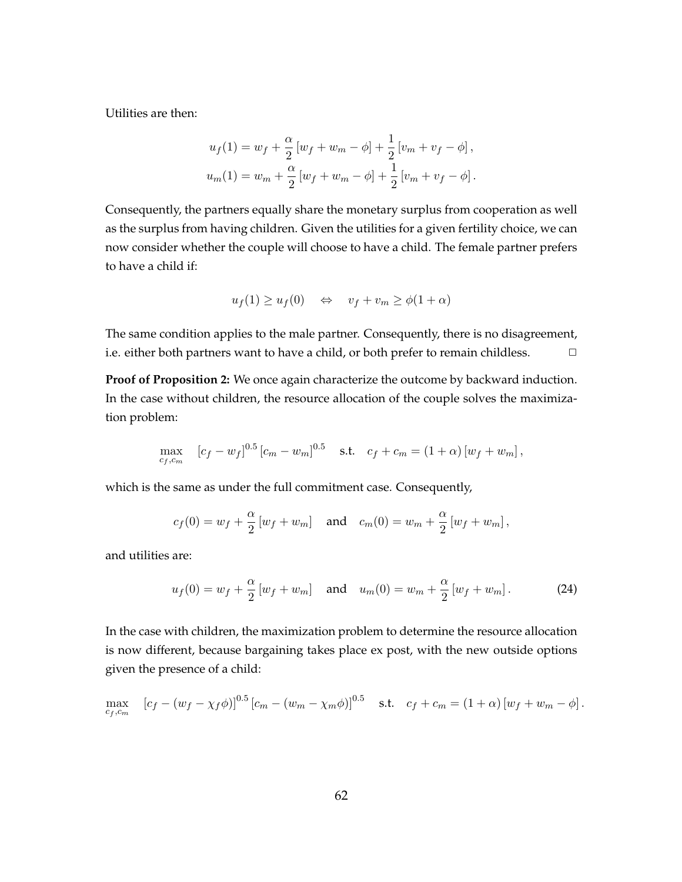Utilities are then:

$$
u_f(1) = w_f + \frac{\alpha}{2} [w_f + w_m - \phi] + \frac{1}{2} [v_m + v_f - \phi],
$$
  

$$
u_m(1) = w_m + \frac{\alpha}{2} [w_f + w_m - \phi] + \frac{1}{2} [v_m + v_f - \phi].
$$

Consequently, the partners equally share the monetary surplus from cooperation as well as the surplus from having children. Given the utilities for a given fertility choice, we can now consider whether the couple will choose to have a child. The female partner prefers to have a child if:

$$
u_f(1) \ge u_f(0) \quad \Leftrightarrow \quad v_f + v_m \ge \phi(1 + \alpha)
$$

The same condition applies to the male partner. Consequently, there is no disagreement, i.e. either both partners want to have a child, or both prefer to remain childless. □

**Proof of Proposition 2:** We once again characterize the outcome by backward induction. In the case without children, the resource allocation of the couple solves the maximization problem:

$$
\max_{c_f, c_m} \quad [c_f - w_f]^{0.5} \left[ c_m - w_m \right]^{0.5} \quad \text{s.t.} \quad c_f + c_m = (1 + \alpha) \left[ w_f + w_m \right],
$$

which is the same as under the full commitment case. Consequently,

$$
c_f(0) = w_f + \frac{\alpha}{2} [w_f + w_m]
$$
 and  $c_m(0) = w_m + \frac{\alpha}{2} [w_f + w_m]$ ,

and utilities are:

$$
u_f(0) = w_f + \frac{\alpha}{2} [w_f + w_m]
$$
 and  $u_m(0) = w_m + \frac{\alpha}{2} [w_f + w_m]$ . (24)

In the case with children, the maximization problem to determine the resource allocation is now different, because bargaining takes place ex post, with the new outside options given the presence of a child:

$$
\max_{c_f, c_m} \quad [c_f - (w_f - \chi_f \phi)]^{0.5} \left[c_m - (w_m - \chi_m \phi)\right]^{0.5} \quad \text{s.t.} \quad c_f + c_m = (1 + \alpha) \left[w_f + w_m - \phi\right].
$$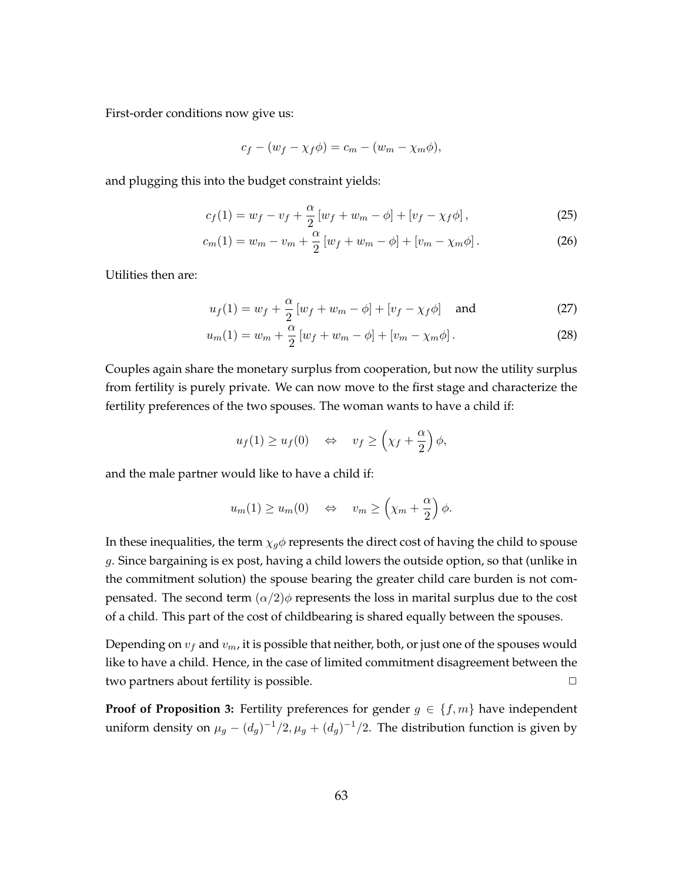First-order conditions now give us:

$$
c_f - (w_f - \chi_f \phi) = c_m - (w_m - \chi_m \phi),
$$

and plugging this into the budget constraint yields:

$$
c_f(1) = w_f - v_f + \frac{\alpha}{2} \left[ w_f + w_m - \phi \right] + \left[ v_f - \chi_f \phi \right],
$$
 (25)

$$
c_m(1) = w_m - v_m + \frac{\alpha}{2} \left[ w_f + w_m - \phi \right] + \left[ v_m - \chi_m \phi \right]. \tag{26}
$$

Utilities then are:

$$
u_f(1) = w_f + \frac{\alpha}{2} \left[ w_f + w_m - \phi \right] + \left[ v_f - \chi_f \phi \right] \quad \text{and} \tag{27}
$$

$$
u_m(1) = w_m + \frac{\alpha}{2} \left[ w_f + w_m - \phi \right] + \left[ v_m - \chi_m \phi \right]. \tag{28}
$$

Couples again share the monetary surplus from cooperation, but now the utility surplus from fertility is purely private. We can now move to the first stage and characterize the fertility preferences of the two spouses. The woman wants to have a child if:

$$
u_f(1) \ge u_f(0) \iff v_f \ge \left(\chi_f + \frac{\alpha}{2}\right)\phi,
$$

and the male partner would like to have a child if:

$$
u_m(1) \ge u_m(0) \iff v_m \ge \left(\chi_m + \frac{\alpha}{2}\right)\phi.
$$

In these inequalities, the term  $\chi_g \phi$  represents the direct cost of having the child to spouse *g*. Since bargaining is ex post, having a child lowers the outside option, so that (unlike in the commitment solution) the spouse bearing the greater child care burden is not compensated. The second term  $\left(\frac{\alpha}{2}\right)\phi$  represents the loss in marital surplus due to the cost of a child. This part of the cost of childbearing is shared equally between the spouses.

Depending on *v<sup>f</sup>* and *vm*, it is possible that neither, both, or just one of the spouses would like to have a child. Hence, in the case of limited commitment disagreement between the two partners about fertility is possible. **<u>□</u>** 

**Proof of Proposition 3:** Fertility preferences for gender  $g \in \{f, m\}$  have independent uniform density on  $\mu_g - (d_g)^{-1}/2$ ,  $\mu_g + (d_g)^{-1}/2$ . The distribution function is given by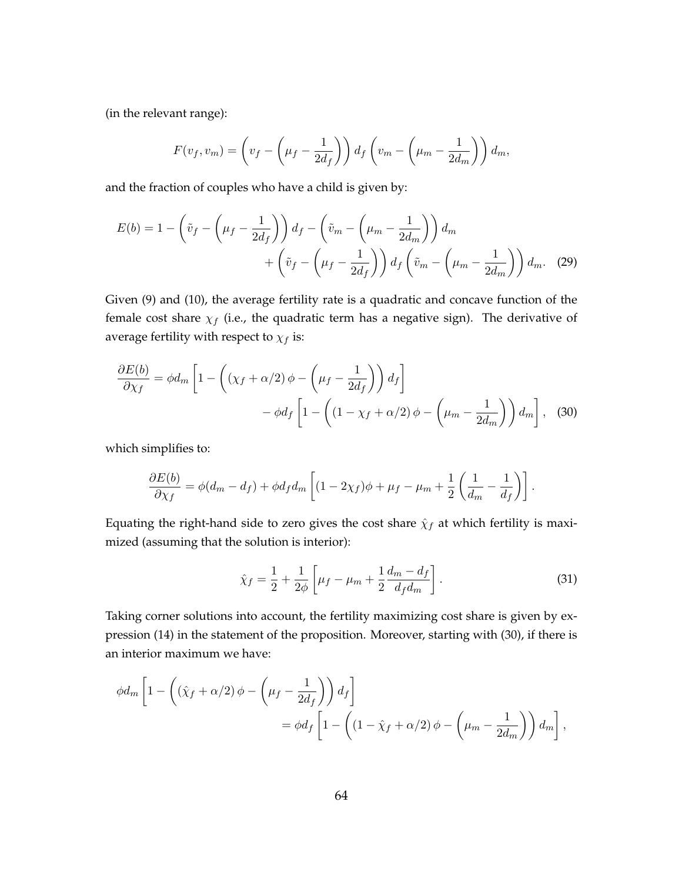(in the relevant range):

$$
F(v_f, v_m) = \left(v_f - \left(\mu_f - \frac{1}{2d_f}\right)\right) d_f \left(v_m - \left(\mu_m - \frac{1}{2d_m}\right)\right) d_m,
$$

and the fraction of couples who have a child is given by:

$$
E(b) = 1 - \left(\tilde{v}_f - \left(\mu_f - \frac{1}{2d_f}\right)\right) d_f - \left(\tilde{v}_m - \left(\mu_m - \frac{1}{2d_m}\right)\right) d_m
$$

$$
+ \left(\tilde{v}_f - \left(\mu_f - \frac{1}{2d_f}\right)\right) d_f \left(\tilde{v}_m - \left(\mu_m - \frac{1}{2d_m}\right)\right) d_m. \quad (29)
$$

Given (9) and (10), the average fertility rate is a quadratic and concave function of the female cost share  $\chi_f$  (i.e., the quadratic term has a negative sign). The derivative of average fertility with respect to  $\chi_f$  is:

$$
\frac{\partial E(b)}{\partial \chi_f} = \phi d_m \left[ 1 - \left( (\chi_f + \alpha/2) \phi - \left( \mu_f - \frac{1}{2d_f} \right) \right) d_f \right] \n- \phi d_f \left[ 1 - \left( (1 - \chi_f + \alpha/2) \phi - \left( \mu_m - \frac{1}{2d_m} \right) \right) d_m \right], \quad (30)
$$

which simplifies to:

$$
\frac{\partial E(b)}{\partial \chi_f} = \phi(d_m - d_f) + \phi d_f d_m \left[ (1 - 2\chi_f)\phi + \mu_f - \mu_m + \frac{1}{2} \left( \frac{1}{d_m} - \frac{1}{d_f} \right) \right].
$$

Equating the right-hand side to zero gives the cost share  $\hat{\chi}_f$  at which fertility is maximized (assuming that the solution is interior):

$$
\hat{\chi}_f = \frac{1}{2} + \frac{1}{2\phi} \left[ \mu_f - \mu_m + \frac{1}{2} \frac{d_m - d_f}{d_f d_m} \right].
$$
\n(31)

Taking corner solutions into account, the fertility maximizing cost share is given by expression (14) in the statement of the proposition. Moreover, starting with (30), if there is an interior maximum we have:

$$
\phi d_m \left[ 1 - \left( (\hat{\chi}_f + \alpha/2) \phi - \left( \mu_f - \frac{1}{2d_f} \right) \right) d_f \right]
$$
  
= 
$$
\phi d_f \left[ 1 - \left( (1 - \hat{\chi}_f + \alpha/2) \phi - \left( \mu_m - \frac{1}{2d_m} \right) \right) d_m \right],
$$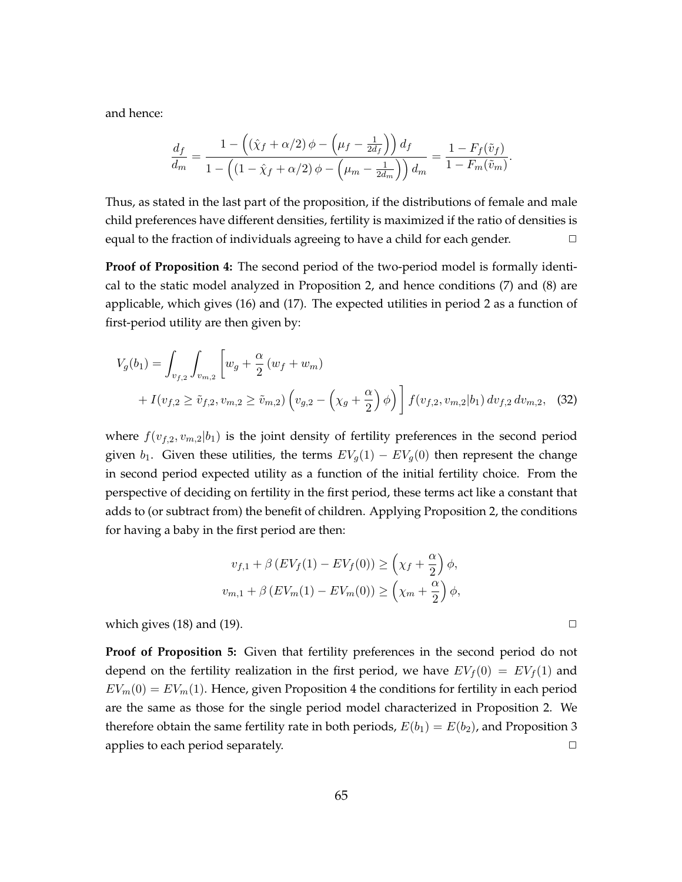and hence:

$$
\frac{d_f}{d_m} = \frac{1 - \left( (\hat{\chi}_f + \alpha/2) \phi - \left( \mu_f - \frac{1}{2d_f} \right) \right) d_f}{1 - \left( (1 - \hat{\chi}_f + \alpha/2) \phi - \left( \mu_m - \frac{1}{2d_m} \right) \right) d_m} = \frac{1 - F_f(\tilde{v}_f)}{1 - F_m(\tilde{v}_m)}
$$

Thus, as stated in the last part of the proposition, if the distributions of female and male child preferences have different densities, fertility is maximized if the ratio of densities is equal to the fraction of individuals agreeing to have a child for each gender.  $\Box$ 

**Proof of Proposition 4:** The second period of the two-period model is formally identical to the static model analyzed in Proposition 2, and hence conditions (7) and (8) are applicable, which gives (16) and (17). The expected utilities in period 2 as a function of first-period utility are then given by:

$$
V_g(b_1) = \int_{v_{f,2}} \int_{v_{m,2}} \left[ w_g + \frac{\alpha}{2} \left( w_f + w_m \right) + I(v_{f,2} \ge \tilde{v}_{f,2}, v_{m,2} \ge \tilde{v}_{m,2} \right) \left( v_{g,2} - \left( \chi_g + \frac{\alpha}{2} \right) \phi \right) \right] f(v_{f,2}, v_{m,2} | b_1) \, dv_{f,2} \, dv_{m,2}, \tag{32}
$$

where  $f(v_{f,2}, v_{m,2}|b_1)$  is the joint density of fertility preferences in the second period given *b*<sub>1</sub>. Given these utilities, the terms  $EV_g(1) - EV_g(0)$  then represent the change in second period expected utility as a function of the initial fertility choice. From the perspective of deciding on fertility in the first period, these terms act like a constant that adds to (or subtract from) the benefit of children. Applying Proposition 2, the conditions for having a baby in the first period are then:

$$
v_{f,1} + \beta \left( EV_f(1) - EV_f(0) \right) \ge \left( \chi_f + \frac{\alpha}{2} \right) \phi,
$$
  

$$
v_{m,1} + \beta \left( EV_m(1) - EV_m(0) \right) \ge \left( \chi_m + \frac{\alpha}{2} \right) \phi,
$$

which gives  $(18)$  and  $(19)$ .  $\Box$ 

**Proof of Proposition 5:** Given that fertility preferences in the second period do not depend on the fertility realization in the first period, we have  $EV_f(0) = EV_f(1)$  and  $EV_m(0) = EV_m(1)$ . Hence, given Proposition 4 the conditions for fertility in each period are the same as those for the single period model characterized in Proposition 2. We therefore obtain the same fertility rate in both periods,  $E(b_1) = E(b_2)$ , and Proposition 3 applies to each period separately. **<u>** $\Box$ **</u>** 

*.*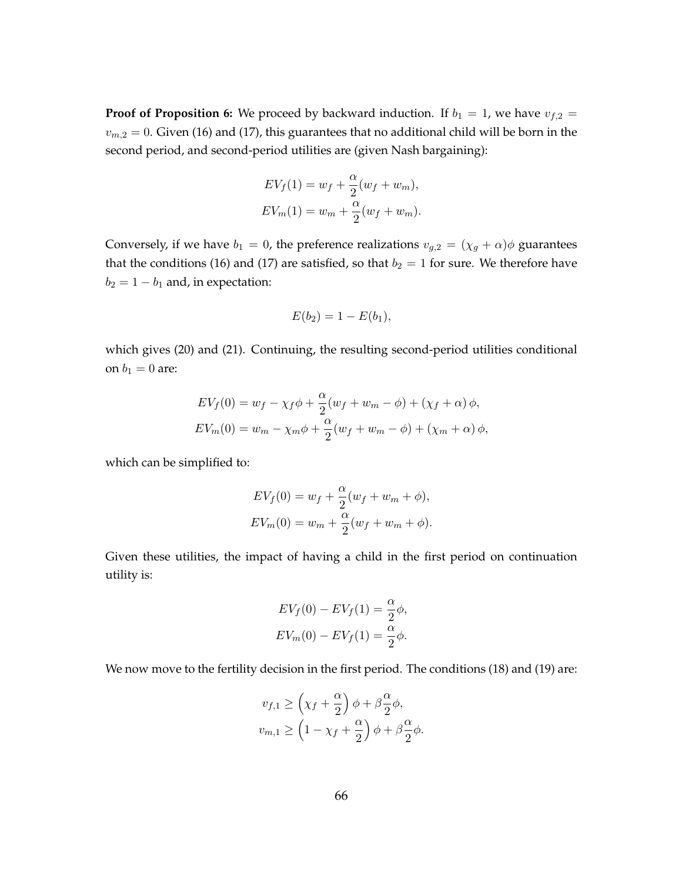**Proof of Proposition 6:** We proceed by backward induction. If  $b_1 = 1$ , we have  $v_{f,2} =$  $v_{m,2} = 0$ . Given (16) and (17), this guarantees that no additional child will be born in the second period, and second-period utilities are (given Nash bargaining):

$$
EV_f(1) = w_f + \frac{\alpha}{2}(w_f + w_m),
$$
  

$$
EV_m(1) = w_m + \frac{\alpha}{2}(w_f + w_m).
$$

Conversely, if we have  $b_1 = 0$ , the preference realizations  $v_{g,2} = (\chi_g + \alpha)\phi$  guarantees that the conditions (16) and (17) are satisfied, so that  $b_2 = 1$  for sure. We therefore have  $b_2 = 1 - b_1$  and, in expectation:

$$
E(b_2) = 1 - E(b_1),
$$

which gives (20) and (21). Continuing, the resulting second-period utilities conditional on  $b_1 = 0$  are:

$$
EV_f(0) = w_f - \chi_f \phi + \frac{\alpha}{2}(w_f + w_m - \phi) + (\chi_f + \alpha)\phi,
$$
  

$$
EV_m(0) = w_m - \chi_m \phi + \frac{\alpha}{2}(w_f + w_m - \phi) + (\chi_m + \alpha)\phi,
$$

which can be simplified to:

$$
EV_f(0) = w_f + \frac{\alpha}{2}(w_f + w_m + \phi),
$$
  

$$
EV_m(0) = w_m + \frac{\alpha}{2}(w_f + w_m + \phi).
$$

Given these utilities, the impact of having a child in the first period on continuation utility is:

$$
EV_f(0) - EV_f(1) = \frac{\alpha}{2}\phi,
$$
  

$$
EV_m(0) - EV_f(1) = \frac{\alpha}{2}\phi.
$$

We now move to the fertility decision in the first period. The conditions (18) and (19) are:

$$
v_{f,1} \ge \left(\chi_f + \frac{\alpha}{2}\right)\phi + \beta \frac{\alpha}{2}\phi,
$$
  

$$
v_{m,1} \ge \left(1 - \chi_f + \frac{\alpha}{2}\right)\phi + \beta \frac{\alpha}{2}\phi.
$$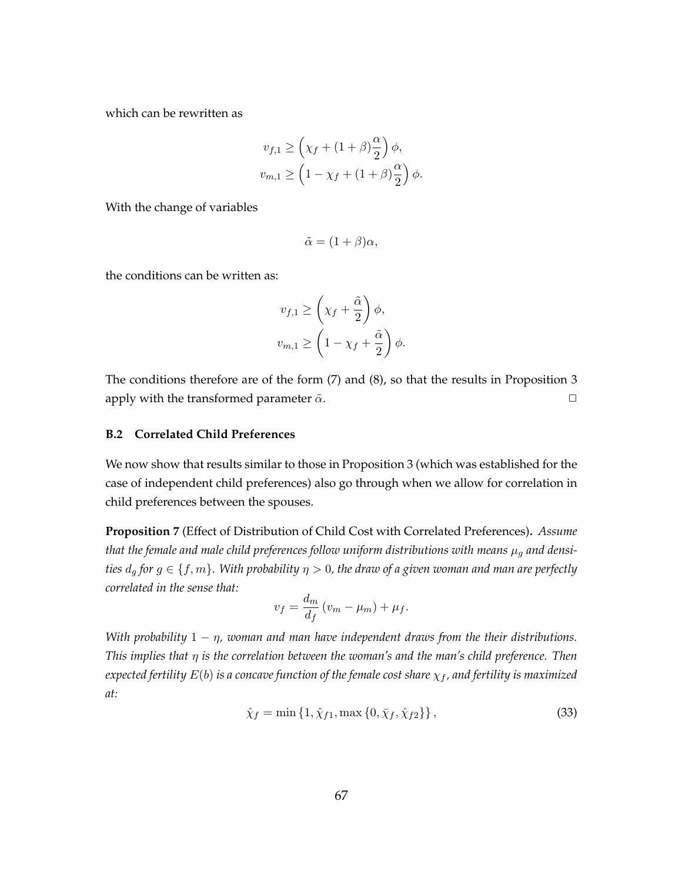which can be rewritten as

$$
v_{f,1} \ge \left(\chi_f + (1+\beta)\frac{\alpha}{2}\right)\phi,
$$
  

$$
v_{m,1} \ge \left(1 - \chi_f + (1+\beta)\frac{\alpha}{2}\right)\phi.
$$

With the change of variables

$$
\tilde{\alpha} = (1 + \beta)\alpha,
$$

the conditions can be written as:

$$
v_{f,1} \ge \left(\chi_f + \frac{\tilde{\alpha}}{2}\right)\phi,
$$
  

$$
v_{m,1} \ge \left(1 - \chi_f + \frac{\tilde{\alpha}}{2}\right)\phi.
$$

The conditions therefore are of the form (7) and (8), so that the results in Proposition 3 apply with the transformed parameter  $\tilde{\alpha}$ .  $\Box$ 

### **B.2 Correlated Child Preferences**

We now show that results similar to those in Proposition 3 (which was established for the case of independent child preferences) also go through when we allow for correlation in child preferences between the spouses.

**Proposition 7** (Effect of Distribution of Child Cost with Correlated Preferences)**.** *Assume that the female and male child preferences follow uniform distributions with means*  $\mu_q$  *and densities*  $d_q$  *for*  $g \in \{f, m\}$ *. With probability*  $\eta > 0$ *, the draw of a given woman and man are perfectly correlated in the sense that:*

$$
v_f = \frac{d_m}{d_f} (v_m - \mu_m) + \mu_f.
$$

*With probability* 1 *− η, woman and man have independent draws from the their distributions. This implies that η is the correlation between the woman's and the man's child preference. Then expected fertility E*(*b*) *is a concave function of the female cost share χ<sup>f</sup> , and fertility is maximized at:*

$$
\hat{\chi}_f = \min\{1, \hat{\chi}_{f1}, \max\{0, \bar{\chi}_f, \hat{\chi}_{f2}\}\},\tag{33}
$$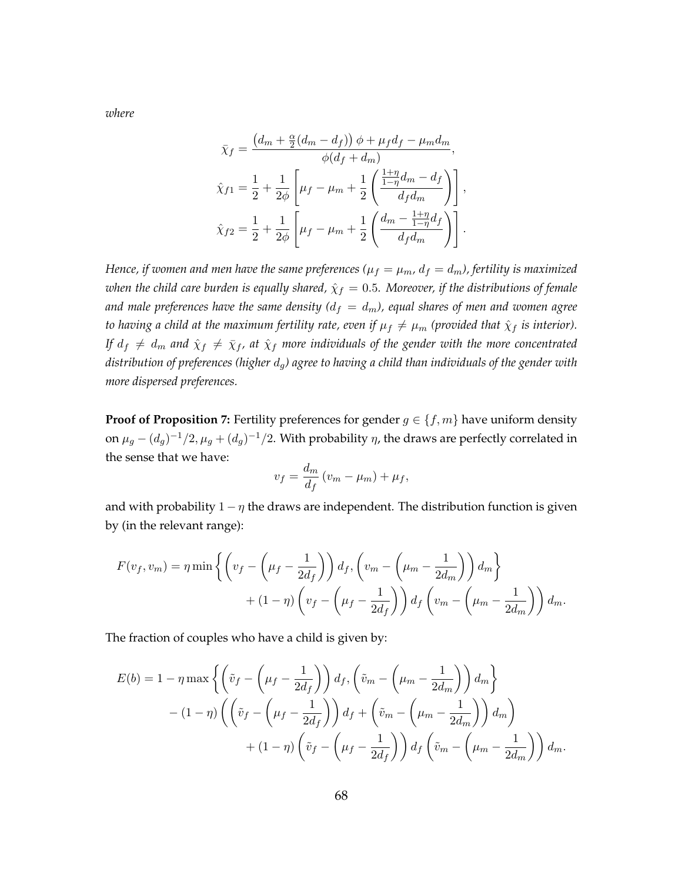*where*

$$
\bar{\chi}_f = \frac{(d_m + \frac{\alpha}{2}(d_m - d_f)) \phi + \mu_f d_f - \mu_m d_m}{\phi(d_f + d_m)},
$$
  

$$
\hat{\chi}_{f1} = \frac{1}{2} + \frac{1}{2\phi} \left[ \mu_f - \mu_m + \frac{1}{2} \left( \frac{\frac{1+\eta}{1-\eta} d_m - d_f}{d_f d_m} \right) \right],
$$
  

$$
\hat{\chi}_{f2} = \frac{1}{2} + \frac{1}{2\phi} \left[ \mu_f - \mu_m + \frac{1}{2} \left( \frac{d_m - \frac{1+\eta}{1-\eta} d_f}{d_f d_m} \right) \right].
$$

*Hence, if women and men have the same preferences* ( $\mu_f = \mu_m$ ,  $d_f = d_m$ ), fertility is maximized *when the child care burden is equally shared,*  $\hat{\chi}_f = 0.5$ *. Moreover, if the distributions of female and male preferences have the same density*  $(d_f = d_m)$ , equal shares of men and women agree *to having a child at the maximum fertility rate, even if*  $\mu_f \neq \mu_m$  (provided that  $\hat{\chi}_f$  *is interior*). *If*  $d_f \neq d_m$  *and*  $\hat{\chi}_f \neq \overline{\chi}_f$ , *at*  $\hat{\chi}_f$  *more individuals of the gender with the more concentrated distribution of preferences (higher dg) agree to having a child than individuals of the gender with more dispersed preferences.*

**Proof of Proposition 7:** Fertility preferences for gender  $g \in \{f, m\}$  have uniform density on  $\mu_g - (d_g)^{-1}/2$ ,  $\mu_g + (d_g)^{-1}/2$ . With probability  $\eta$ , the draws are perfectly correlated in the sense that we have:

$$
v_f = \frac{d_m}{d_f} (v_m - \mu_m) + \mu_f,
$$

and with probability  $1 - \eta$  the draws are independent. The distribution function is given by (in the relevant range):

$$
F(v_f, v_m) = \eta \min \left\{ \left( v_f - \left( \mu_f - \frac{1}{2d_f} \right) \right) d_f, \left( v_m - \left( \mu_m - \frac{1}{2d_m} \right) \right) d_m \right\} + (1 - \eta) \left( v_f - \left( \mu_f - \frac{1}{2d_f} \right) \right) d_f \left( v_m - \left( \mu_m - \frac{1}{2d_m} \right) \right) d_m.
$$

The fraction of couples who have a child is given by:

$$
E(b) = 1 - \eta \max \left\{ \left( \tilde{v}_f - \left( \mu_f - \frac{1}{2d_f} \right) \right) d_f, \left( \tilde{v}_m - \left( \mu_m - \frac{1}{2d_m} \right) \right) d_m \right\}
$$

$$
- (1 - \eta) \left( \left( \tilde{v}_f - \left( \mu_f - \frac{1}{2d_f} \right) \right) d_f + \left( \tilde{v}_m - \left( \mu_m - \frac{1}{2d_m} \right) \right) d_m \right)
$$

$$
+ (1 - \eta) \left( \tilde{v}_f - \left( \mu_f - \frac{1}{2d_f} \right) \right) d_f \left( \tilde{v}_m - \left( \mu_m - \frac{1}{2d_m} \right) \right) d_m.
$$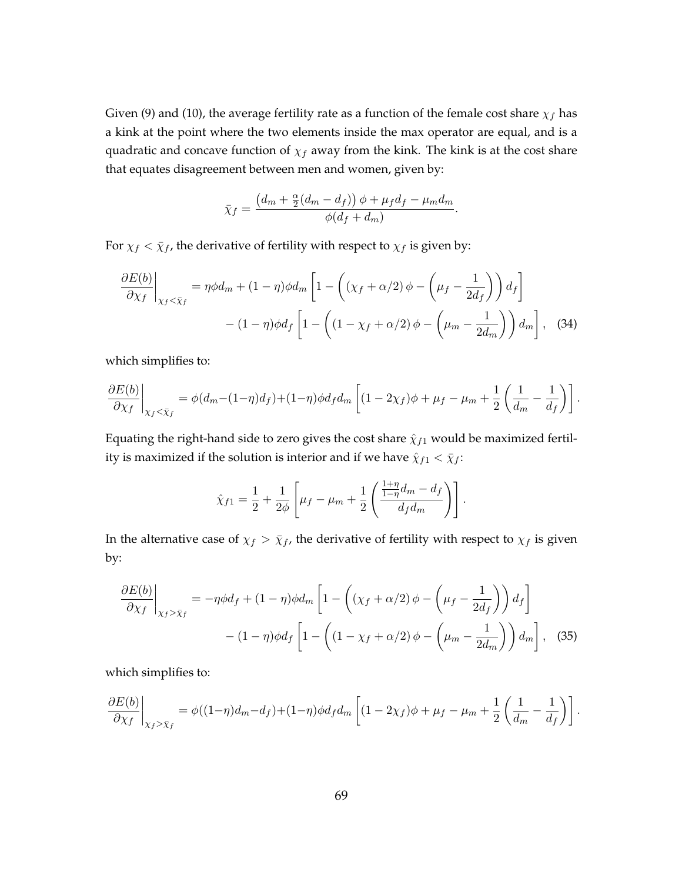Given (9) and (10), the average fertility rate as a function of the female cost share *χ<sup>f</sup>* has a kink at the point where the two elements inside the max operator are equal, and is a quadratic and concave function of  $\chi_f$  away from the kink. The kink is at the cost share that equates disagreement between men and women, given by:

$$
\bar{\chi}_f = \frac{\left(d_m + \frac{\alpha}{2}(d_m - d_f)\right)\phi + \mu_f d_f - \mu_m d_m}{\phi(d_f + d_m)}.
$$

For  $\chi_f < \bar{\chi}_f$ , the derivative of fertility with respect to  $\chi_f$  is given by:

$$
\frac{\partial E(b)}{\partial \chi_f}\Big|_{\chi_f < \bar{\chi}_f} = \eta \phi d_m + (1 - \eta) \phi d_m \left[ 1 - \left( (\chi_f + \alpha/2) \phi - \left( \mu_f - \frac{1}{2d_f} \right) \right) d_f \right] - (1 - \eta) \phi d_f \left[ 1 - \left( (1 - \chi_f + \alpha/2) \phi - \left( \mu_m - \frac{1}{2d_m} \right) \right) d_m \right], \quad (34)
$$

which simplifies to:

$$
\frac{\partial E(b)}{\partial \chi_f}\bigg|_{\chi_f < \bar{\chi}_f} = \phi(d_m - (1-\eta)d_f) + (1-\eta)\phi d_f d_m \left[ (1-2\chi_f)\phi + \mu_f - \mu_m + \frac{1}{2} \left( \frac{1}{d_m} - \frac{1}{d_f} \right) \right].
$$

Equating the right-hand side to zero gives the cost share  $\hat{\chi}_{f1}$  would be maximized fertility is maximized if the solution is interior and if we have  $\hat{\chi}_{f1} < \bar{\chi}_{f}$ :

$$
\hat{\chi}_{f1} = \frac{1}{2} + \frac{1}{2\phi} \left[ \mu_f - \mu_m + \frac{1}{2} \left( \frac{\frac{1+\eta}{1-\eta} d_m - d_f}{d_f d_m} \right) \right].
$$

In the alternative case of  $\chi_f > \bar{\chi}_f$ , the derivative of fertility with respect to  $\chi_f$  is given by:

$$
\frac{\partial E(b)}{\partial \chi_f}\bigg|_{\chi_f > \bar{\chi}_f} = -\eta \phi d_f + (1 - \eta) \phi d_m \left[ 1 - \left( (\chi_f + \alpha/2) \phi - \left( \mu_f - \frac{1}{2d_f} \right) \right) d_f \right] - (1 - \eta) \phi d_f \left[ 1 - \left( (1 - \chi_f + \alpha/2) \phi - \left( \mu_m - \frac{1}{2d_m} \right) \right) d_m \right], \quad (35)
$$

which simplifies to:

$$
\frac{\partial E(b)}{\partial \chi_f}\bigg|_{\chi_f > \bar{\chi}_f} = \phi((1-\eta)d_m - d_f) + (1-\eta)\phi d_f d_m \left[ (1-2\chi_f)\phi + \mu_f - \mu_m + \frac{1}{2}\left(\frac{1}{d_m} - \frac{1}{d_f}\right) \right].
$$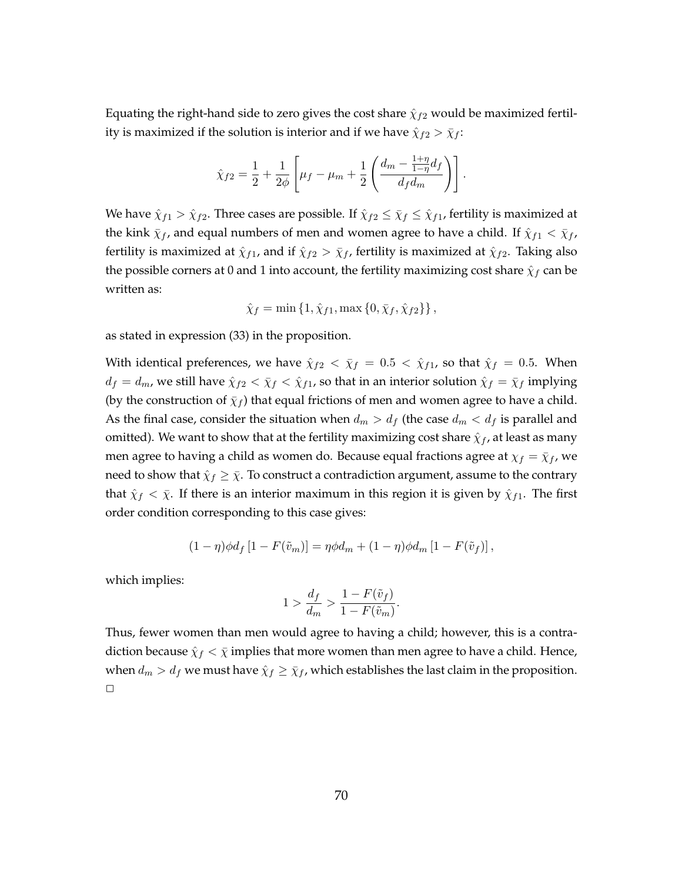Equating the right-hand side to zero gives the cost share  $\hat{\chi}_{f2}$  would be maximized fertility is maximized if the solution is interior and if we have  $\hat{\chi}_{f2} > \bar{\chi}_f$ :

$$
\hat{\chi}_{f2} = \frac{1}{2} + \frac{1}{2\phi} \left[ \mu_f - \mu_m + \frac{1}{2} \left( \frac{d_m - \frac{1+\eta}{1-\eta} d_f}{d_f d_m} \right) \right].
$$

We have  $\hat{\chi}_{f1} > \hat{\chi}_{f2}$ . Three cases are possible. If  $\hat{\chi}_{f2} \leq \bar{\chi}_f \leq \hat{\chi}_{f1}$ , fertility is maximized at the kink  $\bar{\chi}_f$ , and equal numbers of men and women agree to have a child. If  $\hat{\chi}_{f1} < \bar{\chi}_f$ , fertility is maximized at  $\hat{\chi}_{f1}$ , and if  $\hat{\chi}_{f2} > \bar{\chi}_f$ , fertility is maximized at  $\hat{\chi}_{f2}$ . Taking also the possible corners at 0 and 1 into account, the fertility maximizing cost share  $\hat{\chi}_f$  can be written as:

$$
\hat{\chi}_f = \min \{ 1, \hat{\chi}_{f1}, \max \{ 0, \bar{\chi}_f, \hat{\chi}_{f2} \} \},
$$

as stated in expression (33) in the proposition.

With identical preferences, we have  $\hat{\chi}_{f2} < \bar{\chi}_f = 0.5 < \hat{\chi}_{f1}$ , so that  $\hat{\chi}_f = 0.5$ . When  $d_f = d_m$ , we still have  $\hat{\chi}_{f2} < \bar{\chi}_f < \hat{\chi}_{f1}$ , so that in an interior solution  $\hat{\chi}_f = \bar{\chi}_f$  implying (by the construction of  $\bar{\chi}_f$ ) that equal frictions of men and women agree to have a child. As the final case, consider the situation when  $d_m > d_f$  (the case  $d_m < d_f$  is parallel and omitted). We want to show that at the fertility maximizing cost share  $\hat{\chi}_f$ , at least as many men agree to having a child as women do. Because equal fractions agree at  $\chi_f = \bar{\chi}_f$ , we need to show that  $\hat{\chi}_f \geq \bar{\chi}$ . To construct a contradiction argument, assume to the contrary that  $\hat{\chi}_f < \bar{\chi}$ . If there is an interior maximum in this region it is given by  $\hat{\chi}_{f1}$ . The first order condition corresponding to this case gives:

$$
(1 - \eta)\phi d_f [1 - F(\tilde{v}_m)] = \eta \phi d_m + (1 - \eta)\phi d_m [1 - F(\tilde{v}_f)],
$$

which implies:

$$
1 > \frac{d_f}{d_m} > \frac{1 - F(\tilde{v}_f)}{1 - F(\tilde{v}_m)}.
$$

Thus, fewer women than men would agree to having a child; however, this is a contradiction because  $\hat{\chi}_f < \bar{\chi}$  implies that more women than men agree to have a child. Hence, when  $d_m > d_f$  we must have  $\hat{\chi}_f \geq \bar{\chi}_f$ , which establishes the last claim in the proposition.  $\Box$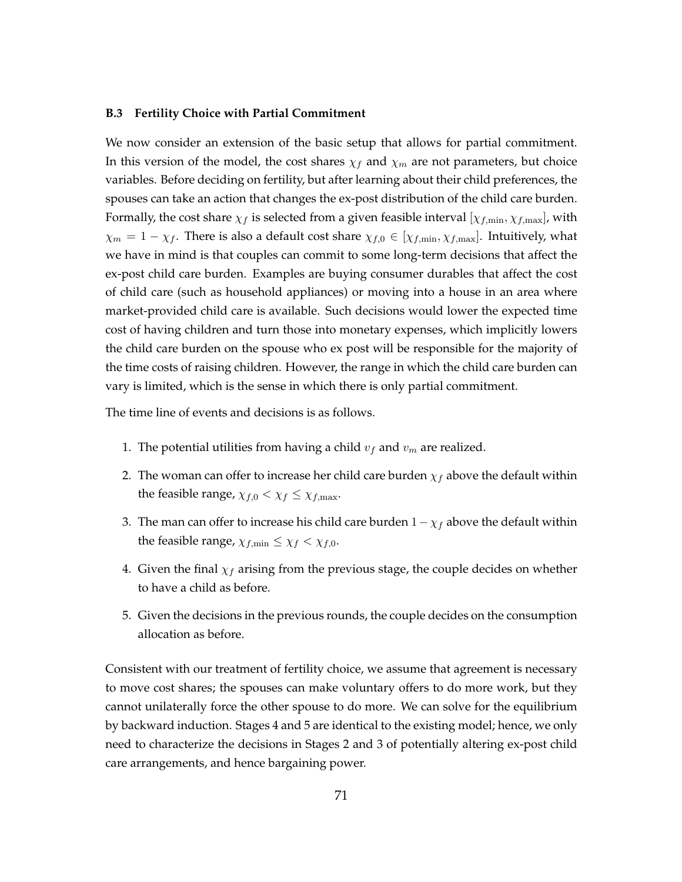## **B.3 Fertility Choice with Partial Commitment**

We now consider an extension of the basic setup that allows for partial commitment. In this version of the model, the cost shares  $\chi_f$  and  $\chi_m$  are not parameters, but choice variables. Before deciding on fertility, but after learning about their child preferences, the spouses can take an action that changes the ex-post distribution of the child care burden. Formally, the cost share  $\chi_f$  is selected from a given feasible interval  $[\chi_{f,\text{min}}, \chi_{f,\text{max}}]$ , with  $\chi_m = 1 - \chi_f$ . There is also a default cost share  $\chi_{f,0} \in [\chi_{f,\min}, \chi_{f,\max}]$ . Intuitively, what we have in mind is that couples can commit to some long-term decisions that affect the ex-post child care burden. Examples are buying consumer durables that affect the cost of child care (such as household appliances) or moving into a house in an area where market-provided child care is available. Such decisions would lower the expected time cost of having children and turn those into monetary expenses, which implicitly lowers the child care burden on the spouse who ex post will be responsible for the majority of the time costs of raising children. However, the range in which the child care burden can vary is limited, which is the sense in which there is only partial commitment.

The time line of events and decisions is as follows.

- 1. The potential utilities from having a child  $v_f$  and  $v_m$  are realized.
- 2. The woman can offer to increase her child care burden  $\chi_f$  above the default within the feasible range,  $\chi_{f,0} < \chi_f \leq \chi_{f,\text{max}}$ .
- 3. The man can offer to increase his child care burden 1*−χ<sup>f</sup>* above the default within the feasible range,  $\chi_{f,\min} \leq \chi_f < \chi_{f,0}$ .
- 4. Given the final  $\chi_f$  arising from the previous stage, the couple decides on whether to have a child as before.
- 5. Given the decisions in the previous rounds, the couple decides on the consumption allocation as before.

Consistent with our treatment of fertility choice, we assume that agreement is necessary to move cost shares; the spouses can make voluntary offers to do more work, but they cannot unilaterally force the other spouse to do more. We can solve for the equilibrium by backward induction. Stages 4 and 5 are identical to the existing model; hence, we only need to characterize the decisions in Stages 2 and 3 of potentially altering ex-post child care arrangements, and hence bargaining power.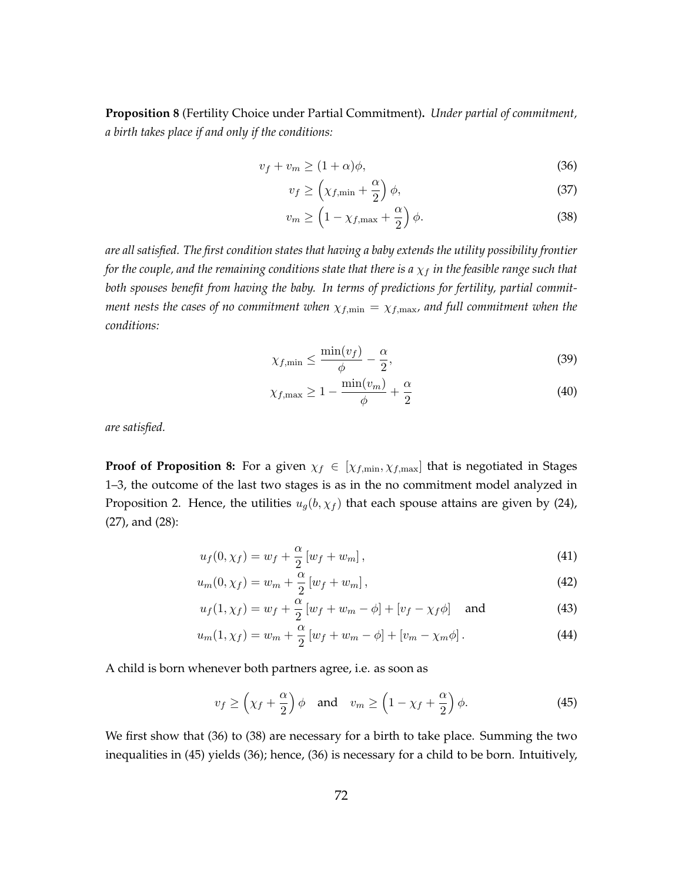**Proposition 8** (Fertility Choice under Partial Commitment)**.** *Under partial of commitment, a birth takes place if and only if the conditions:*

$$
v_f + v_m \ge (1 + \alpha)\phi,\tag{36}
$$

$$
v_f \ge \left(\chi_{f,\min} + \frac{\alpha}{2}\right)\phi,\tag{37}
$$

$$
v_m \ge \left(1 - \chi_{f,\text{max}} + \frac{\alpha}{2}\right)\phi. \tag{38}
$$

*are all satisfied. The first condition states that having a baby extends the utility possibility frontier for the couple, and the remaining conditions state that there is a*  $\chi_f$  *in the feasible range such that both spouses benefit from having the baby. In terms of predictions for fertility, partial commitment nests the cases of no commitment when*  $\chi_{f,\text{min}} = \chi_{f,\text{max}}$ *, and full commitment when the conditions:*

$$
\chi_{f,\min} \le \frac{\min(v_f)}{\phi} - \frac{\alpha}{2},\tag{39}
$$

$$
\chi_{f,\max} \ge 1 - \frac{\min(v_m)}{\phi} + \frac{\alpha}{2} \tag{40}
$$

*are satisfied.*

**Proof of Proposition 8:** For a given  $\chi_f \in [\chi_{f,\min}, \chi_{f,\max}]$  that is negotiated in Stages 1–3, the outcome of the last two stages is as in the no commitment model analyzed in Proposition 2. Hence, the utilities  $u_g(b, \chi_f)$  that each spouse attains are given by (24), (27), and (28):

$$
u_f(0, \chi_f) = w_f + \frac{\alpha}{2} [w_f + w_m], \qquad (41)
$$

$$
u_m(0, \chi_f) = w_m + \frac{\alpha}{2} \left[ w_f + w_m \right],
$$
\n(42)

$$
u_f(1, \chi_f) = w_f + \frac{\alpha}{2} \left[ w_f + w_m - \phi \right] + \left[ v_f - \chi_f \phi \right] \quad \text{and} \tag{43}
$$

$$
u_m(1, \chi_f) = w_m + \frac{\alpha}{2} \left[ w_f + w_m - \phi \right] + \left[ v_m - \chi_m \phi \right]. \tag{44}
$$

A child is born whenever both partners agree, i.e. as soon as

$$
v_f \ge \left(\chi_f + \frac{\alpha}{2}\right)\phi
$$
 and  $v_m \ge \left(1 - \chi_f + \frac{\alpha}{2}\right)\phi$ . (45)

We first show that (36) to (38) are necessary for a birth to take place. Summing the two inequalities in (45) yields (36); hence, (36) is necessary for a child to be born. Intuitively,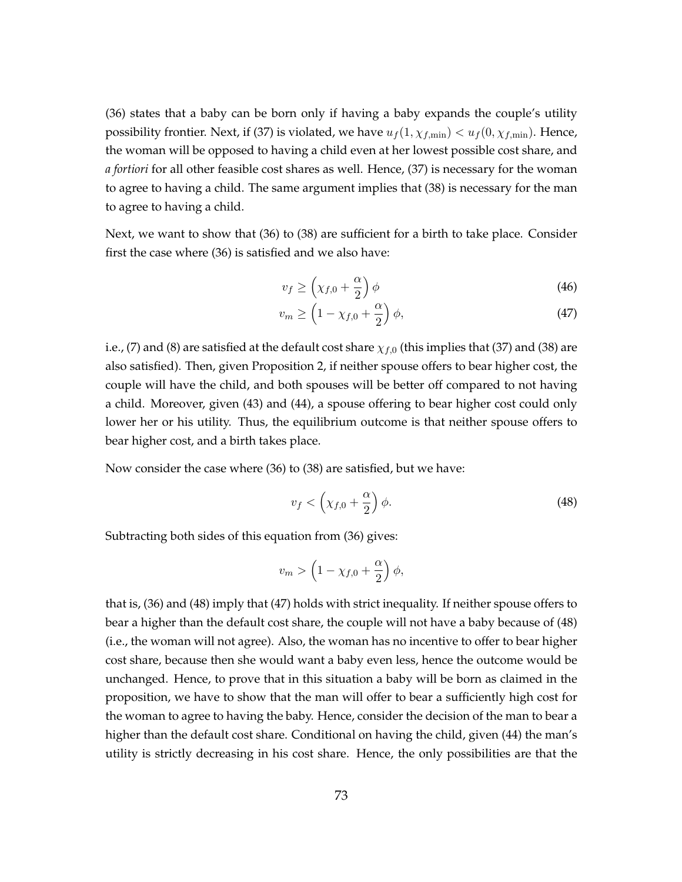(36) states that a baby can be born only if having a baby expands the couple's utility possibility frontier. Next, if (37) is violated, we have  $u_f(1, \chi_{f,\text{min}}) < u_f(0, \chi_{f,\text{min}})$ . Hence, the woman will be opposed to having a child even at her lowest possible cost share, and *a fortiori* for all other feasible cost shares as well. Hence, (37) is necessary for the woman to agree to having a child. The same argument implies that (38) is necessary for the man to agree to having a child.

Next, we want to show that (36) to (38) are sufficient for a birth to take place. Consider first the case where (36) is satisfied and we also have:

$$
v_f \ge \left(\chi_{f,0} + \frac{\alpha}{2}\right)\phi\tag{46}
$$

$$
v_m \ge \left(1 - \chi_{f,0} + \frac{\alpha}{2}\right)\phi,\tag{47}
$$

i.e., (7) and (8) are satisfied at the default cost share  $\chi_{f,0}$  (this implies that (37) and (38) are also satisfied). Then, given Proposition 2, if neither spouse offers to bear higher cost, the couple will have the child, and both spouses will be better off compared to not having a child. Moreover, given (43) and (44), a spouse offering to bear higher cost could only lower her or his utility. Thus, the equilibrium outcome is that neither spouse offers to bear higher cost, and a birth takes place.

Now consider the case where (36) to (38) are satisfied, but we have:

$$
v_f < \left(\chi_{f,0} + \frac{\alpha}{2}\right)\phi. \tag{48}
$$

Subtracting both sides of this equation from (36) gives:

$$
v_m > \left(1 - \chi_{f,0} + \frac{\alpha}{2}\right)\phi,
$$

that is, (36) and (48) imply that (47) holds with strict inequality. If neither spouse offers to bear a higher than the default cost share, the couple will not have a baby because of (48) (i.e., the woman will not agree). Also, the woman has no incentive to offer to bear higher cost share, because then she would want a baby even less, hence the outcome would be unchanged. Hence, to prove that in this situation a baby will be born as claimed in the proposition, we have to show that the man will offer to bear a sufficiently high cost for the woman to agree to having the baby. Hence, consider the decision of the man to bear a higher than the default cost share. Conditional on having the child, given (44) the man's utility is strictly decreasing in his cost share. Hence, the only possibilities are that the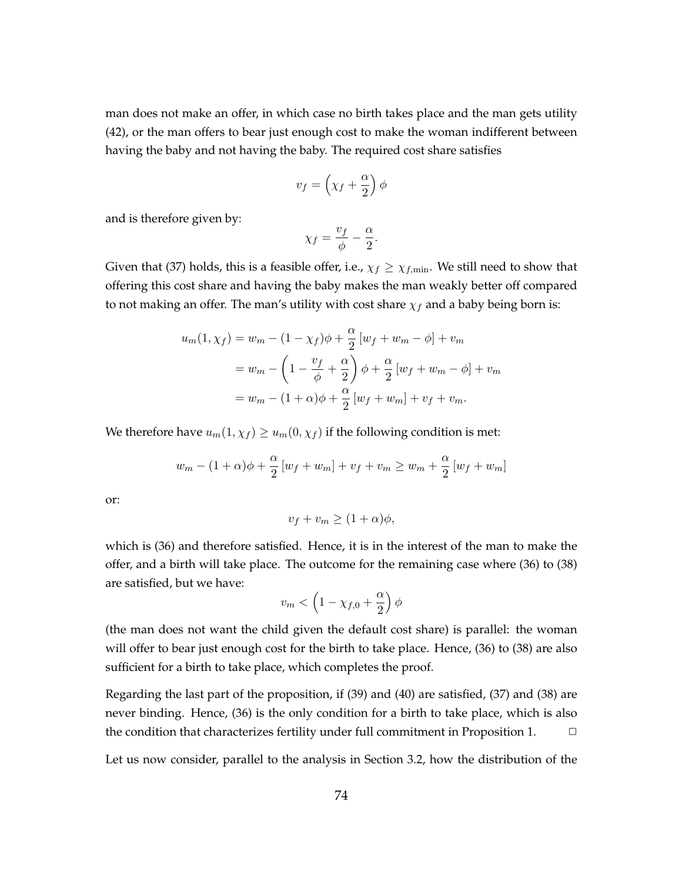man does not make an offer, in which case no birth takes place and the man gets utility (42), or the man offers to bear just enough cost to make the woman indifferent between having the baby and not having the baby. The required cost share satisfies

$$
v_f=\left(\chi_f+\frac{\alpha}{2}\right)\phi
$$

and is therefore given by:

$$
\chi_f = \frac{v_f}{\phi} - \frac{\alpha}{2}.
$$

Given that (37) holds, this is a feasible offer, i.e.,  $\chi_f \geq \chi_{f,\text{min}}$ . We still need to show that offering this cost share and having the baby makes the man weakly better off compared to not making an offer. The man's utility with cost share *χ<sup>f</sup>* and a baby being born is:

$$
u_m(1, \chi_f) = w_m - (1 - \chi_f)\phi + \frac{\alpha}{2} \left[ w_f + w_m - \phi \right] + v_m
$$
  
= 
$$
w_m - \left( 1 - \frac{v_f}{\phi} + \frac{\alpha}{2} \right) \phi + \frac{\alpha}{2} \left[ w_f + w_m - \phi \right] + v_m
$$
  
= 
$$
w_m - (1 + \alpha)\phi + \frac{\alpha}{2} \left[ w_f + w_m \right] + v_f + v_m.
$$

We therefore have  $u_m(1, \chi_f) \geq u_m(0, \chi_f)$  if the following condition is met:

$$
w_m - (1 + \alpha)\phi + \frac{\alpha}{2} \left[ w_f + w_m \right] + v_f + v_m \ge w_m + \frac{\alpha}{2} \left[ w_f + w_m \right]
$$

or:

$$
v_f + v_m \ge (1 + \alpha)\phi,
$$

which is (36) and therefore satisfied. Hence, it is in the interest of the man to make the offer, and a birth will take place. The outcome for the remaining case where (36) to (38) are satisfied, but we have:

$$
v_m < \left(1 - \chi_{f,0} + \frac{\alpha}{2}\right)\phi
$$

(the man does not want the child given the default cost share) is parallel: the woman will offer to bear just enough cost for the birth to take place. Hence, (36) to (38) are also sufficient for a birth to take place, which completes the proof.

Regarding the last part of the proposition, if (39) and (40) are satisfied, (37) and (38) are never binding. Hence, (36) is the only condition for a birth to take place, which is also the condition that characterizes fertility under full commitment in Proposition 1. **□** 

Let us now consider, parallel to the analysis in Section 3.2, how the distribution of the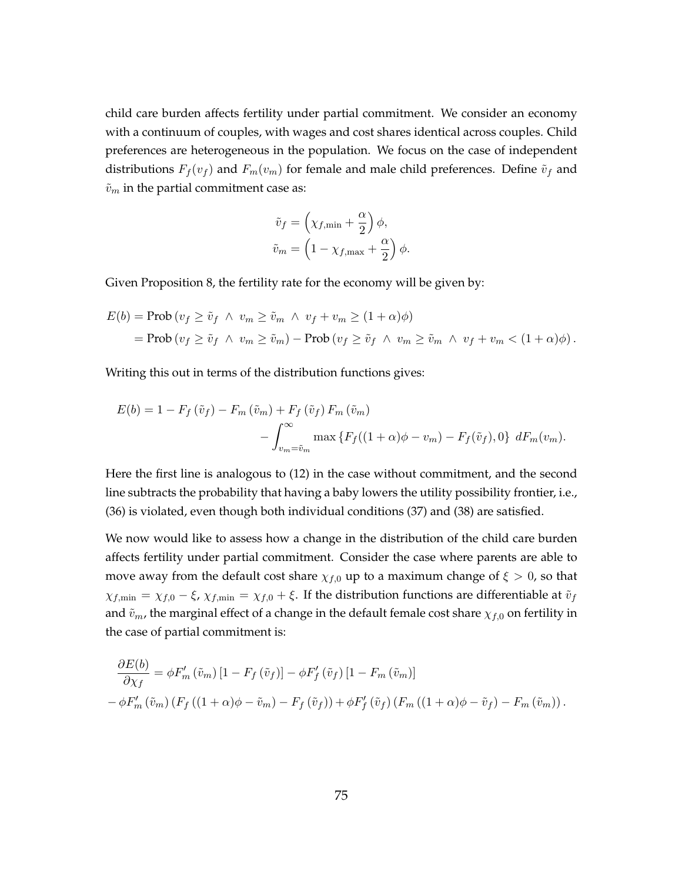child care burden affects fertility under partial commitment. We consider an economy with a continuum of couples, with wages and cost shares identical across couples. Child preferences are heterogeneous in the population. We focus on the case of independent distributions  $F_f(v_f)$  and  $F_m(v_m)$  for female and male child preferences. Define  $\tilde{v}_f$  and  $\tilde{v}_m$  in the partial commitment case as:

$$
\tilde{v}_f = \left(\chi_{f,\min} + \frac{\alpha}{2}\right)\phi,
$$
  

$$
\tilde{v}_m = \left(1 - \chi_{f,\max} + \frac{\alpha}{2}\right)\phi.
$$

Given Proposition 8, the fertility rate for the economy will be given by:

$$
E(b) = \text{Prob}(v_f \ge \tilde{v}_f \land v_m \ge \tilde{v}_m \land v_f + v_m \ge (1 + \alpha)\phi)
$$
  
= 
$$
\text{Prob}(v_f \ge \tilde{v}_f \land v_m \ge \tilde{v}_m) - \text{Prob}(v_f \ge \tilde{v}_f \land v_m \ge \tilde{v}_m \land v_f + v_m < (1 + \alpha)\phi).
$$

Writing this out in terms of the distribution functions gives:

$$
E(b) = 1 - F_f(\tilde{v}_f) - F_m(\tilde{v}_m) + F_f(\tilde{v}_f) F_m(\tilde{v}_m)
$$

$$
- \int_{v_m = \tilde{v}_m}^{\infty} \max \{ F_f((1 + \alpha)\phi - v_m) - F_f(\tilde{v}_f), 0 \} dF_m(v_m).
$$

Here the first line is analogous to (12) in the case without commitment, and the second line subtracts the probability that having a baby lowers the utility possibility frontier, i.e., (36) is violated, even though both individual conditions (37) and (38) are satisfied.

We now would like to assess how a change in the distribution of the child care burden affects fertility under partial commitment. Consider the case where parents are able to move away from the default cost share  $\chi_{f,0}$  up to a maximum change of  $\xi > 0$ , so that  $\chi_{f,\min} = \chi_{f,0} - \xi$ ,  $\chi_{f,\min} = \chi_{f,0} + \xi$ . If the distribution functions are differentiable at  $\tilde{v}_f$ and  $\tilde{v}_m$ , the marginal effect of a change in the default female cost share  $\chi_{f,0}$  on fertility in the case of partial commitment is:

$$
\frac{\partial E(b)}{\partial \chi_f} = \phi F'_m \left( \tilde{v}_m \right) \left[ 1 - F_f \left( \tilde{v}_f \right) \right] - \phi F'_f \left( \tilde{v}_f \right) \left[ 1 - F_m \left( \tilde{v}_m \right) \right]
$$

$$
- \phi F'_m \left( \tilde{v}_m \right) \left( F_f \left( (1 + \alpha)\phi - \tilde{v}_m \right) - F_f \left( \tilde{v}_f \right) \right) + \phi F'_f \left( \tilde{v}_f \right) \left( F_m \left( (1 + \alpha)\phi - \tilde{v}_f \right) - F_m \left( \tilde{v}_m \right) \right).
$$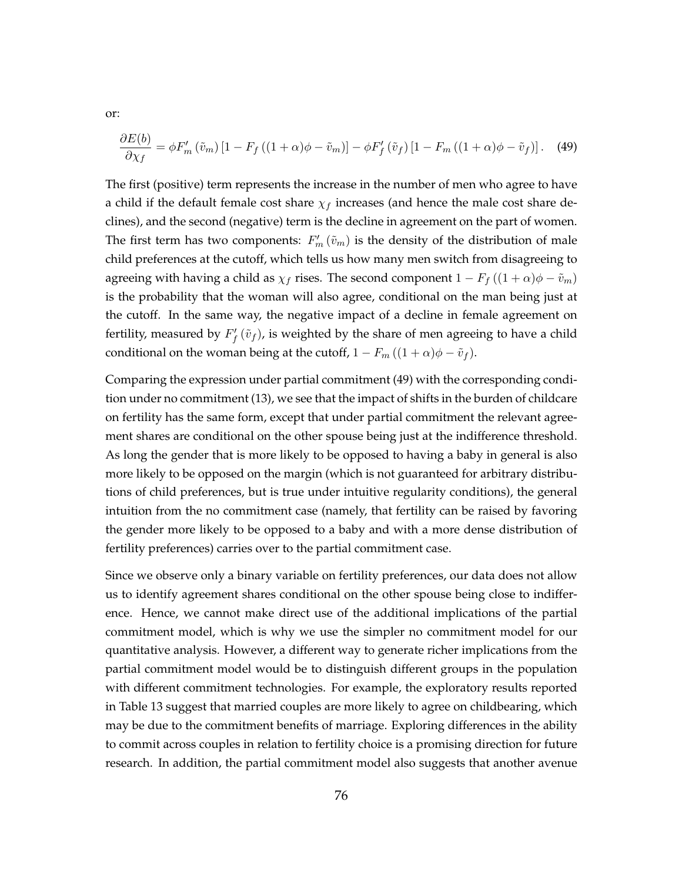$$
\frac{\partial E(b)}{\partial \chi_f} = \phi F'_m \left( \tilde{v}_m \right) \left[ 1 - F_f \left( (1 + \alpha)\phi - \tilde{v}_m \right) \right] - \phi F'_f \left( \tilde{v}_f \right) \left[ 1 - F_m \left( (1 + \alpha)\phi - \tilde{v}_f \right) \right]. \tag{49}
$$

The first (positive) term represents the increase in the number of men who agree to have a child if the default female cost share  $\chi_f$  increases (and hence the male cost share declines), and the second (negative) term is the decline in agreement on the part of women. The first term has two components:  $F'_{m}(\tilde{v}_{m})$  is the density of the distribution of male child preferences at the cutoff, which tells us how many men switch from disagreeing to agreeing with having a child as  $\chi_f$  rises. The second component  $1 - F_f((1 + \alpha)\phi - \tilde{v}_m)$ is the probability that the woman will also agree, conditional on the man being just at the cutoff. In the same way, the negative impact of a decline in female agreement on fertility, measured by  $F_f' \left( \tilde{v}_f \right)$ , is weighted by the share of men agreeing to have a child conditional on the woman being at the cutoff,  $1 - F_m((1 + \alpha)\phi - \tilde{v}_f)$ .

Comparing the expression under partial commitment (49) with the corresponding condition under no commitment (13), we see that the impact of shifts in the burden of childcare on fertility has the same form, except that under partial commitment the relevant agreement shares are conditional on the other spouse being just at the indifference threshold. As long the gender that is more likely to be opposed to having a baby in general is also more likely to be opposed on the margin (which is not guaranteed for arbitrary distributions of child preferences, but is true under intuitive regularity conditions), the general intuition from the no commitment case (namely, that fertility can be raised by favoring the gender more likely to be opposed to a baby and with a more dense distribution of fertility preferences) carries over to the partial commitment case.

Since we observe only a binary variable on fertility preferences, our data does not allow us to identify agreement shares conditional on the other spouse being close to indifference. Hence, we cannot make direct use of the additional implications of the partial commitment model, which is why we use the simpler no commitment model for our quantitative analysis. However, a different way to generate richer implications from the partial commitment model would be to distinguish different groups in the population with different commitment technologies. For example, the exploratory results reported in Table 13 suggest that married couples are more likely to agree on childbearing, which may be due to the commitment benefits of marriage. Exploring differences in the ability to commit across couples in relation to fertility choice is a promising direction for future research. In addition, the partial commitment model also suggests that another avenue

or: